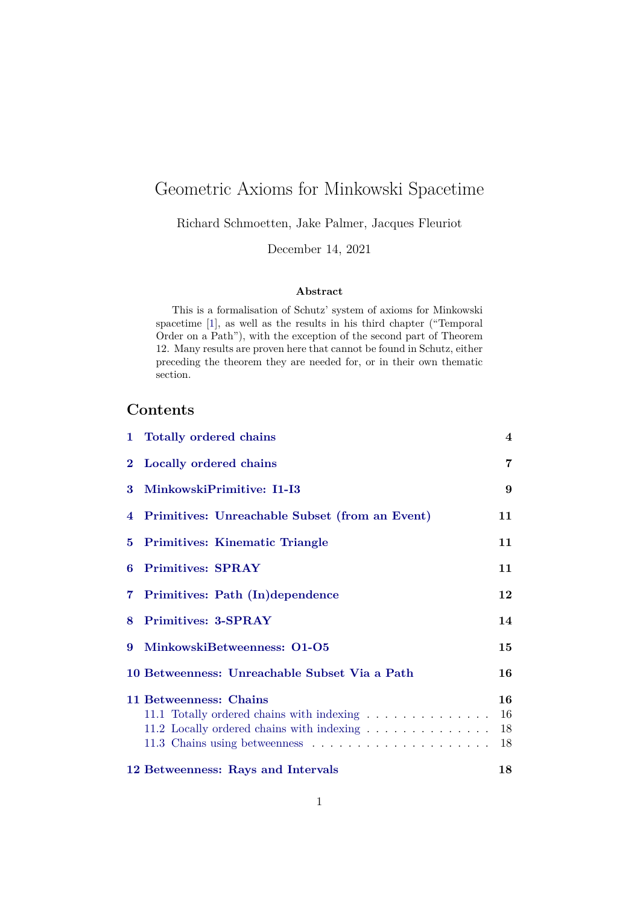# Geometric Axioms for Minkowski Spacetime

Richard Schmoetten, Jake Palmer, Jacques Fleuriot

December 14, 2021

#### **Abstract**

This is a formalisation of Schutz' system of axioms for Minkowski spacetime [\[1\]](#page-64-0), as well as the results in his third chapter ("Temporal Order on a Path"), with the exception of the second part of Theorem 12. Many results are proven here that cannot be found in Schutz, either preceding the theorem they are needed for, or in their own thematic section.

# **Contents**

|   | 1 Totally ordered chains                                                                                         | $\overline{4}$       |
|---|------------------------------------------------------------------------------------------------------------------|----------------------|
|   | 2 Locally ordered chains                                                                                         | $\overline{7}$       |
| 3 | MinkowskiPrimitive: I1-I3                                                                                        | 9                    |
|   | 4 Primitives: Unreachable Subset (from an Event)                                                                 | 11                   |
|   | 5 Primitives: Kinematic Triangle                                                                                 | 11                   |
| 6 | <b>Primitives: SPRAY</b>                                                                                         | 11                   |
|   | 7 Primitives: Path (In)dependence                                                                                | 12                   |
|   | 8 Primitives: 3-SPRAY                                                                                            | 14                   |
| 9 | MinkowskiBetweenness: 01-05                                                                                      | 15                   |
|   | 10 Betweenness: Unreachable Subset Via a Path                                                                    | 16                   |
|   | 11 Betweenness: Chains<br>11.1 Totally ordered chains with indexing<br>11.2 Locally ordered chains with indexing | 16<br>16<br>18<br>18 |
|   | 12 Betweenness: Rays and Intervals                                                                               | 18                   |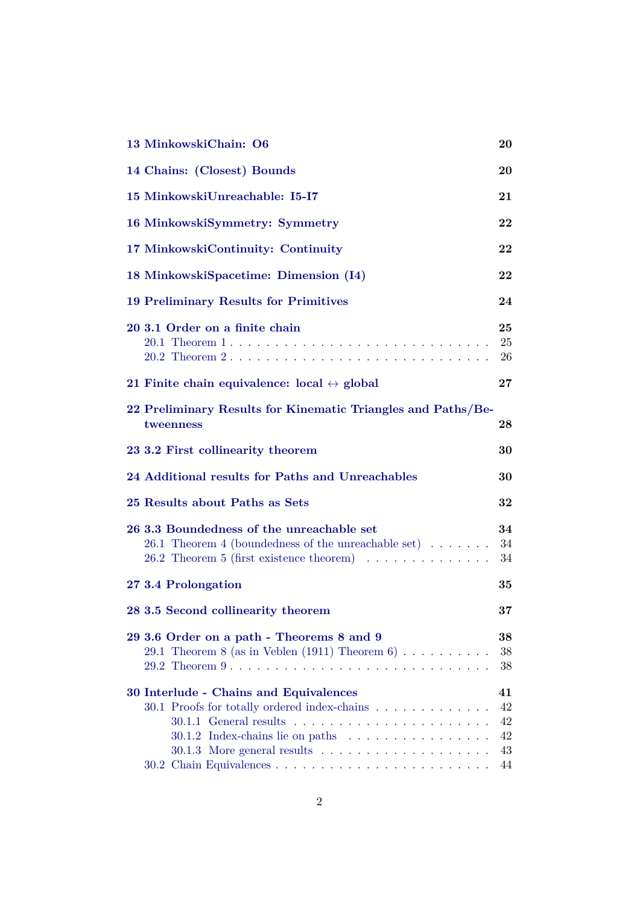| 13 MinkowskiChain: O6                                                                                                                                                                    | 20                               |
|------------------------------------------------------------------------------------------------------------------------------------------------------------------------------------------|----------------------------------|
| 14 Chains: (Closest) Bounds                                                                                                                                                              | 20                               |
| 15 MinkowskiUnreachable: I5-I7                                                                                                                                                           | 21                               |
| 16 MinkowskiSymmetry: Symmetry                                                                                                                                                           | $\bf{22}$                        |
| 17 MinkowskiContinuity: Continuity                                                                                                                                                       | 22                               |
| 18 MinkowskiSpacetime: Dimension (I4)                                                                                                                                                    | $\bf{22}$                        |
| 19 Preliminary Results for Primitives                                                                                                                                                    | 24                               |
| 20 3.1 Order on a finite chain                                                                                                                                                           | 25<br>25<br>26                   |
| 21 Finite chain equivalence: $local \leftrightarrow global$                                                                                                                              | $\bf{27}$                        |
| 22 Preliminary Results for Kinematic Triangles and Paths/Be-<br>tweenness                                                                                                                | $\bf{^{28}}$                     |
| 23 3.2 First collinearity theorem                                                                                                                                                        | 30                               |
| 24 Additional results for Paths and Unreachables                                                                                                                                         | 30                               |
| 25 Results about Paths as Sets                                                                                                                                                           | 32                               |
| 26 3.3 Boundedness of the unreachable set<br>26.1 Theorem 4 (boundedness of the unreachable set) $\dots \dots$<br>26.2 Theorem 5 (first existence theorem) $\ldots \ldots \ldots \ldots$ | 34<br>34<br>34                   |
| 27 3.4 Prolongation                                                                                                                                                                      | 35                               |
| 28 3.5 Second collinearity theorem                                                                                                                                                       | 37                               |
| 29 3.6 Order on a path - Theorems 8 and 9<br>29.1 Theorem 8 (as in Veblen (1911) Theorem 6)                                                                                              | 38<br>38<br>38                   |
| 30 Interlude - Chains and Equivalences<br>30.1 Proofs for totally ordered index-chains                                                                                                   | 41<br>42<br>42<br>42<br>43<br>44 |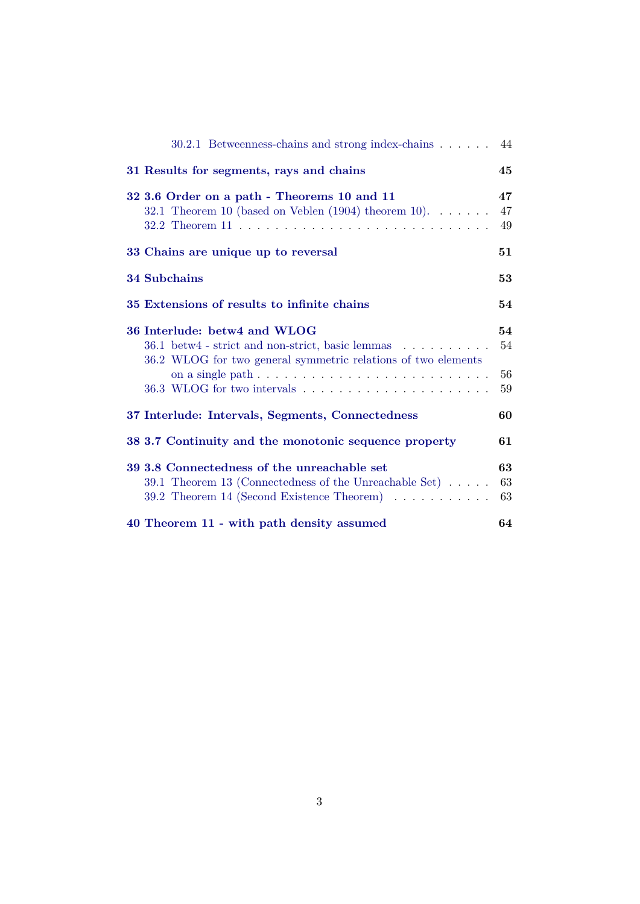| 30.2.1 Betweenness-chains and strong index-chains 44                                                                                                          |                      |
|---------------------------------------------------------------------------------------------------------------------------------------------------------------|----------------------|
| 31 Results for segments, rays and chains                                                                                                                      | 45                   |
| 32 3.6 Order on a path - Theorems 10 and 11<br>32.1 Theorem 10 (based on Veblen $(1904)$ theorem 10)                                                          | 47<br>47<br>49       |
| 33 Chains are unique up to reversal                                                                                                                           | 51                   |
| <b>34 Subchains</b>                                                                                                                                           | 53                   |
| 35 Extensions of results to infinite chains                                                                                                                   | 54                   |
| 36 Interlude: betw4 and WLOG<br>36.1 betw4 - strict and non-strict, basic lemmas<br>36.2 WLOG for two general symmetric relations of two elements             | 54<br>54<br>56<br>59 |
| 37 Interlude: Intervals, Segments, Connectedness                                                                                                              | 60                   |
| 38 3.7 Continuity and the monotonic sequence property                                                                                                         | 61                   |
| 39 3.8 Connectedness of the unreachable set<br>39.1 Theorem 13 (Connectedness of the Unreachable Set) $\dots$ .<br>39.2 Theorem 14 (Second Existence Theorem) | 63<br>63<br>63       |
| 40 Theorem 11 - with path density assumed                                                                                                                     | 64                   |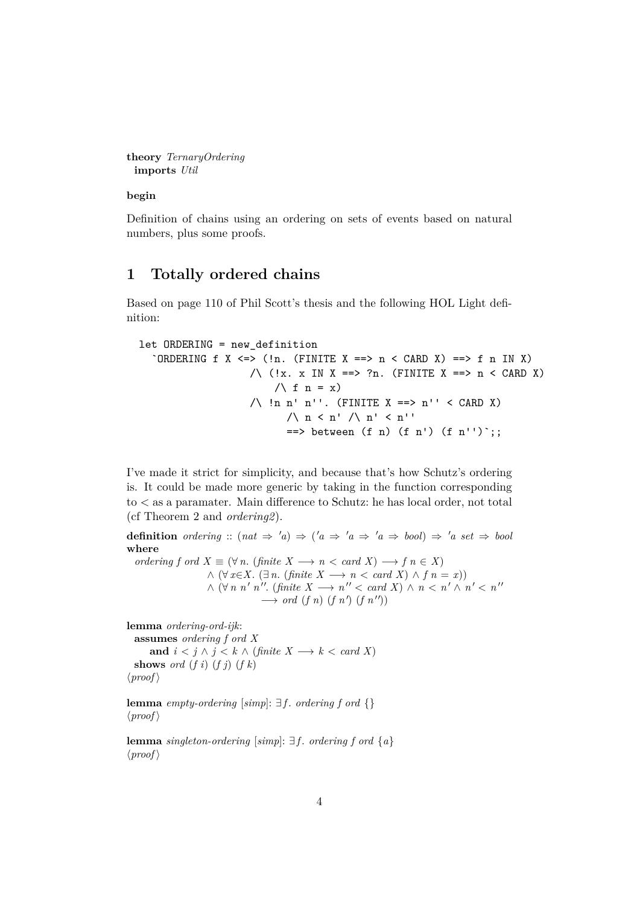```
theory TernaryOrdering
 imports Util
```
**begin**

Definition of chains using an ordering on sets of events based on natural numbers, plus some proofs.

## <span id="page-3-0"></span>**1 Totally ordered chains**

Based on page 110 of Phil Scott's thesis and the following HOL Light definition:

```
let ORDERING = new_definition
  `ORDERING f X <=> (!n. (FINITE X ==> n < CARD X) ==> f n IN X)
                     \wedge (!x. x IN X ==> ?n. (FINITE X ==> n < CARD X)
                         \bigwedge f n = x)
                     /\backslash !n n' n''. (FINITE X ==> n'' < CARD X)
                           \wedge n < n' \wedge n' < n''
                           \Rightarrow between (f n) (f n') (f n'') ;;
```
I've made it strict for simplicity, and because that's how Schutz's ordering is. It could be made more generic by taking in the function corresponding to < as a paramater. Main difference to Schutz: he has local order, not total (cf Theorem 2 and *ordering2*).

**definition** ordering ::  $(nat \Rightarrow 'a) \Rightarrow ('a \Rightarrow 'a \Rightarrow 'a \Rightarrow bool) \Rightarrow 'a \; set \Rightarrow bool$ **where** *ordering f ord*  $X \equiv (\forall n. (finite \ X \longrightarrow n < card \ X) \longrightarrow f \ n \in X)$  $\land$  (∀ *x*∈*X*. (∃ *n*. (*finite X* → *n* < *card X*)  $\land$  *f n* = *x*))  $\wedge$  ( $\forall n \; n' \; n''$ . (finite  $X \longrightarrow n'' < \text{card } X$ )  $\wedge$   $n < n' \wedge n' < n''$  $\longrightarrow$  *ord* (*f n*) (*f n'*) (*f n''*))

**lemma** *ordering-ord-ijk*:

**assumes** *ordering f ord X* **and**  $i < j \land j < k \land (finite\ X \longrightarrow k < card\ X)$ **shows** *ord*  $(f i)$   $(f j)$   $(f k)$  $\langle proof \rangle$ 

**lemma** *empty-ordering* [ $simp$ ]:  $\exists f$ . *ordering*  $f$  *ord*  $\{\}$  $\langle proof \rangle$ 

**lemma** *singleton-ordering* [*simp*]:  $\exists$  *f*. *ordering f ord* {*a*}  $\langle proof \rangle$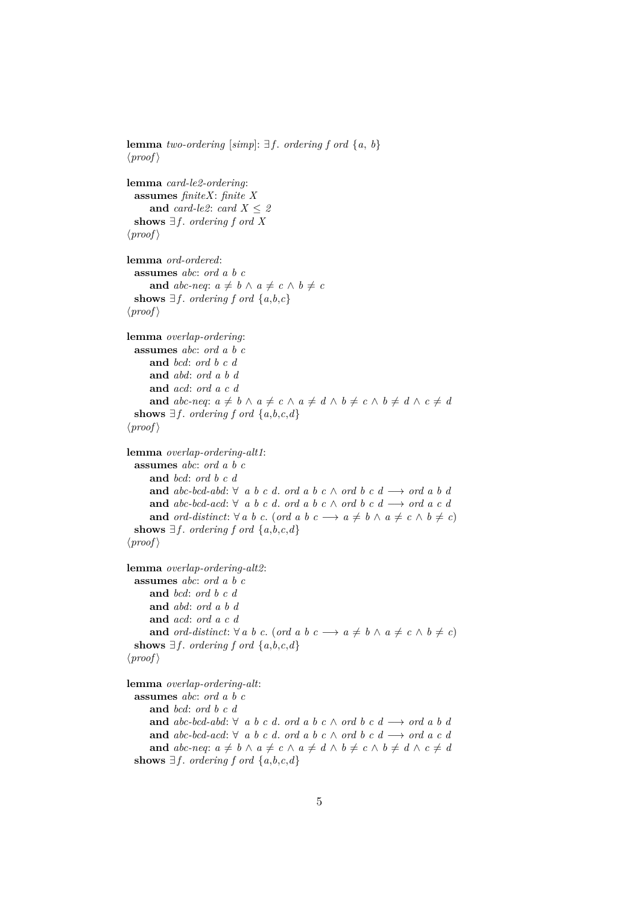```
lemma two-ordering [simp]: \exists f. ordering f ord {a, b}
\langle proof \ranglelemma card-le2-ordering:
  assumes finiteX: finite X
     and card-le2: card X \leq 2shows ∃ f. ordering f ord X
\langle proof \ranglelemma ord-ordered:
  assumes abc: ord a b c
     and abc-neq: a \neq b \land a \neq c \land b \neq cshows ∃f. ordering f ord \{a,b,c\}\langle proof \ranglelemma overlap-ordering:
  assumes abc: ord a b c
     and bcd: ord b c d
     and abd: ord a b d
     and acd: ord a c d
     and abc-neq: a \neq b \land a \neq c \land a \neq d \land b \neq c \land b \neq d \land c \neq dshows \exists f. ordering f ord \{a,b,c,d\}\langle proof \ranglelemma overlap-ordering-alt1:
  assumes abc: ord a b c
     and bcd: ord b c d
     and abc-bcd-abd: \forall a b c d, ord a b c ∧ ord b c d \rightarrow ord a b d
     and abc-bcd-acd: ∀ a b c d. ord a b c ∧ ord b c d → ord a c dand ord-distinct: \forall a \ b \ c. (ord a b \ c \longrightarrow a \neq b \ \land \ a \neq c \ \land \ b \neq c)
  shows ∃f. ordering f ord \{a, b, c, d\}\langle proof \ranglelemma overlap-ordering-alt2:
 assumes abc: ord a b c
     and bcd: ord b c d
     and abd: ord a b d
     and acd: ord a c d
     and ord-distinct: \forall a \ b \ c. (ord a b \ c \longrightarrow a \neq b \land a \neq c \land b \neq c)
  shows \exists f. ordering f ord \{a,b,c,d\}\langle proof \ranglelemma overlap-ordering-alt:
  assumes abc: ord a b c
     and bcd: ord b c d
     and abc-bcd-abd: ∀ a b c d. ord a b c ∧ ord b c d → ord a b dand abc-bcd-acd: ∀ a b c d. ord a b c \wedge ord b c d \longrightarrow ord a c d
     and abc-neq: a \neq b \land a \neq c \land a \neq d \land b \neq c \land b \neq d \land c \neq dshows \exists f. ordering f ord \{a,b,c,d\}
```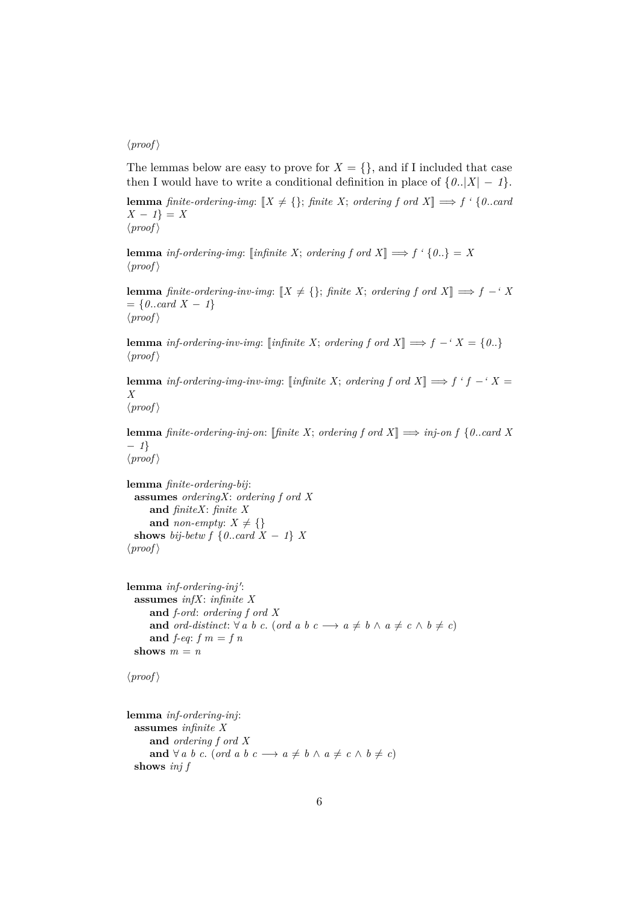#### $\langle proof \rangle$

The lemmas below are easy to prove for  $X = \{\}$ , and if I included that case then I would have to write a conditional definition in place of  $\{0..|X| - 1\}$ .

**lemma** *finite-ordering-img*:  $[X \neq \{\}$ ; *finite X*; *ordering f ord X*]  $\implies$  *f '* {*0...card X* − *1*} = *X*  $\langle proof \rangle$ 

**lemma** *inf-ordering-img*: [*infinite X*; *ordering f ord X*]  $\implies$  *f* ' {0..} = *X*  $\langle proof \rangle$ 

**lemma** *finite-ordering-inv-img*:  $[X \neq \{\}$ ; *finite X*; *ordering f ord X*]  $\implies$  *f* −*'X*  $= \{0..\text{card } X - 1\}$  $\langle proof \rangle$ 

**lemma** *inf-ordering-inv-img*: [*infinite X*; *ordering f ord X*]  $\implies$  *f* − *'X* = {0..}  $\langle proof \rangle$ 

**lemma** *inf-ordering-img-inv-img*: [*infinite X*; *ordering f ord X*]  $\implies$  *f 'f* − '*X* = *X*

 $\langle proof \rangle$ 

**lemma** *finite-ordering-inj-on*: [*finite X*; *ordering f ord X*]  $\implies$  *inj-on f* {0..*card X* − *1*}  $\langle proof \rangle$ 

**lemma** *finite-ordering-bij*: **assumes** *orderingX*: *ordering f ord X* **and** *finiteX*: *finite X* and *non-empty*:  $X \neq \{\}$ **shows** *bij-betw f*  $\{0..\text{card }X - 1\}$  *X*  $\langle proof \rangle$ 

```
lemma inf-ordering-inj':
 assumes infX: infinite X
     and f-ord: ordering f ord X
     and ord-distinct: \forall a \ b \ c. (ord a b \ c \longrightarrow a \neq b \land a \neq c \land b \neq c)
     and f-eq: f m = f nshows m = n
```

```
\langle proof \rangle
```

```
lemma inf-ordering-inj:
 assumes infinite X
    and ordering f ord X
    and ∀ a b c. (ord a b c → a ≠ b \land a ≠ c \land b ≠ c)
 shows inj f
```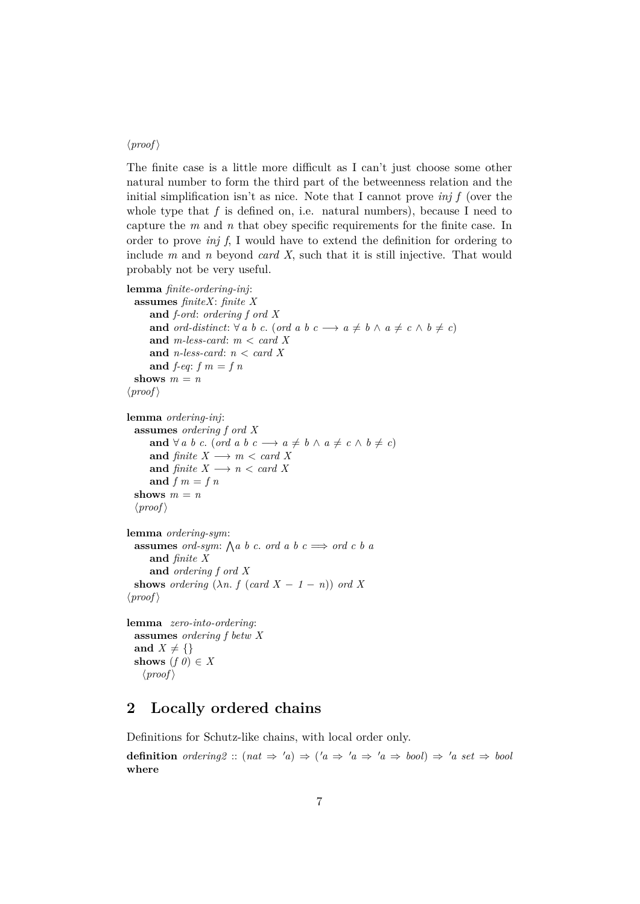### $\langle proof \rangle$

The finite case is a little more difficult as I can't just choose some other natural number to form the third part of the betweenness relation and the initial simplification isn't as nice. Note that I cannot prove *inj f* (over the whole type that  $f$  is defined on, i.e. natural numbers), because I need to capture the *m* and *n* that obey specific requirements for the finite case. In order to prove *inj f*, I would have to extend the definition for ordering to include *m* and *n* beyond *card X*, such that it is still injective. That would probably not be very useful.

```
lemma finite-ordering-inj:
  assumes finiteX: finite X
      and f-ord: ordering f ord X
      and ord-distinct: \forall a \ b \ c. (ord a b \ c \longrightarrow a \neq b \ \land \ a \neq c \ \land \ b \neq c)
      and m-less-card: m < card X
      and n-less-card: n < card X
      and f-eq: f m = f nshows m = n\langle proof \ranglelemma ordering-inj:
  assumes ordering f ord X
      and \forall a \ b \ c. (ord a \ b \ c \longrightarrow a \neq b \ \land \ a \neq c \ \land \ b \neq c)
      and finite X \longrightarrow m < \text{card } Xand finite X \longrightarrow n < \text{card } Xand f m = f n
  shows m = n\langle proof \ranglelemma ordering-sym:
  assumes ord-sym: \bigwedge a \ b \ c. ord a \ b \ c \implies ord c \ b \ aand finite X
      and ordering f ord X
  shows ordering (\lambda n. f (card X - 1 - n)) ord X
\langle proof \ranglelemma zero-into-ordering:
  assumes ordering f betw X
  and X \neq \{\}shows (f \theta) \in X
```
#### $\langle proof \rangle$

## <span id="page-6-0"></span>**2 Locally ordered chains**

Definitions for Schutz-like chains, with local order only.

**definition** *ordering2* ::  $(nat \Rightarrow 'a) \Rightarrow ('a \Rightarrow 'a \Rightarrow 'a \Rightarrow bool) \Rightarrow 'a \; set \Rightarrow bool$ **where**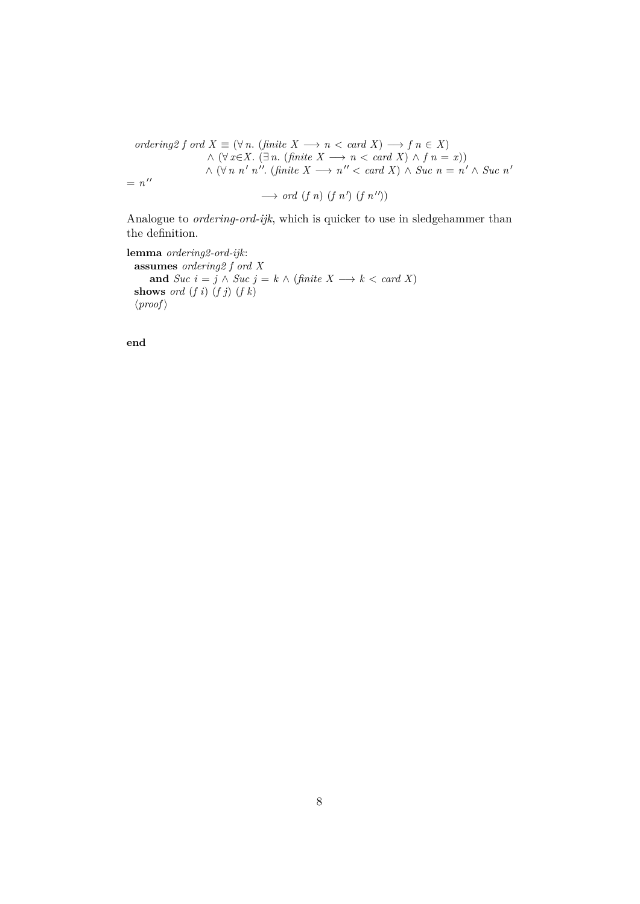$ordering2 f \text{ ord } X \equiv (\forall n. \text{ (finite } X \longrightarrow n \ltq \text{ card } X) \longrightarrow f \text{ } n \in X)$  $\land$  (∀ *x*∈*X*. (∃ *n*. (*finite X* → *n* < *card X*)  $\land$  *f n* = *x*))  $\wedge$  ( $\forall n \; n'$  *n*". (finite  $X \longrightarrow n'' < \text{card } X$ )  $\wedge$  Suc  $n = n' \wedge \text{Suc } n'$  $= n^{\prime\prime}$  $\longrightarrow$  *ord* (*f n*) (*f n'*) (*f n''*))

Analogue to *ordering-ord-ijk*, which is quicker to use in sledgehammer than the definition.

**lemma** *ordering2-ord-ijk*: **assumes** *ordering2 f ord X* **and**  $Suc$   $i = j \land Suc$   $j = k \land (finite X \rightarrow k < card X)$ **shows** *ord* (*f i*) (*f j*) (*f k*)  $\langle proof \rangle$ 

**end**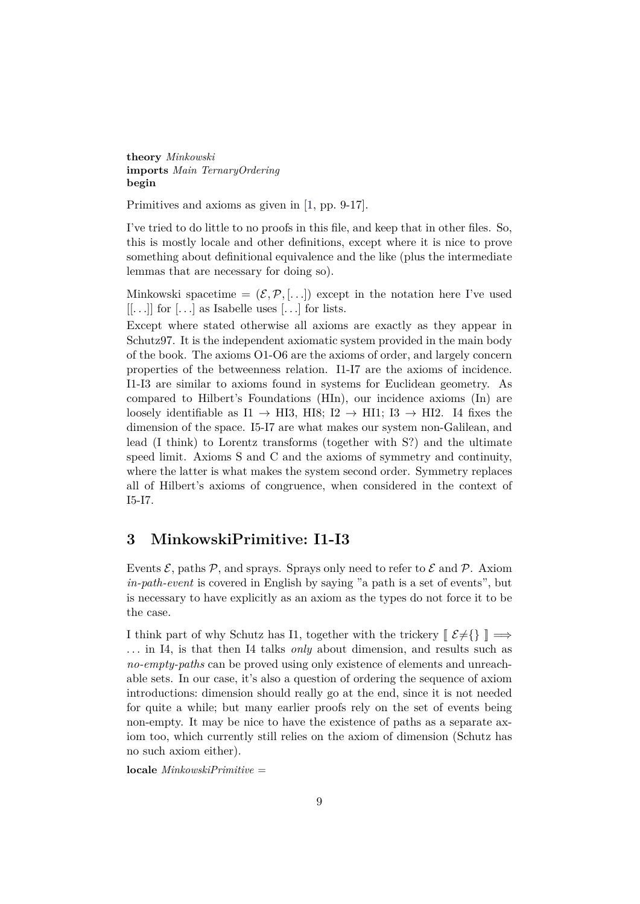**theory** *Minkowski* **imports** *Main TernaryOrdering* **begin**

Primitives and axioms as given in [\[1,](#page-64-0) pp. 9-17].

I've tried to do little to no proofs in this file, and keep that in other files. So, this is mostly locale and other definitions, except where it is nice to prove something about definitional equivalence and the like (plus the intermediate lemmas that are necessary for doing so).

Minkowski spacetime =  $(\mathcal{E}, \mathcal{P}, \ldots)$  except in the notation here I've used  $[...]$  for  $[...]$  as Isabelle uses  $[...]$  for lists.

Except where stated otherwise all axioms are exactly as they appear in Schutz97. It is the independent axiomatic system provided in the main body of the book. The axioms O1-O6 are the axioms of order, and largely concern properties of the betweenness relation. I1-I7 are the axioms of incidence. I1-I3 are similar to axioms found in systems for Euclidean geometry. As compared to Hilbert's Foundations (HIn), our incidence axioms (In) are loosely identifiable as I1  $\rightarrow$  HI3, HI8; I2  $\rightarrow$  HI1; I3  $\rightarrow$  HI2. I4 fixes the dimension of the space. I5-I7 are what makes our system non-Galilean, and lead (I think) to Lorentz transforms (together with S?) and the ultimate speed limit. Axioms S and C and the axioms of symmetry and continuity, where the latter is what makes the system second order. Symmetry replaces all of Hilbert's axioms of congruence, when considered in the context of I5-I7.

## <span id="page-8-0"></span>**3 MinkowskiPrimitive: I1-I3**

Events  $\mathcal{E}$ , paths  $\mathcal{P}$ , and sprays. Sprays only need to refer to  $\mathcal{E}$  and  $\mathcal{P}$ . Axiom *in-path-event* is covered in English by saying "a path is a set of events", but is necessary to have explicitly as an axiom as the types do not force it to be the case.

I think part of why Schutz has I1, together with the trickery  $[\mathcal{E}\neq\{\}\] \Longrightarrow$ . . . in I4, is that then I4 talks *only* about dimension, and results such as *no-empty-paths* can be proved using only existence of elements and unreachable sets. In our case, it's also a question of ordering the sequence of axiom introductions: dimension should really go at the end, since it is not needed for quite a while; but many earlier proofs rely on the set of events being non-empty. It may be nice to have the existence of paths as a separate axiom too, which currently still relies on the axiom of dimension (Schutz has no such axiom either).

**locale** *MinkowskiPrimitive* =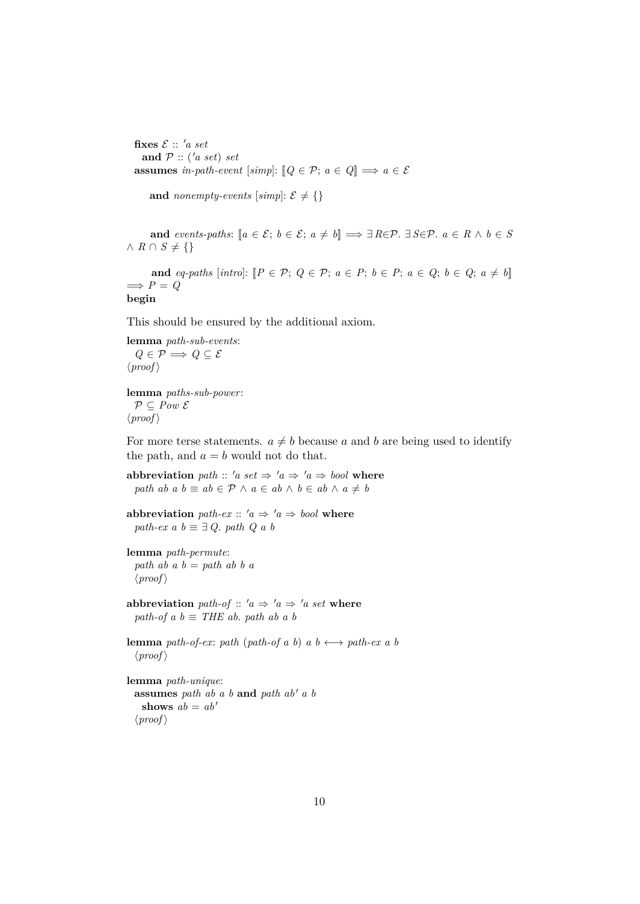fixes  $\mathcal{E}$  :: 'a set and  $P$  :: ('*a set*) *set* **assumes** *in-path-event* [*simp*]:  $[Q \in \mathcal{P}; a \in Q] \implies a \in \mathcal{E}$ 

**and** *nonempty-events* [simp]:  $\mathcal{E} \neq \{\}$ 

**and** *events-paths*:  $[a \in \mathcal{E}; b \in \mathcal{E}; a \neq b] \implies \exists R \in \mathcal{P}$ .  $\exists S \in \mathcal{P}$ .  $a \in R \land b \in S$  $∧$  *R* ∩ *S*  $\neq$  {}

**and**  $eq\text{-}paths$  [intro]:  $[P \in \mathcal{P}; Q \in \mathcal{P}; a \in P; b \in P; a \in Q; b \in Q; a \neq b$ ]  $\implies P = Q$ **begin**

This should be ensured by the additional axiom.

**lemma** *path-sub-events*:  $Q \in \mathcal{P} \Longrightarrow Q \subseteq \mathcal{E}$  $\langle proof \rangle$ 

**lemma** *paths-sub-power*:  $P \subseteq Pow \mathcal{E}$  $\langle proof \rangle$ 

For more terse statements.  $a \neq b$  because a and b are being used to identify the path, and  $a = b$  would not do that.

**abbreviation** *path* :: '*a set*  $\Rightarrow$  '*a*  $\Rightarrow$  '*a*  $\Rightarrow$  *bool* where *path ab a b*  $\equiv$  *ab*  $\in$   $P \wedge a \in$  *ab*  $\wedge$  *b*  $\in$  *ab*  $\wedge$  *a*  $\neq$  *b* 

```
abbreviation path-ex :: 'a \Rightarrow 'a \Rightarrow bool where
  path-ex a b \equiv \exists Q. path Q a b
```

```
lemma path-permute:
  path ab a b = path ab b a
  \langle proof \rangle
```
**abbreviation** *path-of*  $:: 'a \Rightarrow 'a \Rightarrow 'a \text{ set where}$ *path-of a b*  $\equiv$  *THE ab. path ab a b* 

**lemma** *path-of-ex: path* (*path-of a b*)  $a \thinspace b \leftrightarrow \textit{path-ex } a \thinspace b$  $\langle proof \rangle$ 

**lemma** *path-unique*: **assumes** *path ab a b* **and** *path ab' a b* **shows**  $ab = ab'$  $\langle proof \rangle$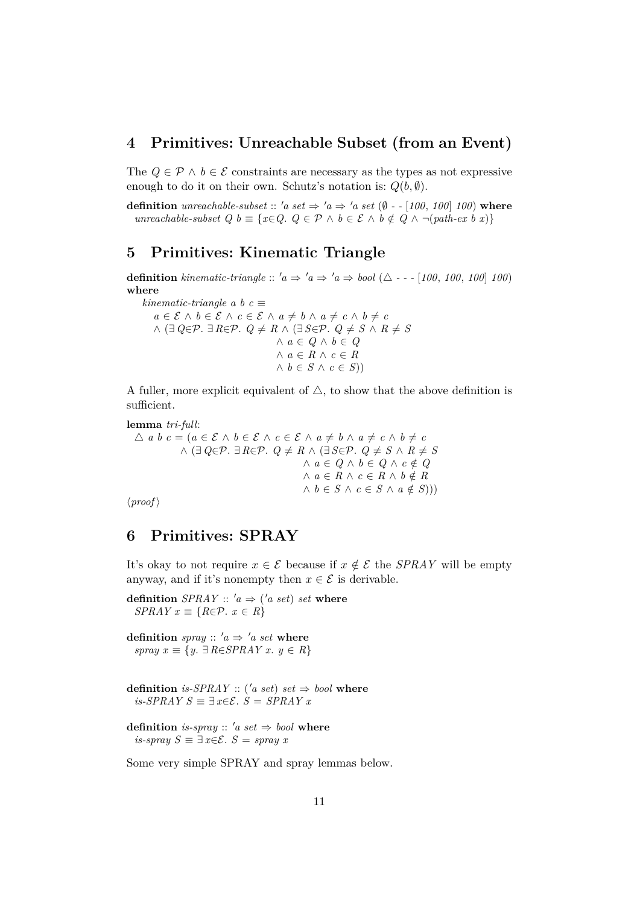## <span id="page-10-0"></span>**4 Primitives: Unreachable Subset (from an Event)**

The  $Q \in \mathcal{P} \land b \in \mathcal{E}$  constraints are necessary as the types as not expressive enough to do it on their own. Schutz's notation is:  $Q(b, \emptyset)$ .

**definition** *unreachable-subset* :: 'a set  $\Rightarrow$  'a  $\Rightarrow$  'a set ( $\emptyset$  - - [100, 100] 100) where *unreachable-subset Q b* ≡ { $x \in Q$ .  $Q \in \mathcal{P} \land b \in \mathcal{E} \land b \notin Q \land \neg (path-ex\ b\ x)$ }

# <span id="page-10-1"></span>**5 Primitives: Kinematic Triangle**

**definition** kinematic-triangle ::  $a \Rightarrow a \Rightarrow b \cdot a \Rightarrow b \cdot a \Rightarrow b \cdot a \Rightarrow b \cdot a \cdot (100, 100, 100)$ **where**

*kinematic-triangle a b c*  $\equiv$ *a* ∈  $\mathcal{E}$  ∧ *b* ∈  $\mathcal{E}$  ∧ *c* ∈  $\mathcal{E}$  ∧ *a*  $\neq$  *b* ∧ *a*  $\neq$  *c* ∧ *b*  $\neq$  *c*  $\land$  (∃  $Q \in \mathcal{P}$ . ∃  $R \in \mathcal{P}$ .  $Q \neq R$   $\land$  (∃  $S \in \mathcal{P}$ .  $Q \neq S$   $\land$   $R \neq S$ ∧ *a* ∈ *Q* ∧ *b* ∈ *Q* ∧ *a* ∈ *R* ∧ *c* ∈ *R*  $∧ b ∈ S ∧ c ∈ S()$ 

A fuller, more explicit equivalent of  $\triangle$ , to show that the above definition is sufficient.

**lemma** *tri-full*:  $\triangle$  *a b*  $c = (a \in \mathcal{E} \land b \in \mathcal{E} \land c \in \mathcal{E} \land a \neq b \land a \neq c \land b \neq c)$  $\land$  (∃  $Q \in \mathcal{P}$ . ∃  $R \in \mathcal{P}$ .  $Q \neq R$   $\land$  (∃  $S \in \mathcal{P}$ .  $Q \neq S$   $\land$   $R \neq S$  $∧ a ∈ Q ∧ b ∈ Q ∧ c ∉ Q$  $∧ a ∈ R ∧ c ∈ R ∧ b ∉ R$  $\wedge$  *b* ∈ *S*  $\wedge$  *c* ∈ *S*  $\wedge$  *a* ∉ *S*)))

 $\langle proof \rangle$ 

# <span id="page-10-2"></span>**6 Primitives: SPRAY**

It's okay to not require  $x \in \mathcal{E}$  because if  $x \notin \mathcal{E}$  the *SPRAY* will be empty anyway, and if it's nonempty then  $x \in \mathcal{E}$  is derivable.

**definition**  $SPRAY :: 'a \Rightarrow ('a \; set) \; set \; where$ *SPRAY*  $x \equiv \{R \in \mathcal{P} \colon x \in R\}$ 

**definition** *spray* ::  $'a \Rightarrow 'a \text{ set where}$ *spray x* ≡ {*y*. ∃ *R*∈*SPRAY x*. *y* ∈ *R*}

**definition** *is-SPRAY* :: ('*a set*) *set*  $\Rightarrow$  *bool* where *is-SPRAY S*  $\equiv \exists x \in \mathcal{E}$ . *S* = *SPRAY x* 

**definition** *is-spray* ::  $'a$  *set*  $\Rightarrow$  *bool* **where** *is-spray*  $S \equiv \exists x \in \mathcal{E}$ .  $S =$  *spray* x

Some very simple SPRAY and spray lemmas below.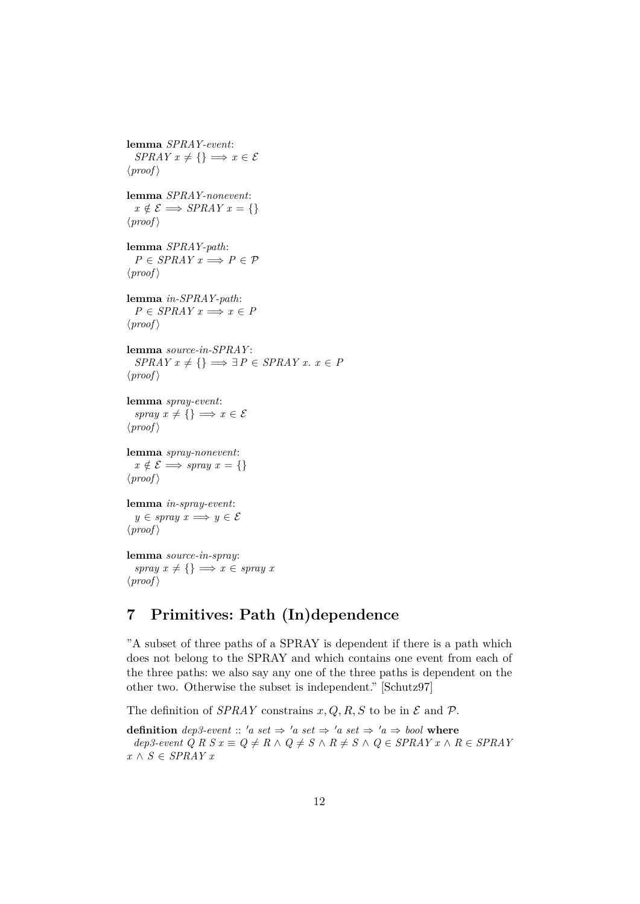**lemma** *SPRAY-event*: *SPRAY*  $x \neq \{\} \implies x \in \mathcal{E}$  $\langle proof \rangle$ **lemma** *SPRAY-nonevent*:  $x \notin \mathcal{E} \Longrightarrow SPRAY \, x = \{\}$  $\langle proof \rangle$ **lemma** *SPRAY-path*:  $P \in SPRAY \, x \Longrightarrow P \in \mathcal{P}$  $\langle proof \rangle$ **lemma** *in-SPRAY-path*:  $P \in SPRAY \times x \Longrightarrow x \in P$  $\langle proof \rangle$ **lemma** *source-in-SPRAY* :  $SPRAY \, x \neq \{\} \implies \exists P \in SPRAY \, x. \, x \in P$  $\langle proof \rangle$ **lemma** *spray-event*: *spray*  $x \neq \{\} \implies x \in \mathcal{E}$  $\langle proof \rangle$ **lemma** *spray-nonevent*:  $x \notin \mathcal{E} \Longrightarrow \text{spray } x = \{\}$  $\langle proof \rangle$ **lemma** *in-spray-event*:  $y \in \text{spray } x \Longrightarrow y \in \mathcal{E}$  $\langle proof \rangle$ **lemma** *source-in-spray*: *spray*  $x \neq \{\} \implies x \in \text{spray } x$  $\langle proof \rangle$ 

# <span id="page-11-0"></span>**7 Primitives: Path (In)dependence**

"A subset of three paths of a SPRAY is dependent if there is a path which does not belong to the SPRAY and which contains one event from each of the three paths: we also say any one of the three paths is dependent on the other two. Otherwise the subset is independent." [Schutz97]

The definition of *SPRAY* constrains  $x, Q, R, S$  to be in  $\mathcal E$  and  $\mathcal P$ .

**definition**  $dep3-event :: 'a set \Rightarrow 'a set \Rightarrow 'a set \Rightarrow 'a set \Rightarrow 'a \Rightarrow bool$  where  $dep3-event \ Q \ R \ S \ x \equiv \ Q \neq \ R \ \land \ Q \neq \ S \ \land \ R \neq \ S \ \land \ Q \in SPRAY \ x \ \land \ R \in SPRAY$ *x* ∧ *S* ∈ *SPRAY x*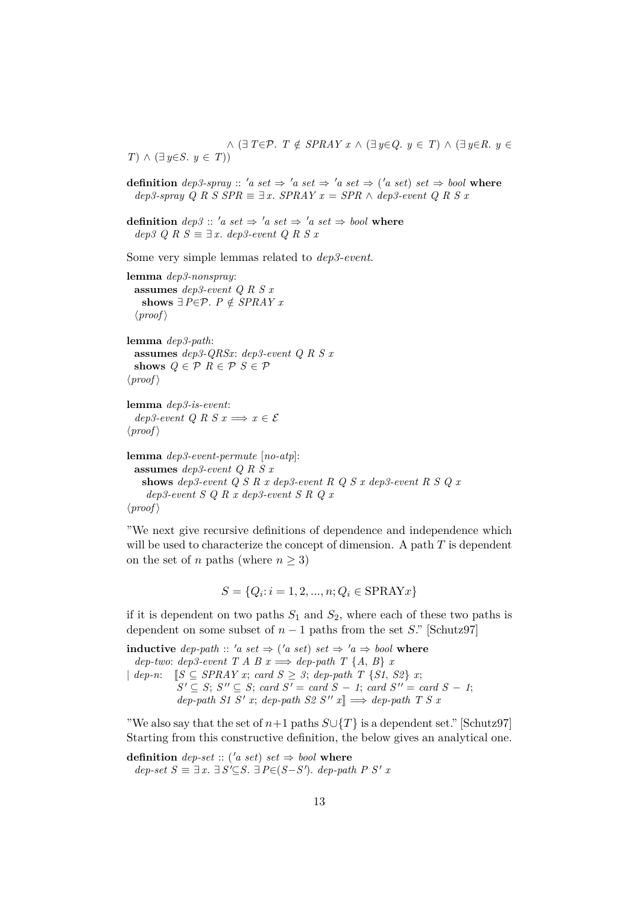$\wedge$  (∃  $T \in \mathcal{P}$ .  $T \notin SPRAY \times \wedge (\exists y \in Q, y \in T) \wedge (\exists y \in R, y \in T)$ *T*) ∧ (∃ *y*∈*S*. *y* ∈ *T*))

**definition**  $dep3-spray :: 'a set \Rightarrow 'a set \Rightarrow 'a set \Rightarrow ('a set) set \Rightarrow bool$  where  $dep3-spray \ Q \ R \ S \ SPR \equiv \exists x. \ SPR \ A \ P \ P \ A \ \ dep3-event \ Q \ R \ S \ x$ 

**definition**  $dep3 :: 'a set \Rightarrow 'a set \Rightarrow 'a set \Rightarrow bool$  where  $dep3$  Q R S ≡ ∃ x.  $dep3$ -event Q R S x

Some very simple lemmas related to *dep3-event*.

```
lemma dep3-nonspray:
 assumes dep3-event Q R S x
   shows ∃P∈P. P ∉ SPRAY x\langle proof \ranglelemma dep3-path:
 assumes dep3-QRSx: dep3-event Q R S x
  shows Q \in \mathcal{P} R \in \mathcal{P} S \in \mathcal{P}
```
 $\langle proof \rangle$ 

**lemma** *dep3-is-event*: *dep3-event Q R S x*  $\implies x \in \mathcal{E}$  $\langle proof \rangle$ 

**lemma** *dep3-event-permute* [*no-atp*]: **assumes** *dep3-event Q R S x* **shows** *dep3-event Q S R x dep3-event R Q S x dep3-event R S Q x dep3-event S Q R x dep3-event S R Q x*  $\langle proof \rangle$ 

"We next give recursive definitions of dependence and independence which will be used to characterize the concept of dimension. A path  $T$  is dependent on the set of n paths (where  $n \geq 3$ )

$$
S = \{Q_i : i = 1, 2, ..., n; Q_i \in \text{SPRAYx}\}\
$$

if it is dependent on two paths  $S_1$  and  $S_2$ , where each of these two paths is dependent on some subset of  $n-1$  paths from the set S." [Schutz97]

**inductive** *dep-path* :: '*a set*  $\Rightarrow$  ('*a set*) *set*  $\Rightarrow$  '*a*  $\Rightarrow$  *bool* where  $dep \text{-}two: \text{ } dep3\text{-}event \text{ }T \text{ }A \text{ }B \text{ }x \Longrightarrow \text{ }dep\text{-}path \text{ }T \text{ } \{A, B\} \text{ }x$ | *dep-n*:  $[ S ⊆ SPRAY x; card S ≥ 3; dep-path T {S1, S2} x;$  $S' \subseteq S$ ;  $S'' \subseteq S$ ; *card*  $S' = \text{card } S - 1$ ; *card*  $S'' = \text{card } S - 1$ ;  $dep\text{-}path\ S1\ S'\ x; \ dep\text{-}path\ S2\ S''\ x \rbrack \Rightarrow \text{dep\text{-}path}\ T\ S\ x$ 

"We also say that the set of  $n+1$  paths  $S\cup\{T\}$  is a dependent set." [Schutz97] Starting from this constructive definition, the below gives an analytical one.

**definition** *dep-set* :: ('*a set*) *set*  $\Rightarrow$  *bool* **where**  $dep\text{-}set S \equiv \exists x. \exists S' \subseteq S. \exists P \in (S - S')$ .  $dep\text{-}path P S' x$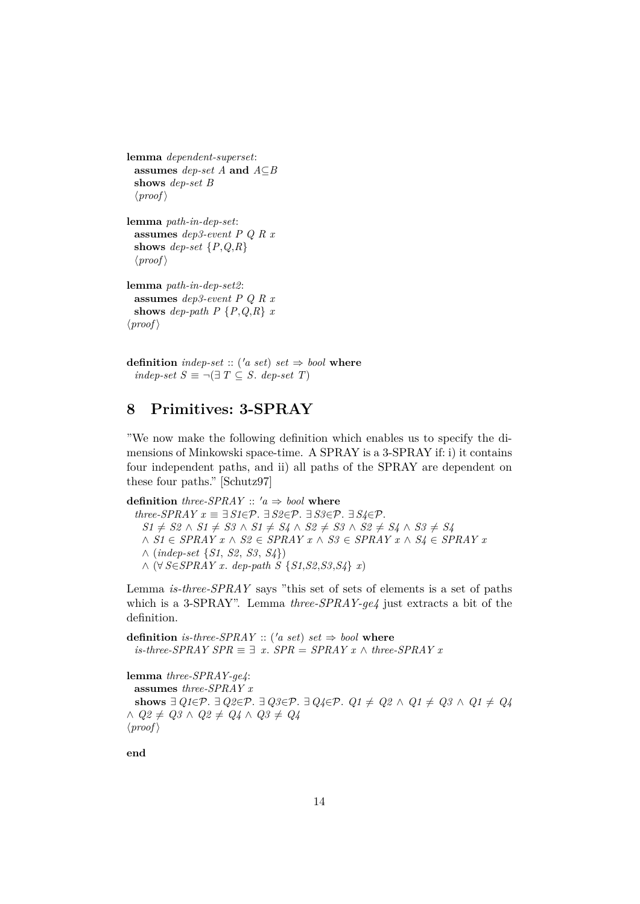```
lemma dependent-superset:
 assumes dep-set A and A⊆B
 shows dep-set B
  \langle proof \ranglelemma path-in-dep-set:
  assumes dep3-event P Q R x
 shows dep-set \{P,Q,R\}\langle proof \ranglelemma path-in-dep-set2:
 assumes dep3-event P Q R x
 shows dep-path P \{P,Q,R\} x\langle proof \rangle
```
**definition** *indep-set* :: ('*a set*) *set*  $\Rightarrow$  *bool* **where** *indep-set*  $S \equiv \neg (\exists T \subseteq S$ *. dep-set*  $T)$ 

# <span id="page-13-0"></span>**8 Primitives: 3-SPRAY**

"We now make the following definition which enables us to specify the dimensions of Minkowski space-time. A SPRAY is a 3-SPRAY if: i) it contains four independent paths, and ii) all paths of the SPRAY are dependent on these four paths." [Schutz97]

**definition** *three-SPRAY* ::  $'a \Rightarrow bool$  **where**  $three\text{-}SPRAY \ x \equiv \exists S1 \in \mathcal{P}$ .  $\exists S2 \in \mathcal{P}$ .  $\exists S3 \in \mathcal{P}$ .  $\exists S4 \in \mathcal{P}$ . *S1*  $\neq$  *S2* ∧ *S1*  $\neq$  *S3* ∧ *S1*  $\neq$  *S4* ∧ *S2*  $\neq$  *S3* ∧ *S2*  $\neq$  *S4* ∧ *S3*  $\neq$  *S4* ∧ *S1* ∈ *SPRAY x* ∧ *S2* ∈ *SPRAY x* ∧ *S3* ∈ *SPRAY x* ∧ *S4* ∈ *SPRAY x* ∧ (*indep-set* {*S1*, *S2*, *S3*, *S4*}) ∧ (∀ *S*∈*SPRAY x*. *dep-path S* {*S1*,*S2*,*S3*,*S4*} *x*)

Lemma *is-three-SPRAY* says "this set of sets of elements is a set of paths which is a 3-SPRAY". Lemma *three-SPRAY-ge4* just extracts a bit of the definition.

**definition** *is-three-SPRAY* :: ('*a set*) *set*  $\Rightarrow$  *bool* where *is-three-SPRAY SPR*  $\equiv$   $\exists$  *x*. *SPR* = *SPRAY x* ∧ *three-SPRAY x* 

**lemma** *three-SPRAY-ge4*: **assumes** *three-SPRAY x* **shows** ∃  $Q1 \in \mathcal{P}$ . ∃  $Q2 \in \mathcal{P}$ . ∃  $Q3 \in \mathcal{P}$ . ∃  $Q4 \in \mathcal{P}$ .  $Q1 \neq Q2 \land Q1 \neq Q3 \land Q1 \neq Q4$  $∧$  *Q2*  $\neq$  *Q3*  $∧$  *Q2*  $\neq$  *Q4*  $∧$  *Q3*  $\neq$  *Q4*  $\langle proof \rangle$ 

**end**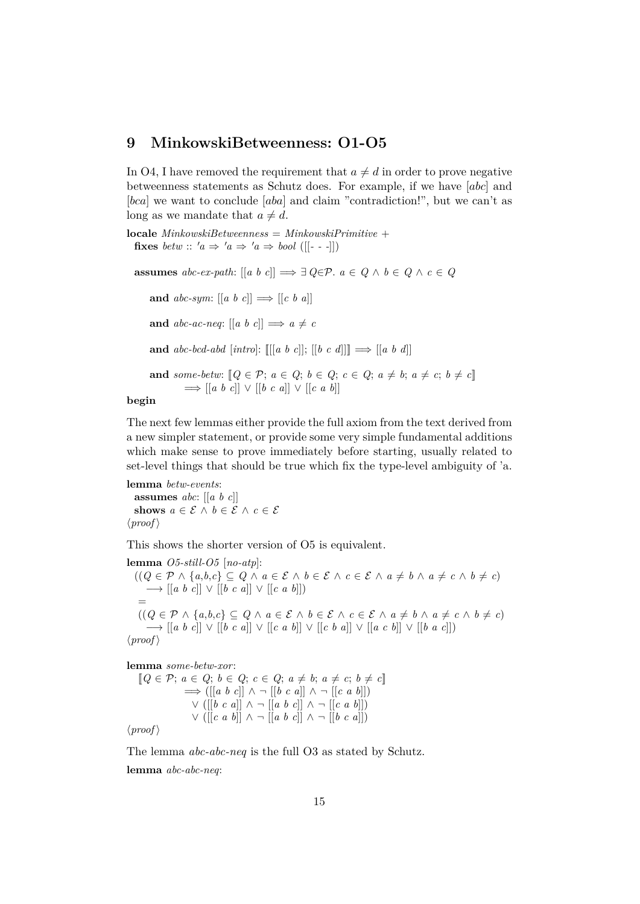## <span id="page-14-0"></span>**9 MinkowskiBetweenness: O1-O5**

In O4, I have removed the requirement that  $a \neq d$  in order to prove negative betweenness statements as Schutz does. For example, if we have [abc] and [bca] we want to conclude [aba] and claim "contradiction!", but we can't as long as we mandate that  $a \neq d$ .

**locale** *MinkowskiBetweenness* = *MinkowskiPrimitive* + **fixes** *betw* :: ' $a \Rightarrow 'a \Rightarrow 'a \Rightarrow bool$  ([[---]])

**assumes**  $abc\text{-}ex\text{-}path$ :  $[[a \ b \ c]] \Longrightarrow \exists Q \in \mathcal{P}$ .  $a \in Q \land b \in Q \land c \in Q$ 

**and**  $abc\text{-}sym: [[a \ b \ c]] \Longrightarrow [[c \ b \ a]]$ **and**  $abc$ -ac-neq:  $\begin{bmatrix} a & b & c \end{bmatrix} \implies a \neq c$ **and**  $abc-bcd-abd$  [intro]:  $[[[a \ b \ c]]]$ ;  $[[b \ c \ d]]] \implies [[a \ b \ d]]$ **and** some-betw:  $[Q \in \mathcal{P}; a \in Q; b \in Q; c \in Q; a \neq b; a \neq c; b \neq c]$ =⇒ [[*a b c*]] ∨ [[*b c a*]] ∨ [[*c a b*]]

#### **begin**

The next few lemmas either provide the full axiom from the text derived from a new simpler statement, or provide some very simple fundamental additions which make sense to prove immediately before starting, usually related to set-level things that should be true which fix the type-level ambiguity of 'a.

**lemma** *betw-events*: **assumes** *abc*: [[*a b c*]] **shows**  $a \in \mathcal{E} \land b \in \mathcal{E} \land c \in \mathcal{E}$  $\langle proof \rangle$ 

This shows the shorter version of O5 is equivalent.

**lemma** *O5-still-O5* [*no-atp*]:  $((Q \in \mathcal{P} \land \{a,b,c\} \subseteq Q \land a \in \mathcal{E} \land b \in \mathcal{E} \land c \in \mathcal{E} \land a \neq b \land a \neq c \land b \neq c)$ −→ [[*a b c*]] ∨ [[*b c a*]] ∨ [[*c a b*]]) =  $(Q \in \mathcal{P} \land \{a,b,c\} \subseteq Q \land a \in \mathcal{E} \land b \in \mathcal{E} \land c \in \mathcal{E} \land a \neq b \land a \neq c \land b \neq c)$ −→ [[*a b c*]] ∨ [[*b c a*]] ∨ [[*c a b*]] ∨ [[*c b a*]] ∨ [[*a c b*]] ∨ [[*b a c*]])  $\langle proof \rangle$ 

**lemma** *some-betw-xor*:

```
[Q \in \mathcal{P}; a \in Q; b \in Q; c \in Q; a \neq b; a \neq c; b \neq c]=⇒ ([[a b c]] ∧ ¬ [[b c a]] ∧ ¬ [[c a b]])
              ∨ ([[b c a]] ∧ ¬ [[a b c]] ∧ ¬ [[c a b]])
              ∨ ([[c a b]] ∧ ¬ [[a b c]] ∧ ¬ [[b c a]])
```
 $\langle proof \rangle$ 

The lemma *abc-abc-neq* is the full O3 as stated by Schutz. **lemma** *abc-abc-neq*: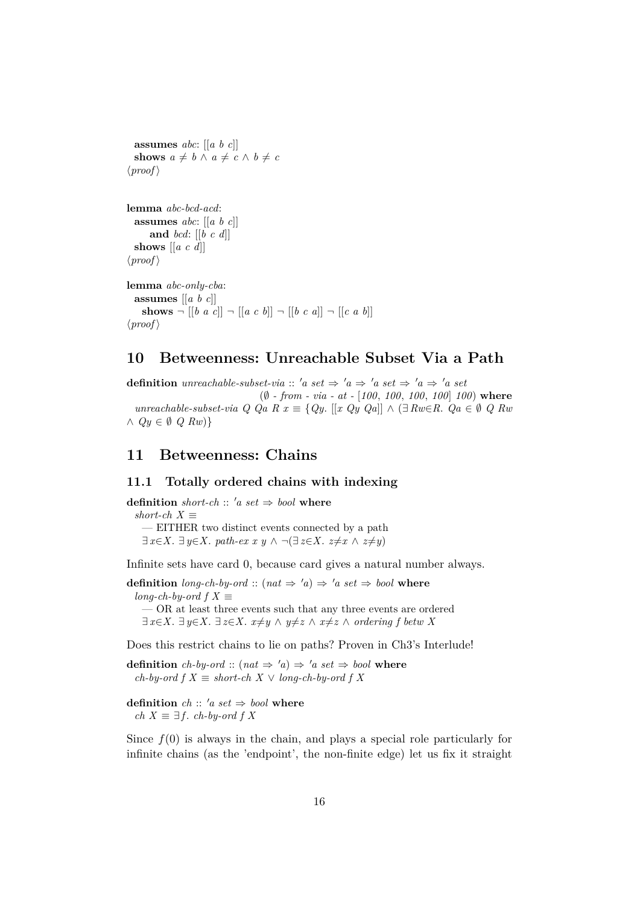```
assumes abc: [[a b c]]
  shows a \neq b \land a \neq c \land b \neq c\langle proof \ranglelemma abc-bcd-acd:
  assumes abc: [[a b c]]
      and bcd: [[b c d]]
  shows [[a c d]]
\langle proof \ranglelemma abc-only-cba:
  assumes [[a b c]]
    shows \neg [ [b \ a \ c] ]\neg [a \ c \ b] ]\neg [b \ c \ a] \neg [c \ a \ b]\langle proof \rangle
```
# <span id="page-15-0"></span>**10 Betweenness: Unreachable Subset Via a Path**

**definition** *unreachable-subset-via* :: 'a set  $\Rightarrow$  'a  $\Rightarrow$  'a set  $\Rightarrow$  'a  $\Rightarrow$  'a set (∅ *- from - via - at -* [*100*, *100*, *100*, *100*] *100*) **where** *unreachable-subset-via Q Qa R x* ≡ {*Qy*. [[*x Qy Qa*]] ∧ (∃ *Rw*∈*R*. *Qa* ∈ ∅ *Q Rw* ∧ *Qy* ∈ ∅ *Q Rw*)}

## <span id="page-15-1"></span>**11 Betweenness: Chains**

### <span id="page-15-2"></span>**11.1 Totally ordered chains with indexing**

**definition** *short-ch* :: 'a set  $\Rightarrow$  *bool* **where**  $short-ch X \equiv$ — EITHER two distinct events connected by a path  $\exists x \in X$ .  $\exists y \in X$ . *path-ex x y*  $\land \neg (\exists z \in X$ .  $z \neq x \land z \neq y)$ 

Infinite sets have card 0, because card gives a natural number always.

**definition** *long-ch-by-ord* :: ( $nat \Rightarrow 'a$ )  $\Rightarrow 'a \, set \Rightarrow bool$  where  $long-ch$ -by-ord  $f X \equiv$ — OR at least three events such that any three events are ordered ∃  $x \in X$ . ∃  $y \in X$ .  $\exists z \in X$ .  $x \neq y \land y \neq z \land x \neq z \land ordering f$  *betw* X

Does this restrict chains to lie on paths? Proven in Ch3's Interlude!

**definition** *ch-by-ord* :: ( $nat \Rightarrow 'a$ )  $\Rightarrow 'a \, set \Rightarrow bool$  where *ch-by-ord f*  $X \equiv short-ch X \vee long-ch-by-ord f X$ 

**definition**  $ch :: 'a \, set \Rightarrow \text{bool}$  **where** *ch*  $X \equiv \exists f$ *. ch-by-ord f X* 

Since  $f(0)$  is always in the chain, and plays a special role particularly for infinite chains (as the 'endpoint', the non-finite edge) let us fix it straight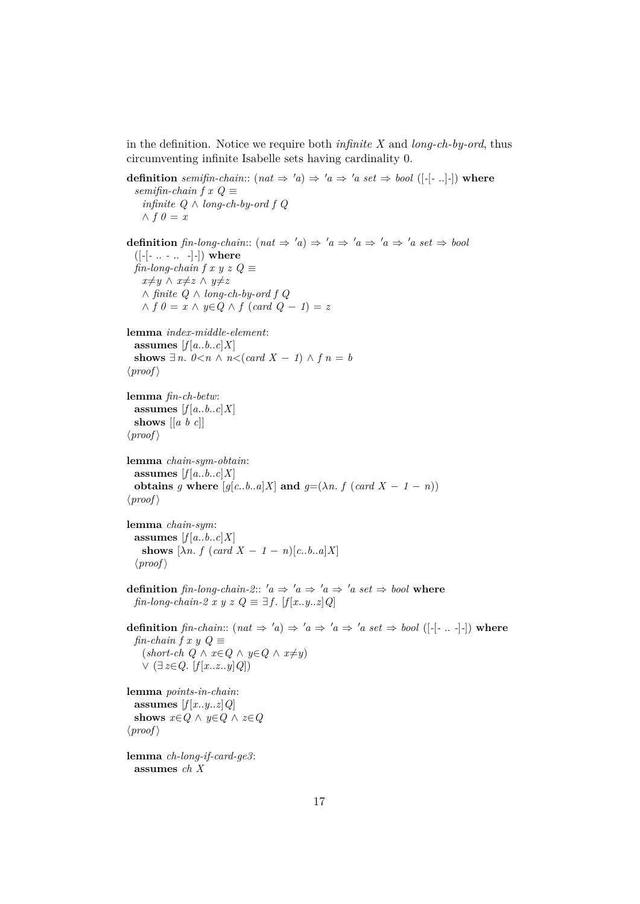in the definition. Notice we require both *infinite X* and *long-ch-by-ord*, thus circumventing infinite Isabelle sets having cardinality 0.

```
definition semifin-chain:: (nat \Rightarrow 'a) \Rightarrow 'a \Rightarrow 'a \text{ set } \Rightarrow \text{bool } ([-[-..]-]) where
  semifin-chain f x Q \equivinfinite Q ∧ long-ch-by-ord f Q
    ∧ f ∅ = xdefinition fin-long-chain:: (nat \Rightarrow 'a) \Rightarrow 'a \Rightarrow 'a \Rightarrow 'a \Rightarrow 'a set \Rightarrow bool([-[- .. - .. -]-]) where
  \lim-long-chain f x y z Q \equivx≠y ∧ x≠z ∧ y≠z
    ∧ finite Q ∧ long-ch-by-ord f Q
    ∧ f 0 = x ∧ y∈Q ∧ f (card Q − 1) = z
lemma index-middle-element:
  assumes [f[a..b..c]X]shows ∃ n. 0 < n \wedge n < (card X - 1) \wedge f n = b\langle proof \ranglelemma fin-ch-betw:
  assumes [f[a..b..c]X]shows [[a b c]]
\langle proof \ranglelemma chain-sym-obtain:
  assumes [f[a..b..c]X]obtains g where [g[c..b..a]X] and g=(\lambda n. f (card X - 1 - n))\langle proof \ranglelemma chain-sym:
  assumes [f[a..b..c]X]shows [\lambda n. f (card X - 1 - n)[c..b..a]X]\langle proof \rangledefinition fin-long-chain-2:: 'a \Rightarrow 'a \Rightarrow 'a \Rightarrow 'a \text{ set } \Rightarrow \text{bool} where
  fin-long-chain-2 x y z Q \equiv \exists f. [f[x..y..z]Q]
definition fin-chain:: (nat \Rightarrow 'a \Rightarrow 'a \Rightarrow 'a \Rightarrow 'a \text{ set } \Rightarrow \text{bool } ([-[-...]-]) where
  fin-chain f x y Q \equiv(\textit{short-ch } Q \land x \in Q \land y \in Q \land x \neq y)∨ (∃ z∈Q. [f [x..z..y]Q])
lemma points-in-chain:
  assumes [f[x..y..z]Q]shows x \in Q \land y \in Q \land z \in Q\langle proof \ranglelemma ch-long-if-card-ge3:
  assumes ch X
```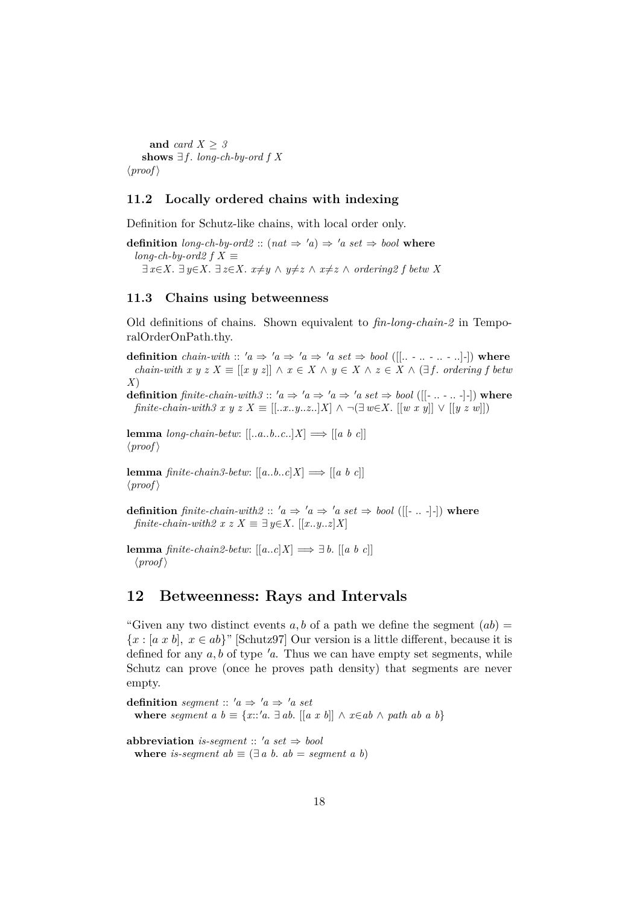**and** *card X* ≥ *3* **shows**  $∃f$ *. long-ch-by-ord f X*  $\langle proof \rangle$ 

#### <span id="page-17-0"></span>**11.2 Locally ordered chains with indexing**

Definition for Schutz-like chains, with local order only.

**definition**  $\text{long-ch-by-ord2} :: (\text{nat} \Rightarrow 'a) \Rightarrow 'a \text{ set} \Rightarrow \text{bool}$  where  $long-ch$ -by-ord2  $f X \equiv$ ∃  $x \in X$ . ∃  $y \in X$ .  $\exists z \in X$ .  $x \neq y \land y \neq z \land x \neq z \land ordering2$  f betw X

### <span id="page-17-1"></span>**11.3 Chains using betweenness**

Old definitions of chains. Shown equivalent to *fin-long-chain-2* in TemporalOrderOnPath.thy.

**definition** *chain-with* ::  $'a \Rightarrow 'a \Rightarrow 'a \Rightarrow 'a \text{ set } \Rightarrow \text{bool } ([[... - ... - ... - ] -])$  where *chain-with x y z X*  $\equiv$  [[*x y z*]]  $\land x \in X \land y \in X \land z \in X \land (\exists f$ . *ordering f betw X*)

**definition** *finite-chain-with3* ::  $'a \Rightarrow 'a \Rightarrow 'a \Rightarrow 'a \text{ set } \Rightarrow \text{bool } ([[-... - 1 - 1 - 1])$  where *finite-chain-with3 x y z X* ≡ [[..*x*..*y..z.*.]*X*] ∧ ¬(∃ *w*∈*X*. [[*w x y*]] ∨ [[*y z w*]])

**lemma** *long-chain-betw*:  $[$ [..*a*..*b*..*c*..]*X*]  $\implies$   $[$ [ $a \ b \ c$ ]]  $\langle proof \rangle$ 

**lemma** *finite-chain3-betw*:  $[[a..b..c]X] \Longrightarrow [[a b c]]$  $\langle proof \rangle$ 

**definition** *finite-chain-with2* ::  $'a \Rightarrow 'a \Rightarrow 'a \text{ set } \Rightarrow \text{bool } ([[.-..-]-])$  where *finite-chain-with2 x z X*  $\equiv \exists y \in X$ . [[*x*..*y*..*z*]*X*]

**lemma** *finite-chain2-betw*:  $[[a..c]X] \Longrightarrow \exists b$ .  $[[a \ b \ c]]$  $\langle proof \rangle$ 

## <span id="page-17-2"></span>**12 Betweenness: Rays and Intervals**

"Given any two distinct events a, b of a path we define the segment  $(ab)$  ${x : [a x b], x \in ab}$ " [Schutz97] Our version is a little different, because it is defined for any  $a, b$  of type  $a$ . Thus we can have empty set segments, while Schutz can prove (once he proves path density) that segments are never empty.

**definition** *segment* ::  $'a \Rightarrow 'a \Rightarrow 'a \text{ set}$ **where** *segment*  $a \ b \equiv \{x::'a \ \exists ab \ [[a \ x \ b]] \ \land \ x \in ab \ \land \ path \ ab \ a \ b\}$ 

**abbreviation** *is-seqment* ::  $'a$  *set*  $\Rightarrow$  *bool* **where** *is-segment*  $ab \equiv (\exists a \ b, \ ab = segment \ a \ b)$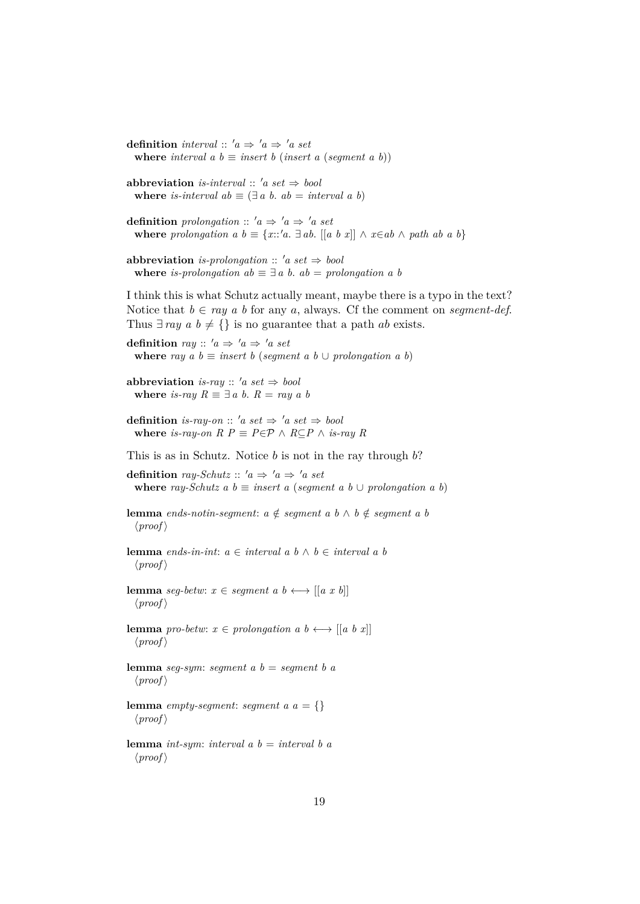**where** *interval*  $a$   $b \equiv$  *insert*  $b$  (*insert*  $a$  (*segment*  $a$   $b$ )) **abbreviation** *is-interval* ::  $'a \text{ set } \Rightarrow \text{ bool}$ **where** *is-interval*  $ab \equiv (\exists a \ b, \ ab = interval \ a \ b)$ **definition** prolongation ::  $'a \Rightarrow 'a \Rightarrow 'a \text{ set}$ **where** *prolongation a*  $b \equiv \{x : a \cdot a \cdot a \cdot b \mid [a \cdot b \cdot x] \mid \wedge x \in ab \wedge path \ ab \ a \ b\}$ **abbreviation** *is-prolongation* ::  $'a$  *set*  $\Rightarrow$  *bool* **where** *is-prolongation*  $ab \equiv \exists a \ b$ .  $ab = prolongation \ a \ b$ I think this is what Schutz actually meant, maybe there is a typo in the text? Notice that  $b \in ray \ a \ b$  for any a, always. Cf the comment on *segment-def.* Thus  $\exists ray \ a \ b \neq {\}$  is no guarantee that a path *ab* exists. **definition** *ray* ::  $'a \Rightarrow 'a \Rightarrow 'a \text{ set}$ **where** *ray*  $a \, b \equiv$  *insert*  $b$  (*segment*  $a \, b \cup$  *prolongation*  $a \, b$ ) **abbreviation** *is-ray* ::  $'a$  *set*  $\Rightarrow$  *bool* **where** *is-ray*  $R \equiv \exists a \ b$ .  $R = ray \ a \ b$ **definition** *is-ray-on* :: '*a set*  $\Rightarrow$  '*a set*  $\Rightarrow$  *bool* **where** *is-ray-on*  $R$   $P$   $\equiv$   $P \in \mathcal{P}$  ∧  $R \subseteq P$  ∧ *is-ray*  $R$ This is as in Schutz. Notice  $b$  is not in the ray through  $b$ ? **definition** *ray-Schutz* ::  $'a \Rightarrow 'a \Rightarrow 'a \text{ set}$ **where** *ray-Schutz*  $a \, b \equiv$  *insert*  $a \, (segment \, a \, b \cup prolongation \, a \, b)$ **lemma** *ends-notin-segment*:  $a \notin segment\ a\ b \land b \notin segment\ a\ b$  $\langle proof \rangle$ **lemma** *ends-in-int*: *a* ∈ *interval a b* ∧ *b* ∈ *interval a b*  $\langle proof \rangle$ **lemma** *seg-betw*:  $x \in segment \ a \ b \longleftrightarrow [[a \ x \ b]]$  $\langle proof \rangle$ **lemma** *pro-betw*:  $x \in prolongation\ a\ b \longleftrightarrow [[a\ b\ x]]$  $\langle proof \rangle$ **lemma** *seg-sym*: *segment a b* = *segment b a*  $\langle proof \rangle$ **lemma** *empty-segment*: *segment*  $a \, a = \{\}$  $\langle proof \rangle$ **lemma** *int-sym*: *interval a b* = *interval b a*  $\langle proof \rangle$ 

**definition** *interval* ::  $'a \Rightarrow 'a \Rightarrow 'a \text{ set}$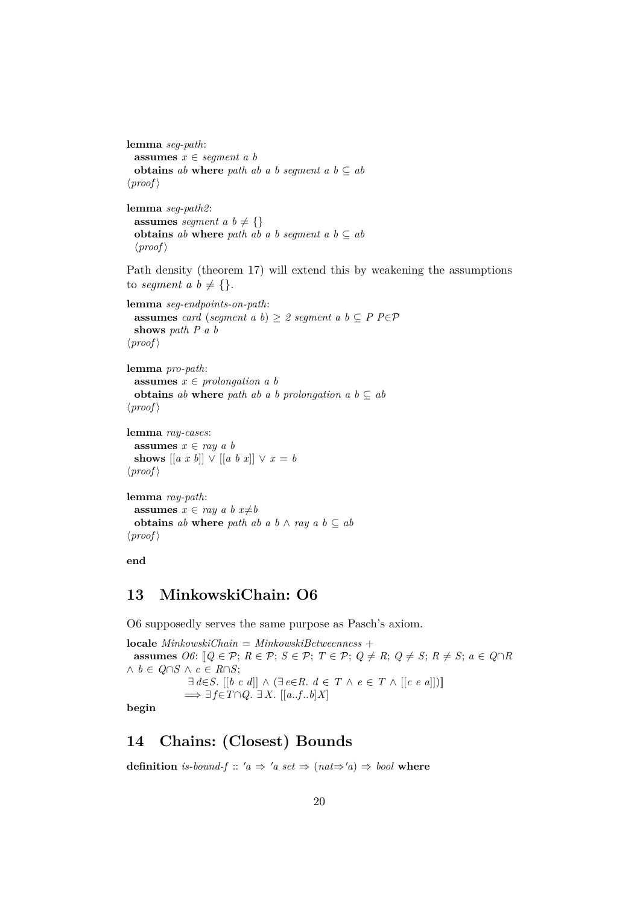```
lemma seg-path:
 assumes x ∈ segment a b
 obtains ab where path ab a b segment a b \subseteq ab\langle proof \rangle
```

```
lemma seg-path2:
 assumes seqment a, b \neq \{\}obtains ab where path ab a b seqment a b \subset ab
 \langle proof \rangle
```
Path density (theorem 17) will extend this by weakening the assumptions to *segment*  $a \, b \neq \{\}.$ 

```
lemma seg-endpoints-on-path:
 assumes card (seqment a b) > 2 seqment a b \subset P P\inP
 shows path P a b
\langle proof \rangle
```

```
lemma pro-path:
 assumes x \in prolongation\ a\ bobtains ab where path ab a b prolongation a b \subseteq ab
\langle proof \rangle
```

```
lemma ray-cases:
  assumes x \in ray a bshows [[a \; x \; b]] \lor [[a \; b \; x]] \lor x = b\langle proof \rangle
```

```
lemma ray-path:
  assumes x \in ray \ a \ b \ x \neq bobtains ab where path ab a b \wedge ray a b \subseteq ab
\langle proof \rangle
```

```
end
```
# <span id="page-19-0"></span>**13 MinkowskiChain: O6**

O6 supposedly serves the same purpose as Pasch's axiom.

**locale** *MinkowskiChain* = *MinkowskiBetweenness* + **assumes**  $O6: [Q \in \mathcal{P}; R \in \mathcal{P}; S \in \mathcal{P}; T \in \mathcal{P}; Q \neq R; Q \neq S; R \neq S; a \in Q \cap R$ ∧ *b* ∈ *Q*∩*S* ∧ *c* ∈ *R*∩*S*; ∃ *d*∈*S*. [[*b c d*]] ∧ (∃ *e*∈*R*. *d* ∈ *T* ∧ *e* ∈ *T* ∧ [[*c e a*]])]] =⇒ ∃ *f*∈*T*∩*Q*. ∃ *X*. [[*a*..*f* ..*b*]*X*] **begin**

# <span id="page-19-1"></span>**14 Chains: (Closest) Bounds**

**definition** is-bound-f::  $'a \Rightarrow 'a \text{ set } \Rightarrow (nat \Rightarrow 'a) \Rightarrow bool$  where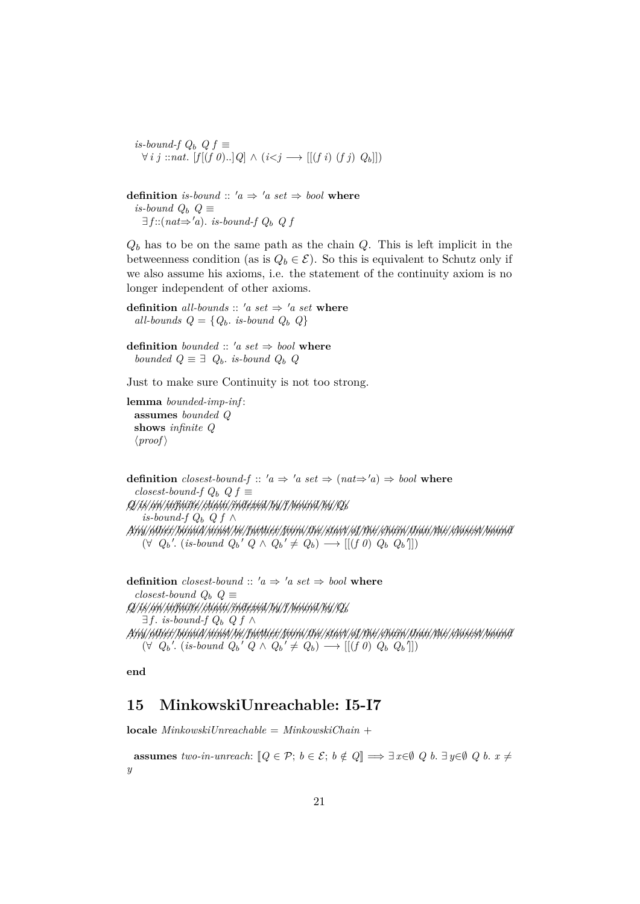*is-bound-f Q<sub>b</sub>*  $Q$ *f* ≡ ∀ *i j* ::*nat*. [*f* [(*f 0*)..]*Q*] ∧ (*i*<*j* −→ [[(*f i*) (*f j*) *Q*b]])

**definition** *is-bound* ::  $'a \Rightarrow 'a \text{ set } \Rightarrow \text{bool}$  **where** *is-bound*  $Q_b$   $Q$  ≡  $\exists f$  ::( $nat \Rightarrow 'a$ ). *is-bound-f Q<sub>b</sub> Q f* 

 $Q_b$  has to be on the same path as the chain  $Q$ . This is left implicit in the betweenness condition (as is  $Q_b \in \mathcal{E}$ ). So this is equivalent to Schutz only if we also assume his axioms, i.e. the statement of the continuity axiom is no longer independent of other axioms.

**definition** *all-bounds* ::  $'a$  *set*  $\Rightarrow$   $'a$  *set* **where** *all-bounds*  $Q = \{Q_b, \text{ is-bound } Q_b \ Q\}$ 

**definition** *bounded* :: 'a set  $\Rightarrow$  *bool* **where** *bounded*  $Q \equiv \exists Q_b$ . *is-bound*  $Q_b$  *Q* 

Just to make sure Continuity is not too strong.

**lemma** *bounded-imp-inf* : **assumes** *bounded Q* **shows** *infinite Q*  $\langle proof \rangle$ 

**definition** *closest-bound-f* ::  $'a \Rightarrow 'a \text{ set } \Rightarrow (nat \Rightarrow 'a) \Rightarrow bool$  where  $$ *//Q///is////an//////////infinite////////chain//////////indexed////by//f////////bound////by////Q*<sup>b</sup> *is-bound-f*  $Q_b$  *Q f* ∧ */////Any///////other/////////bound///////must///be//////////further//////from/////the///////start///of/////the///////chain///////than/////the/////////closest////////bound*  $(\forall Q_b'. (is-bound Q_b' Q \wedge Q_b' \neq Q_b) \longrightarrow [[(f\ \theta)\ Q_b\ Q_b']]$ 

**definition** *closest-bound* ::  $'a \Rightarrow 'a \text{ set } \Rightarrow \text{bool}$  **where** *closest-bound*  $Q_b$   $Q \equiv$ *//Q///is////an//////////infinite////////chain//////////indexed////by//f////////bound////by////Q*<sup>b</sup> ∃ *f* . *is-bound-f*  $Q_b$   $Q f$  ∧ */////Any///////other/////////bound///////must///be//////////further//////from/////the///////start///of/////the///////chain///////than/////the/////////closest////////bound*  $(\forall Q_b'. (is-bound Q_b' Q \wedge Q_b' \neq Q_b) \longrightarrow [[(f\ \theta)\ Q_b\ Q_b]])$ 

**end**

# <span id="page-20-0"></span>**15 MinkowskiUnreachable: I5-I7**

**locale** *MinkowskiUnreachable* = *MinkowskiChain* +

**assumes** *two-in-unreach*:  $[Q \in \mathcal{P}; b \in \mathcal{E}; b \notin Q] \Longrightarrow \exists x \in \emptyset \ Q \ b. \ \exists y \in \emptyset \ Q \ b. \ x \neq 0$ *y*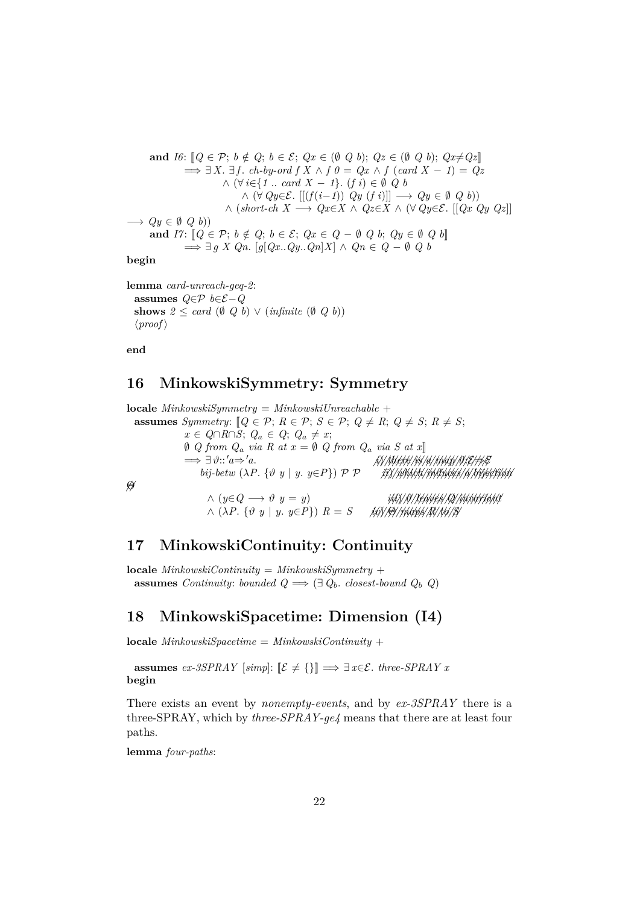and 
$$
I6: [Q \in \mathcal{P}; b \notin Q; b \in \mathcal{E}; Qx \in (\emptyset \ Q \ b); Qz \in (\emptyset \ Q \ b); Qx \neq Qz]
$$
  
\n
$$
\implies \exists X. \exists f. ch \cdot by \cdot ord \ f \ X \land f \ \theta = Qx \land f \ (card \ X - 1) = Qz
$$
  
\n
$$
\land \ (\forall i \in \{1 \dots \ card \ X - 1\}. (f \ i) \in \emptyset \ Q \ b
$$
  
\n
$$
\land \ (\forall Qy \in \mathcal{E}. [[(f(i-1)) \ Qy \ (f \ i)]] \longrightarrow Qy \in \emptyset \ Q \ b)
$$
  
\n
$$
\land \ (short \text{ch } X \longrightarrow Qx \in X \land Qz \in X \land (\forall Qy \in \mathcal{E}. [[Qx \ Qy \ Qz]]
$$
  
\n
$$
\implies Qy \in \emptyset \ Q \ b)
$$
  
\nand 
$$
I7: [Q \in \mathcal{P}; b \notin Q; b \in \mathcal{E}; Qx \in Q - \emptyset \ Q \ b; Qy \in \emptyset \ Q \ b]
$$
  
\n
$$
\implies \exists g \ X \ Qn. [g[Qx..Qy..Qn]X] \land Qn \in Q - \emptyset \ Q \ b
$$

**begin**

**lemma** *card-unreach-geq-2*: **assumes** *Q*∈P *b*∈E−*Q* **shows**  $2 \leq \text{card} (\emptyset Q_b) \vee (\text{infinite} (\emptyset Q_b))$  $\langle proof \rangle$ 

**end**

# <span id="page-21-0"></span>**16 MinkowskiSymmetry: Symmetry**

**locale** *MinkowskiSymmetry* = *MinkowskiUnreachable* + **assumes** *Symmetry:*  $[Q \in \mathcal{P}; R \in \mathcal{P}; S \in \mathcal{P}; Q \neq R; Q \neq S; R \neq S;$ *x* ∈  $Q \cap R \cap S$ ;  $Q_a \in Q$ ;  $Q_a \neq x$ ; *Q* from  $Q_a$  *via R* at  $x = ∅ Q$  from  $Q_a$  *via S* at  $x$ ]<br>  $\Rightarrow ∃ ∅::'a ⇒ 'a$ . =⇒ ∃ ϑ::0*a*⇒0*a*. *///i*)*///////there///is//a///////map/////////* ϑ:E⇒E *bij-betw* (λ*P*. {ϑ *y* | *y*. *y*∈*P*}) P P *///ii*)*////////which//////////induces//a////////////bijection //*Θ ∧ (*y*∈*Q* −→ ϑ *y* = *y*) *///iii*)*///*ϑ*////////leaves////Q////////////invariant* ∧ (λ*P*. {ϑ *y* | *y*. *y*∈*P*}) *R* = *S ////iv*)*///*Θ*///////maps////R///to///S*

# <span id="page-21-1"></span>**17 MinkowskiContinuity: Continuity**

**locale** *MinkowskiContinuity* = *MinkowskiSymmetry* + **assumes** *Continuity: bounded*  $Q \implies (\exists Q_b \cdot \text{closest-bound } Q_b \ Q)$ 

# <span id="page-21-2"></span>**18 MinkowskiSpacetime: Dimension (I4)**

**locale**  $MinkowskiSpacetime = MinkowskiContinuity +$ 

**assumes** *ex-3SPRAY* [*simp*]:  $[\mathcal{E} \neq {\{\}}] \implies \exists x \in \mathcal{E}$ . *three-SPRAY x* **begin**

There exists an event by *nonempty-events*, and by *ex-3SPRAY* there is a three-SPRAY, which by *three-SPRAY-ge4* means that there are at least four paths.

**lemma** *four-paths*: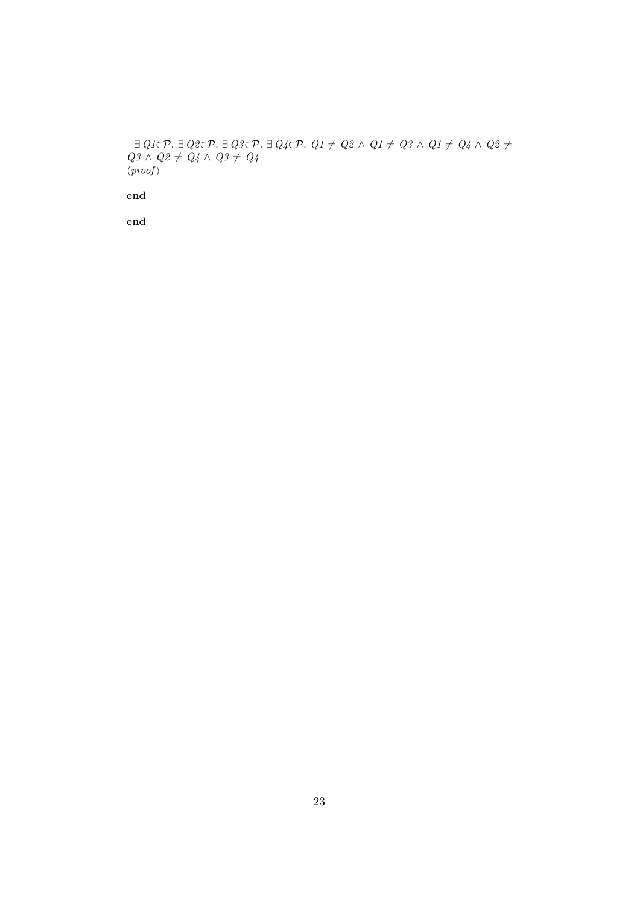$\exists$  *Q1*∈P.  $\exists$  *Q2*∈P.  $\exists$  *Q3*∈P.  $\exists$  *Q4*∈P.  $Q1 \neq Q2 \land Q1 \neq Q3 \land Q1 \neq Q4 \land Q2 \neq 0$  $Q3 \wedge Q2 \neq Q4 \wedge Q3 \neq Q4$  $\langle proof \rangle$ 

**end**

**end**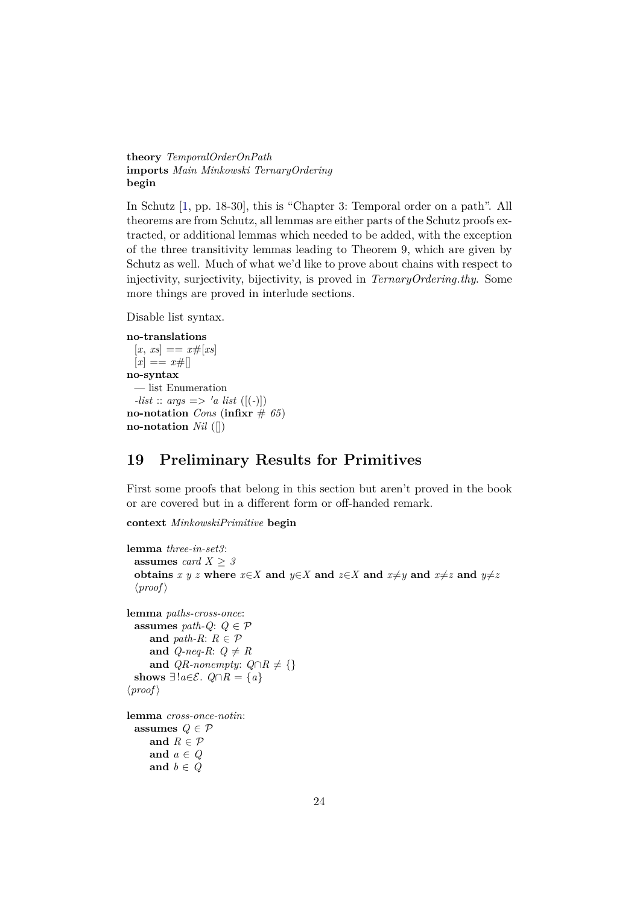**theory** *TemporalOrderOnPath* **imports** *Main Minkowski TernaryOrdering* **begin**

In Schutz [\[1,](#page-64-0) pp. 18-30], this is "Chapter 3: Temporal order on a path". All theorems are from Schutz, all lemmas are either parts of the Schutz proofs extracted, or additional lemmas which needed to be added, with the exception of the three transitivity lemmas leading to Theorem 9, which are given by Schutz as well. Much of what we'd like to prove about chains with respect to injectivity, surjectivity, bijectivity, is proved in *TernaryOrdering*.*thy*. Some more things are proved in interlude sections.

Disable list syntax.

```
no-translations
 [x, xs] == x \# [xs][x] == x\#no-syntax
 — list Enumeration
 -list :: args => 'a list ([(-)])
no-notation Cons (infixr \# 65)
no-notation Nil ([])
```
# <span id="page-23-0"></span>**19 Preliminary Results for Primitives**

First some proofs that belong in this section but aren't proved in the book or are covered but in a different form or off-handed remark.

**context** *MinkowskiPrimitive* **begin**

```
lemma three-in-set3:
  assumes card X \geq 3obtains x \ y \ z where x \in X and y \in X and z \in X and x \neq y and x \neq z and y \neq z\langle proof \ranglelemma paths-cross-once:
  assumes path-Q: Q \in \mathcal{P}and path-R: R \in \mathcal{P}and Q-neq-R: Q \neq Rand QR-nonempty: Q \cap R \neq \{\}shows ∃!a \in \mathcal{E}. Q \cap R = \{a\}\langle proof \ranglelemma cross-once-notin:
  assumes Q \in \mathcal{P}and R \in \mathcal{P}and a ∈ Q
     and b ∈ Q
```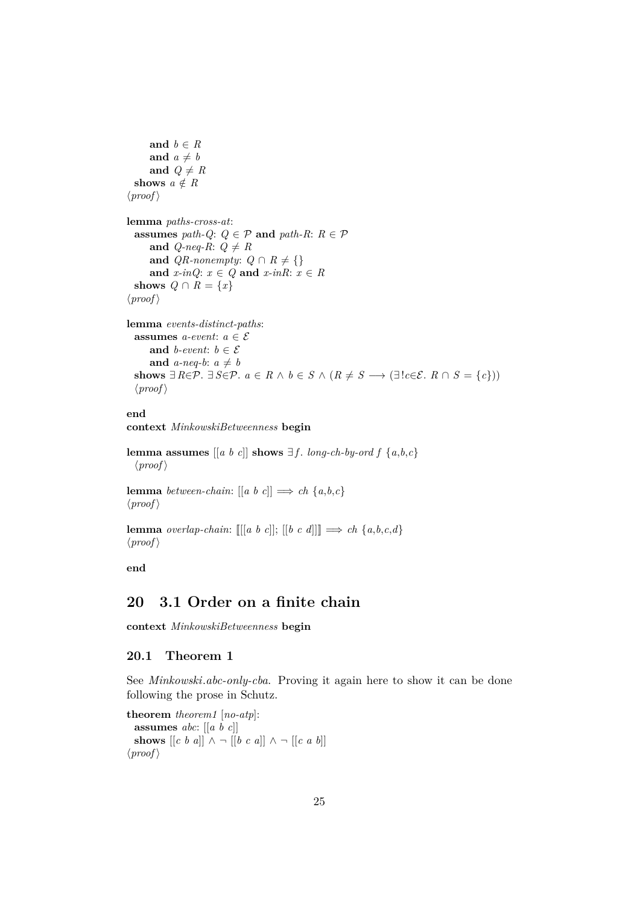```
and b \in Rand a \neq band Q \neq Rshows a \notin R\langle proof \ranglelemma paths-cross-at:
  assumes path-Q: Q \in \mathcal{P} and path-R: R \in \mathcal{P}and Q-neq-R: Q \neq Rand QR-nonempty: Q \cap R \neq \{\}and x\text{-}inQ: x \in Q and x\text{-}inR: x \in Rshows Q \cap R = \{x\}\langle proof \ranglelemma events-distinct-paths:
  assumes a-event: a \in \mathcal{E}and b-event: b \in \mathcal{E}and a-neq-b: a \neq bshows ∃ R \in \mathcal{P}. ∃ S \in \mathcal{P}. a \in R \land b \in S \land (R \neq S \rightarrow (\exists ! c \in \mathcal{E} \land R \cap S = \{c\}))
```

```
\langle proof \rangle
```
## **end**

**context** *MinkowskiBetweenness* **begin**

**lemma assumes**  $\begin{bmatrix} a & b & c \end{bmatrix}$  **shows**  $\exists f$ . *long-ch-by-ord*  $f$  { $a, b, c$ }  $\langle proof \rangle$ 

**lemma** *between-chain*:  $[ [a \ b \ c] ] \Rightarrow ch \{a, b, c\}$  $\langle proof \rangle$ 

**lemma** *overlap-chain*:  $[[[a \ b \ c]]; [[b \ c \ d]]] \Rightarrow ch \{a, b, c, d\}$  $\langle proof \rangle$ 

**end**

# <span id="page-24-0"></span>**20 3.1 Order on a finite chain**

**context** *MinkowskiBetweenness* **begin**

## <span id="page-24-1"></span>**20.1 Theorem 1**

See *Minkowski*.*abc-only-cba*. Proving it again here to show it can be done following the prose in Schutz.

**theorem** *theorem1* [*no-atp*]: **assumes** *abc*: [[*a b c*]] **shows**  $\begin{bmatrix} c & b & a \end{bmatrix} \begin{bmatrix} \lambda & -\end{bmatrix} \begin{bmatrix} b & c & a \end{bmatrix} \begin{bmatrix} \lambda & -\end{bmatrix} \begin{bmatrix} c & a & b \end{bmatrix}$  $\langle proof \rangle$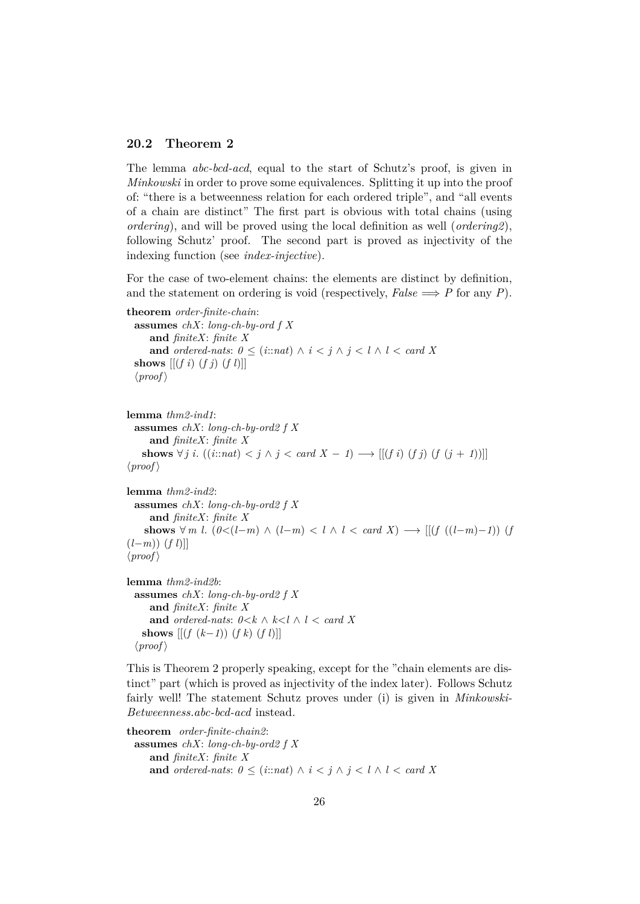#### <span id="page-25-0"></span>**20.2 Theorem 2**

(*l*−*m*)) (*f l*)]]  $\langle proof \rangle$ 

The lemma *abc-bcd-acd*, equal to the start of Schutz's proof, is given in *Minkowski* in order to prove some equivalences. Splitting it up into the proof of: "there is a betweenness relation for each ordered triple", and "all events of a chain are distinct" The first part is obvious with total chains (using *ordering*), and will be proved using the local definition as well (*ordering2*), following Schutz' proof. The second part is proved as injectivity of the indexing function (see *index-injective*).

For the case of two-element chains: the elements are distinct by definition, and the statement on ordering is void (respectively,  $False \implies P$  for any *P*).

```
theorem order-finite-chain:
  assumes chX: long-ch-by-ord f X
      and finiteX: finite X
      and ordered-nats: 0 \leq (i : n \in \mathbb{N}) \land i < j \land j < l \land l < \text{card } Xshows [(f\ i)\ (f\ j)\ (f\ l)]\langle proof \rangle
```

```
lemma thm2-ind1:
  assumes chX: long-ch-by-ord2 f X
     and finiteX: finite X
   shows ∀ j i. ((i::nat) < j \land j < card X − 1) → [[(f i) (f (j + 1))]]
\langle proof \ranglelemma thm2-ind2:
 assumes chX: long-ch-by-ord2 f X
     and finiteX: finite X
    shows \forall m \ l. (0 < (l-m) \land (l-m) < l \land l < \text{card } X) → [[(f ((l-m)−1)) (f
```

```
lemma thm2-ind2b:
 assumes chX: long-ch-by-ord2 f X
     and finiteX: finite X
     and ordered-nats: 0 \le k \land k \le l \land l \le card Xshows [(f (k-1)) (f k) (f l)]\langle proof \rangle
```
This is Theorem 2 properly speaking, except for the "chain elements are distinct" part (which is proved as injectivity of the index later). Follows Schutz fairly well! The statement Schutz proves under (i) is given in *Minkowski-Betweenness*.*abc-bcd-acd* instead.

```
theorem order-finite-chain2:
 assumes chX: long-ch-by-ord2 f X
     and finiteX: finite X
     and ordered-nats: 0 \leq (i : \text{and}) \land i < j \land j < l \land l < \text{card } X
```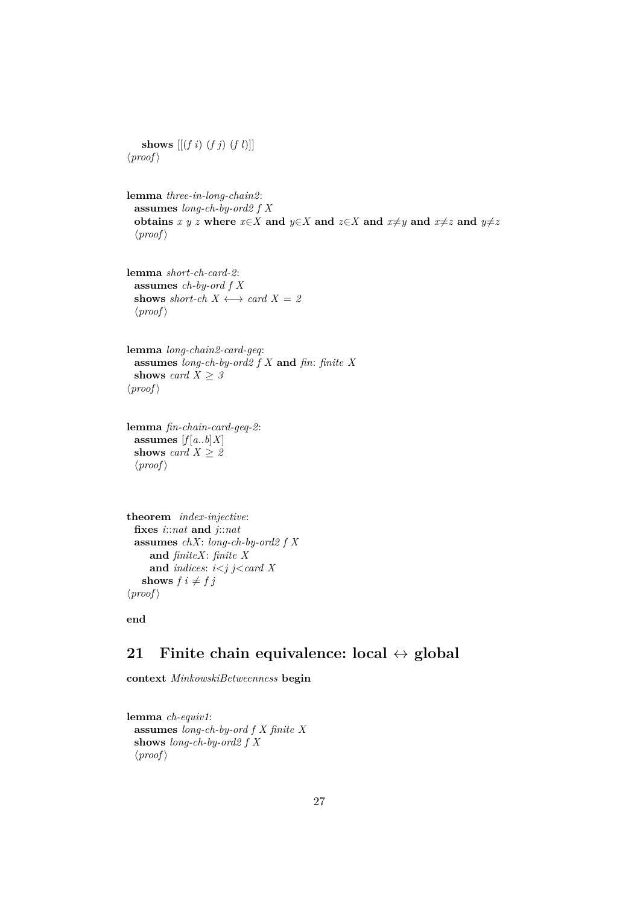**shows** [[(*f i*) (*f j*) (*f l*)]]  $\langle proof \rangle$ 

**lemma** *three-in-long-chain2*: **assumes** *long-ch-by-ord2 f X* **obtains**  $x \ y \ z$  where  $x \in X$  and  $y \in X$  and  $z \in X$  and  $x \neq y$  and  $x \neq z$  and  $y \neq z$  $\langle proof \rangle$ 

**lemma** *short-ch-card-2*: **assumes** *ch-by-ord f X* **shows** *short-ch*  $X \leftrightarrow \text{card } X = 2$  $\langle proof \rangle$ 

**lemma** *long-chain2-card-geq*: **assumes** *long-ch-by-ord2 f X* **and** *fin*: *finite X* **shows** *card*  $X \geq 3$  $\langle proof \rangle$ 

**lemma** *fin-chain-card-geq-2*: assumes  $[f[a..b]X]$ **shows** *card*  $X \geq 2$  $\langle proof \rangle$ 

```
theorem index-injective:
 fixes i::nat and j::nat
 assumes chX: long-ch-by-ord2 f X
     and finiteX: finite X
     and indices: i<j j<card X
   shows f \, i \neq f \, j\langle proof \rangle
```
**end**

# <span id="page-26-0"></span>**21 Finite chain equivalence: local** ↔ **global**

**context** *MinkowskiBetweenness* **begin**

**lemma** *ch-equiv1*: **assumes** *long-ch-by-ord f X finite X* **shows** *long-ch-by-ord2 f X*  $\langle proof \rangle$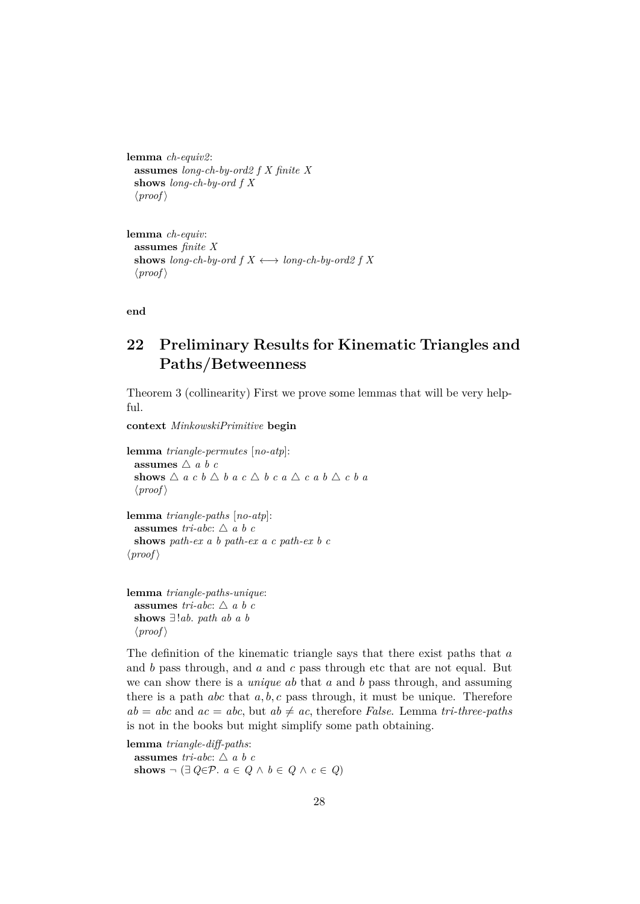```
lemma ch-equiv2:
 assumes long-ch-by-ord2 f X finite X
 shows long-ch-by-ord f X
  \langle proof \rangle
```

```
lemma ch-equiv:
  assumes finite X
  shows long-ch-by-ord f X \leftrightarrow long-ch-by-ord2 f X\langle proof \rangle
```
**end**

# <span id="page-27-0"></span>**22 Preliminary Results for Kinematic Triangles and Paths/Betweenness**

Theorem 3 (collinearity) First we prove some lemmas that will be very helpful.

**context** *MinkowskiPrimitive* **begin**

```
lemma triangle-permutes [no-atp]:
  assumes \triangle a b c
  shows \triangle a c b \triangle b a c \triangle b c a \triangle c a b \triangle c b a
  \langle proof \ranglelemma triangle-paths [no-atp]:
  assumes tri-abc: \triangle a b c
  shows path-ex a b path-ex a c path-ex b c
\langle proof \rangle
```

```
lemma triangle-paths-unique:
  assumes tri-abc: \triangle a b c
 shows ∃!ab. path ab a b
  \langle proof \rangle
```
The definition of the kinematic triangle says that there exist paths that  $a$ and b pass through, and a and c pass through etc that are not equal. But we can show there is a *unique* ab that a and b pass through, and assuming there is a path *abc* that  $a, b, c$  pass through, it must be unique. Therefore  $ab = abc$  and  $ac = abc$ , but  $ab \neq ac$ , therefore *False*. Lemma *tri-three-paths* is not in the books but might simplify some path obtaining.

```
lemma triangle-diff-paths:
 assumes tri-abc: \triangle a b c
 shows \neg (∃ Q∈P. a ∈ Q ∧ b ∈ Q ∧ c ∈ Q)
```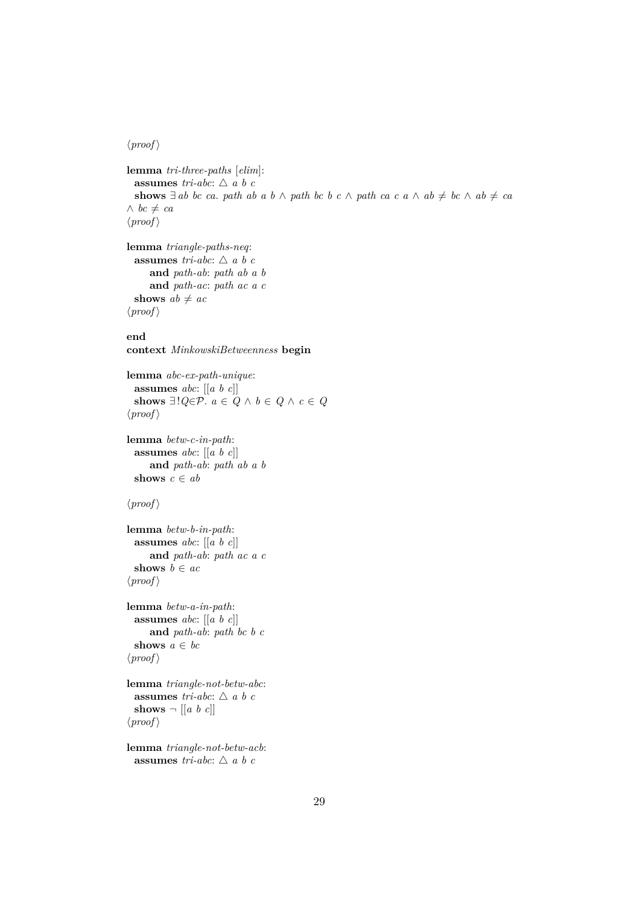#### $\langle proof \rangle$

```
lemma tri-three-paths [elim]:
 assumes tri-abc: \triangle a b c
 shows ∃ ab bc ca. path ab a b ∧ path bc b c ∧ path ca c a ∧ ab ≠ bc ∧ ab ≠ ca∧ bc \neq ca
\langle proof \ranglelemma triangle-paths-neq:
  assumes tri-abc: \triangle a b c
```

```
and path-ab: path ab a b
     and path-ac: path ac a c
 shows ab \neq ac\langle proof \rangle
```
#### **end**

**context** *MinkowskiBetweenness* **begin**

```
lemma abc-ex-path-unique:
 assumes abc: [[a b c]]
 shows ∃!Q ∈ P. a ∈ Q ∧ b ∈ Q ∧ c ∈ Q\langle proof \rangle
```

```
lemma betw-c-in-path:
 assumes abc: [[a b c]]
    and path-ab: path ab a b
 shows c \in ab
```

```
\langle proof \rangle
```

```
lemma betw-b-in-path:
 assumes abc: [[a b c]]
     and path-ab: path ac a c
 shows b \in ac\langle proof \rangle
```

```
lemma betw-a-in-path:
  assumes abc: [[a b c]]
     and path-ab: path bc b c
 shows a ∈ bc
\langle proof \rangle
```
**lemma** *triangle-not-betw-abc*: **assumes** *tri-abc*:  $\triangle$  *a b c* shows  $\neg$   $[[a \; b \; c]]$  $\langle proof \rangle$ 

```
lemma triangle-not-betw-acb:
 assumes tri-abc: \triangle a b c
```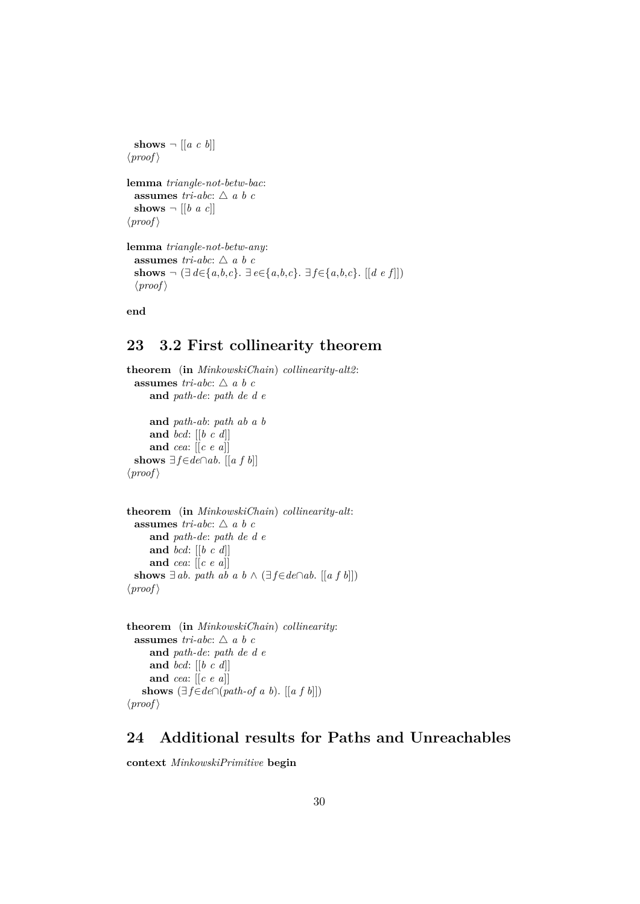```
shows \neg [[a \ c \ b]]\langle proof \ranglelemma triangle-not-betw-bac:
 assumes tri-abc: \triangle a b c
 shows \neg [[b \ a \ c]]\langle proof \ranglelemma triangle-not-betw-any:
  assumes tri-abc: \triangle a b c
 shows \neg (∃ d∈{a,b,c}. ∃ e∈{a,b,c}. ∃ f∈{a,b,c}. [[d e f]])
  \langle proof \rangle
```
**end**

# <span id="page-29-0"></span>**23 3.2 First collinearity theorem**

```
theorem (in MinkowskiChain) collinearity-alt2:
 assumes tri-abc: \triangle a b c
     and path-de: path de d e
     and path-ab: path ab a b
     and bcd: [[b c d]]
     and cea: [[c e a]]
 shows ∃f∈de∩ab. [[a f b]]
\langle proof \rangle
```

```
theorem (in MinkowskiChain) collinearity-alt:
 assumes tri-abc: \triangle a b c
     and path-de: path de d e
     and bcd: [[b c d]]
     and cea: [[c e a]]
 shows ∃ ab. path ab a b \land (∃f∈de∩ab. [[a f b]])
\langle proof \rangle
```

```
theorem (in MinkowskiChain) collinearity:
 assumes tri-abc: \triangle a b c
     and path-de: path de d e
     and bcd: [[b c d]]
     and cea: [[c e a]]
   shows (∃f∈de∩(path-of a b). [[a f b]])\langle proof \rangle
```
## <span id="page-29-1"></span>**24 Additional results for Paths and Unreachables**

**context** *MinkowskiPrimitive* **begin**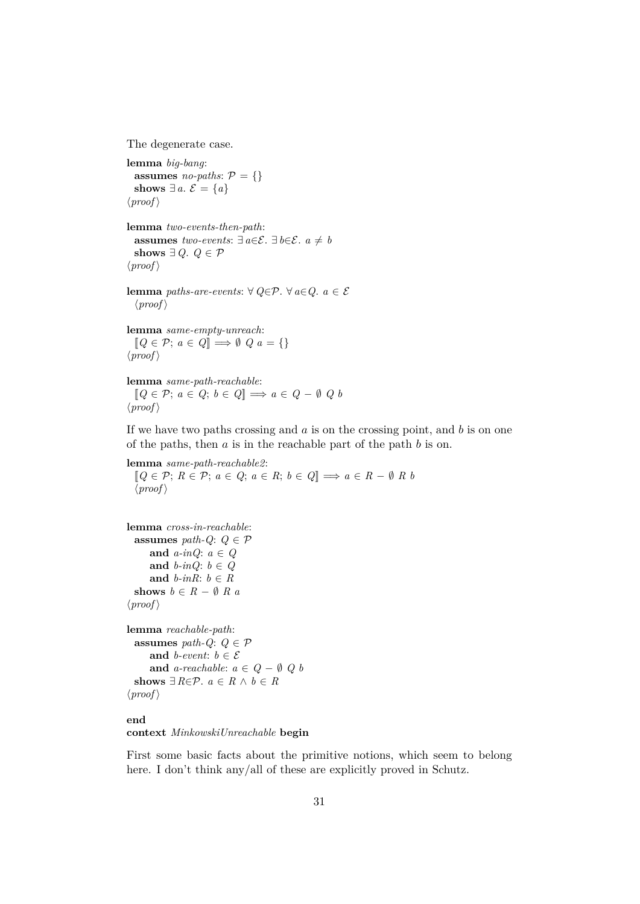The degenerate case.

```
lemma big-bang:
  assumes no-paths: P = \{\}shows ∃ a. \mathcal{E} = \{a\}\langle proof \rangle
```

```
lemma two-events-then-path:
  assumes two-events: \exists a∈\mathcal{E}. \exists b∈\mathcal{E}. a \neq b
  shows ∃ Q. Q ∈ P\langle proof \rangle
```

```
lemma paths-are-events: ∀ Q \in \mathcal{P}. ∀ a \in Q. a \in \mathcal{E}\langle proof \rangle
```

```
lemma same-empty-unreach:
   [Q \in \mathcal{P}; a \in Q] \Longrightarrow \emptyset \ Q \ a = \{\}\langle proof \rangle
```

```
lemma same-path-reachable:
  [Q \in \mathcal{P}; a \in Q; b \in Q] \implies a \in Q - \emptyset \ Q \ b\langle proof \rangle
```
If we have two paths crossing and  $\alpha$  is on the crossing point, and  $\beta$  is on one of the paths, then  $a$  is in the reachable part of the path  $b$  is on.

**lemma** *same-path-reachable2*:  $[Q \in \mathcal{P}; R \in \mathcal{P}; a \in Q; a \in R; b \in Q] \Longrightarrow a \in R - \emptyset R b$  $\langle proof \rangle$ 

```
lemma cross-in-reachable:
 assumes path-Q: Q \in \mathcal{P}and a-inQ: a ∈ Q
     and b-inQ: b \in Qand b-inR: b \in Rshows b \in R - \emptyset \ R \ a\langle proof \ranglelemma reachable-path:
```
**assumes** *path-Q*:  $Q \in \mathcal{P}$ and *b*-event:  $b \in \mathcal{E}$ **and**  $a$ -reachable:  $a \in Q - \emptyset$  Q  $b$ **shows**  $\exists R \in \mathcal{P}$ .  $a \in R \land b \in R$  $\langle proof \rangle$ 

# **end**

#### **context** *MinkowskiUnreachable* **begin**

First some basic facts about the primitive notions, which seem to belong here. I don't think any/all of these are explicitly proved in Schutz.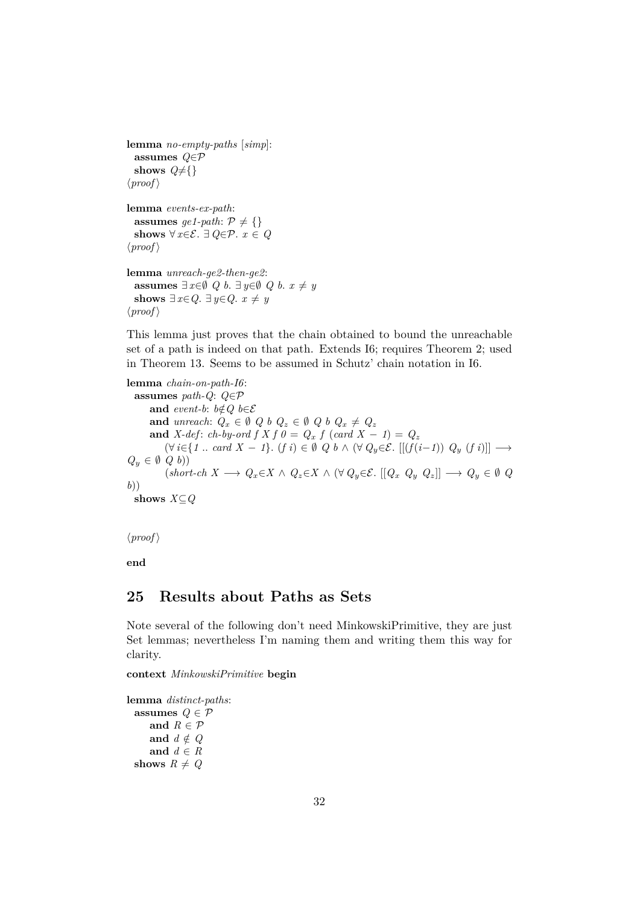```
lemma no-empty-paths [simp]:
  assumes Q∈P
  shows Q \neq \{\}\langle proof \ranglelemma events-ex-path:
  assumes ge1-path: P \neq \{\}shows \forall x \in \mathcal{E}. ∃ Q \in \mathcal{P}. x \in Q\langle proof \ranglelemma unreach-ge2-then-ge2:
  assumes \exists x \in \emptyset Q b. \exists y \in \emptyset Q b. x ≠ y
  shows ∃ x∈Q. ∃ y∈Q. x \neq y
\langle proof \rangle
```
This lemma just proves that the chain obtained to bound the unreachable set of a path is indeed on that path. Extends I6; requires Theorem 2; used in Theorem 13. Seems to be assumed in Schutz' chain notation in I6.

**lemma** *chain-on-path-I6*: **assumes** *path-Q*: *Q*∈P **and** *event-b*:  $b \notin Q$   $b \in \mathcal{E}$ **and** *unreach*:  $Q_x \in \emptyset$   $Q_b$   $Q_z \in \emptyset$   $Q_b$   $Q_x \neq Q_z$ **and** *X-def*: *ch-by-ord*  $f X f \theta = Q_x f (card X - 1) = Q_z$  $(\forall i \in \{1 \text{ .. } card X - 1\}$ .  $(f i) \in \emptyset$   $Q b \wedge (\forall Q_y \in \mathcal{E}$ .  $[[(f(i-1)) Q_y (f i)]] \longrightarrow$  $Q_y \in \emptyset$   $Q$   $b)$ )  $(k \cdot k \cdot A \rightarrow Q_x \in X \land Q_z \in X \land (\forall Q_y \in \mathcal{E} \cup [Q_x \ Q_y \ Q_z]) \rightarrow Q_y \in \emptyset \ Q_z$ *b*)) **shows** *X*⊆*Q*

 $\langle proof \rangle$ 

**end**

## <span id="page-31-0"></span>**25 Results about Paths as Sets**

Note several of the following don't need MinkowskiPrimitive, they are just Set lemmas; nevertheless I'm naming them and writing them this way for clarity.

**context** *MinkowskiPrimitive* **begin**

**lemma** *distinct-paths*: **assumes**  $Q \in \mathcal{P}$ and  $R \in \mathcal{P}$ and  $d \notin Q$ and  $d \in R$ **shows**  $R \neq Q$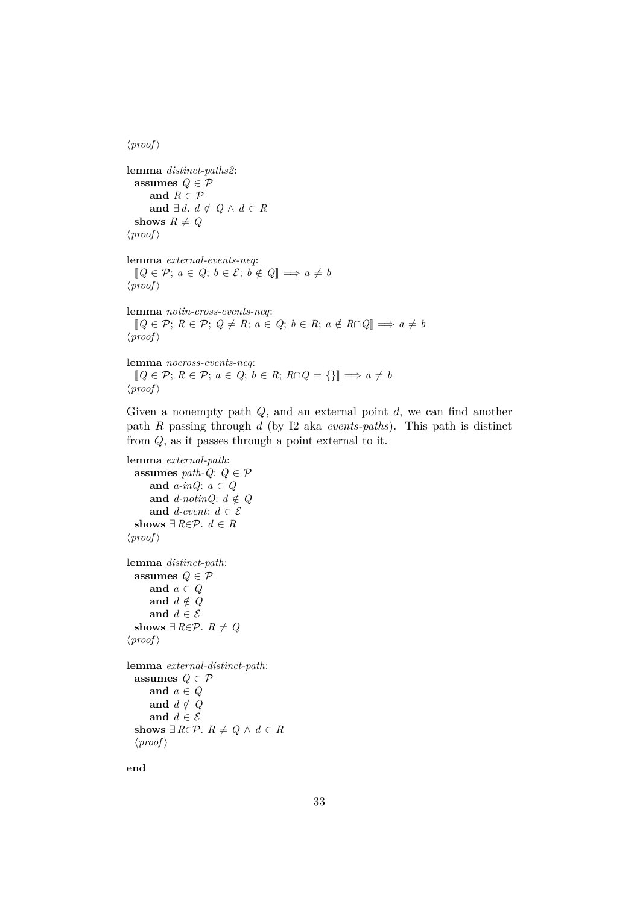$\langle proof \rangle$ 

**lemma** *distinct-paths2*: **assumes**  $Q \in \mathcal{P}$ and  $R \in \mathcal{P}$ **and** ∃ *d*.  $d \notin Q \land d \in R$ shows  $R \neq Q$  $\langle proof \rangle$ 

**lemma** *external-events-neq*:  $[Q \in \mathcal{P}; a \in Q; b \in \mathcal{E}; b \notin Q] \Longrightarrow a \neq b$  $\langle proof \rangle$ 

**lemma** *notin-cross-events-neq*:  $[Q \in \mathcal{P}; R \in \mathcal{P}; Q \neq R; a \in Q; b \in R; a \notin R \cap Q] \Longrightarrow a \neq b$  $\langle proof \rangle$ 

**lemma** *nocross-events-neq*:  $[Q \in \mathcal{P}; R \in \mathcal{P}; a \in Q; b \in R; R \cap Q = \{\}] \Longrightarrow a \neq b$  $\langle proof \rangle$ 

Given a nonempty path  $Q$ , and an external point  $d$ , we can find another path R passing through d (by I2 aka *events-paths*). This path is distinct from Q, as it passes through a point external to it.

```
lemma external-path:
  assumes path-Q: Q \in \mathcal{P}and a-inQ: a ∈ Q
      and d-notinQ: d \notin Qand d-event: d \in \mathcal{E}shows ∃ R \in \mathcal{P}. d \in R\langle proof \ranglelemma distinct-path:
  assumes Q \in \mathcal{P}and a ∈ Q
      and d \notin Qand d \in \mathcal{E}shows ∃ R \in \mathcal{P}. R \neq Q\langle proof \ranglelemma external-distinct-path:
  assumes Q \in \mathcal{P}and a ∈ Q
      and d \notin Qand d \in \mathcal{E}shows ∃ R∈P. R \neq Q ∧ d ∈ R
  \langle proof \rangle
```
**end**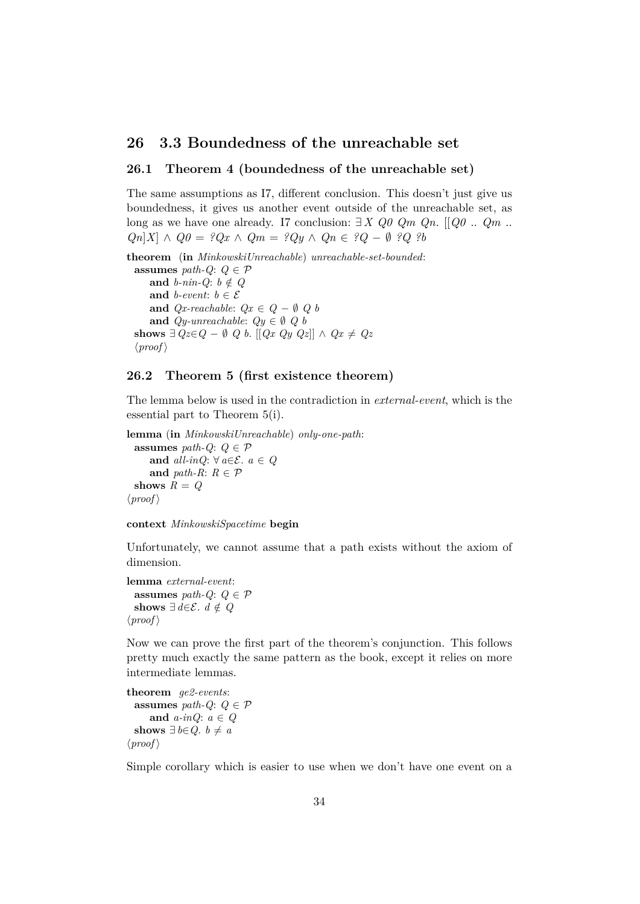## <span id="page-33-0"></span>**26 3.3 Boundedness of the unreachable set**

### <span id="page-33-1"></span>**26.1 Theorem 4 (boundedness of the unreachable set)**

The same assumptions as I7, different conclusion. This doesn't just give us boundedness, it gives us another event outside of the unreachable set, as long as we have one already. I7 conclusion: ∃ *X Q0 Qm Qn*. [[*Q0* .. *Qm* .. *Qn*|*X*| ∧ *Q0* = ?*Qx* ∧ *Qm* = ?*Qy* ∧ *Qn* ∈ ?*Q* − ∅ ?*Q* ?*b* 

**theorem** (**in** *MinkowskiUnreachable*) *unreachable-set-bounded*: **assumes** *path-Q*:  $Q \in \mathcal{P}$ **and**  $b\text{-}nin-Q$ :  $b \notin Q$ **and** *b-event*:  $b \in \mathcal{E}$ **and**  $Qx$ -reachable:  $Qx \in Q - \emptyset$  Q b **and**  $Qy\text{-}unreachable: Qy \in \emptyset Q$  *b* **shows**  $\exists$  *Qz*∈*Q* − ∅ *Q b*. [[*Qx Qy Qz*]] ∧ *Qx*  $\neq$  *Qz*  $\langle proof \rangle$ 

#### <span id="page-33-2"></span>**26.2 Theorem 5 (first existence theorem)**

The lemma below is used in the contradiction in *external-event*, which is the essential part to Theorem 5(i).

```
lemma (in MinkowskiUnreachable) only-one-path:
  assumes path-Q: Q \in \mathcal{P}and all-inQ: ∀ a∈\mathcal{E}. a ∈ Q
     and path-R: R \in \mathcal{P}shows R = Q\langle proof \rangle
```


Unfortunately, we cannot assume that a path exists without the axiom of dimension.

**lemma** *external-event*: **assumes** *path-Q*:  $Q \in \mathcal{P}$ **shows** ∃ *d*∈ $\mathcal{E}$ . *d*  $\notin$  *Q*  $\langle proof \rangle$ 

Now we can prove the first part of the theorem's conjunction. This follows pretty much exactly the same pattern as the book, except it relies on more intermediate lemmas.

**theorem** *ge2-events*: **assumes** *path-Q*:  $Q \in \mathcal{P}$ **and** *a-inQ*: *a* ∈ *Q* **shows** ∃ *b*∈*Q*. *b*  $\neq$  *a*  $\langle proof \rangle$ 

Simple corollary which is easier to use when we don't have one event on a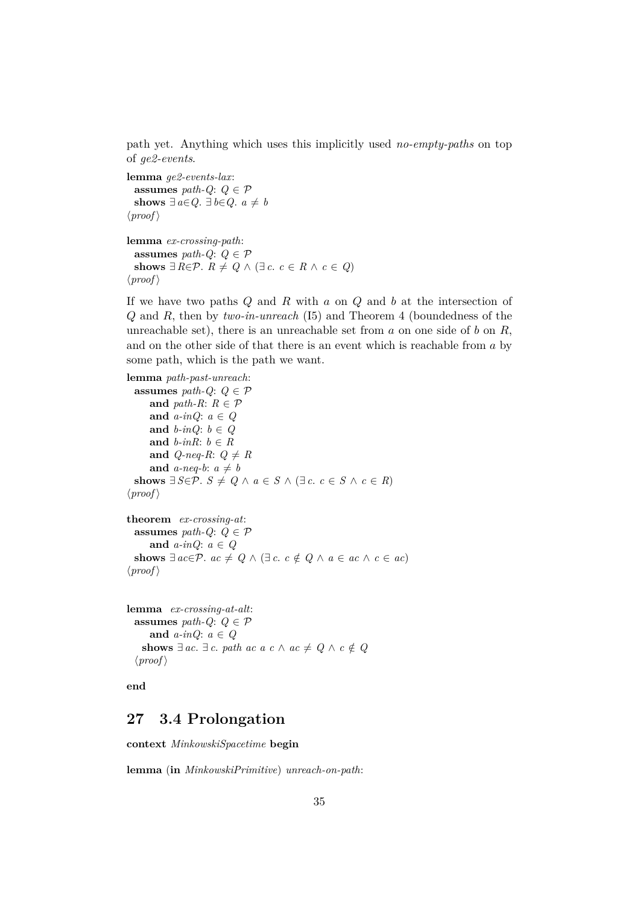path yet. Anything which uses this implicitly used *no-empty-paths* on top of *ge2-events*.

**lemma** *ge2-events-lax*: **assumes** *path-Q*:  $Q \in \mathcal{P}$ **shows** ∃ *a*∈*Q*. ∃ *b*∈*Q*. *a*  $\neq$  *b*  $\langle proof \rangle$ 

```
lemma ex-crossing-path:
  assumes path-Q: Q \in \mathcal{P}shows ∃ R \in \mathcal{P}. R \neq Q \land (\exists c. c \in R \land c \in Q)\langle proof \rangle
```
If we have two paths  $Q$  and  $R$  with  $a$  on  $Q$  and  $b$  at the intersection of Q and R, then by *two-in-unreach* (I5) and Theorem 4 (boundedness of the unreachable set), there is an unreachable set from  $a$  on one side of  $b$  on  $R$ , and on the other side of that there is an event which is reachable from a by some path, which is the path we want.

```
lemma path-past-unreach:
  assumes path-Q: Q \in \mathcal{P}and path-R: R \in \mathcal{P}and a-inQ: a ∈ Q
     and b-inQ: b \in Qand b-inR: b \in Rand Q-neq-R: Q \neq Rand a-neq-b: a \neq bshows ∃ S∈\mathcal{P}. S \neq Q \land a ∈ S \land (∃ c. c ∈ S \land c ∈ R)
\langle proof \rangle
```

```
theorem ex-crossing-at:
  assumes path-Q: Q \in \mathcal{P}and a-inQ: a \in Qshows ∃ ac∈P. ac \neq Q \land (\exists c. c \notin Q \land a \in ac \land c \in ac)\langle proof \rangle
```

```
lemma ex-crossing-at-alt:
  assumes path-Q: Q \in \mathcal{P}and a-inQ: a \in Qshows ∃ ac. ∃ c. path ac a c \land ac \neq Q \land c \notin Q
  \langle proof \rangle
```
**end**

## <span id="page-34-0"></span>**27 3.4 Prolongation**

**context** *MinkowskiSpacetime* **begin**

**lemma** (**in** *MinkowskiPrimitive*) *unreach-on-path*: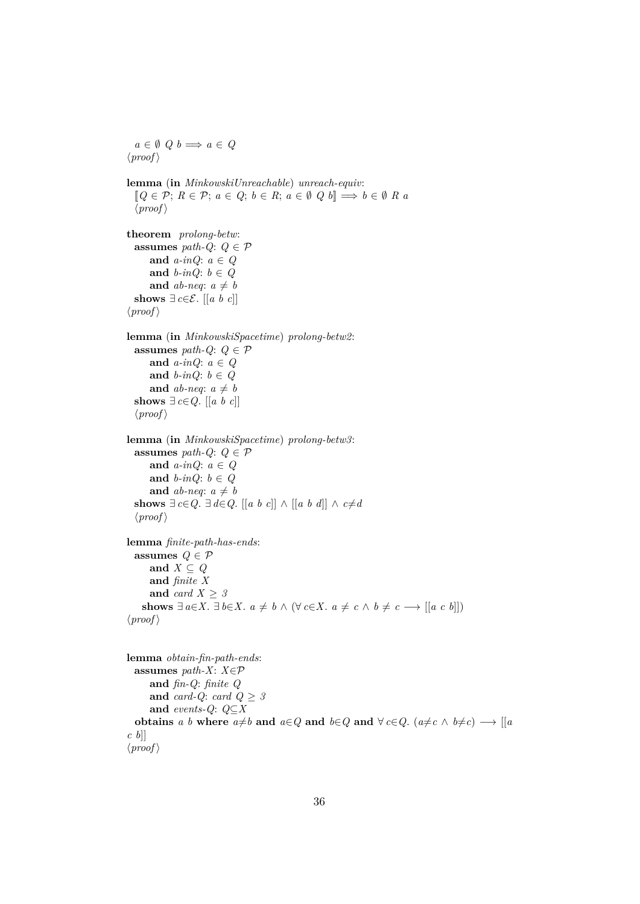```
a \in \emptyset Q b \implies a \in Q\langle proof \ranglelemma (in MinkowskiUnreachable) unreach-equiv:
  [Q \in \mathcal{P}; R \in \mathcal{P}; a \in Q; b \in R; a \in \emptyset \ Q \ b] \Longrightarrow b \in \emptyset \ R \ a\langle proof \rangletheorem prolong-betw:
  assumes path-Q: Q \in \mathcal{P}and a-inQ: a ∈ Q
     and b-inQ: b ∈ Q
     and ab-neq: a \neq bshows ∃ c \in \mathcal{E}. [[a b c]]
\langle proof \ranglelemma (in MinkowskiSpacetime) prolong-betw2:
  assumes path-Q: Q \in \mathcal{P}and a-inQ: a ∈ Q
     and b-inQ: b ∈ Q
     and ab-neq: a \neq bshows ∃ c \in Q. [[a b c]]
  \langle proof \ranglelemma (in MinkowskiSpacetime) prolong-betw3:
  assumes path-Q: Q \in \mathcal{P}and a-inQ: a ∈ Q
     and b-inQ: b \in Qand ab-neq: a \neq bshows ∃ c∈Q. ∃ d∈Q. [[a b c]] ∧ [[a b d]] ∧ c≠d
  \langle proof \ranglelemma finite-path-has-ends:
  assumes Q \in \mathcal{P}and X ⊆ Q
     and finite X
     and card X > 3shows ∃ a∈X. ∃ b∈X. a \neq b ∧ (∀ c∈X. a \neq c ∧ b \neq c → [[a c b]])
\langle proof \rangle
```

```
lemma obtain-fin-path-ends:
  assumes path-X: X \in \mathcal{P}and fin-Q: finite Q
      and card-Q: card Q \geq 3and events-Q: Q⊆X
  obtains a b where a \neq b and a \in Q and b \in Q and \forall c \in Q. (a \neq c \land b \neq c) \longrightarrow |[a \in Q]c b]]
\langle proof \rangle
```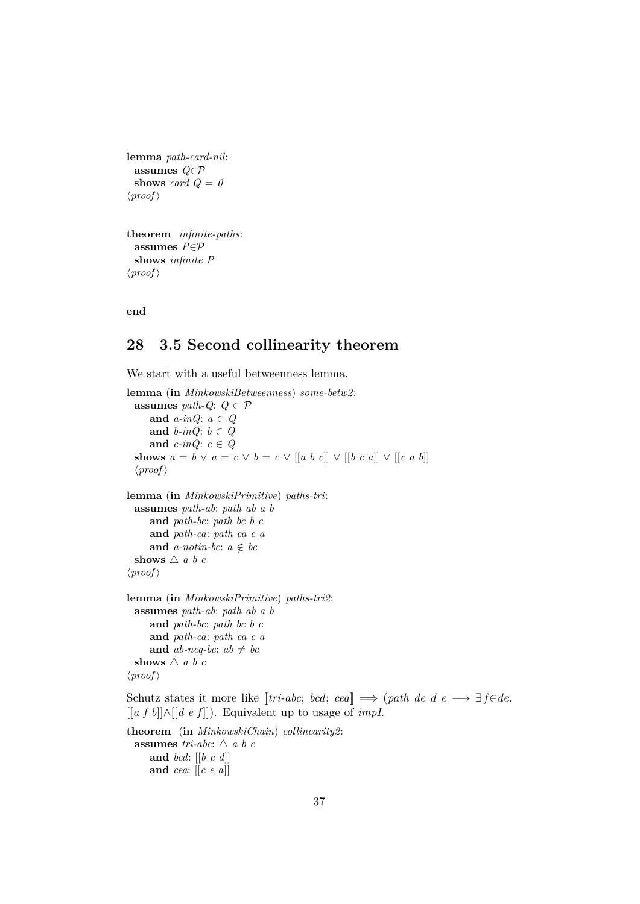```
lemma path-card-nil:
 assumes Q∈P
 shows card Q = 0\langle proof \rangle
```

```
theorem infinite-paths:
 assumes P∈P
 shows infinite P
\langle proof \rangle
```
**end**

# <span id="page-36-0"></span>**28 3.5 Second collinearity theorem**

We start with a useful betweenness lemma.

```
lemma (in MinkowskiBetweenness) some-betw2:
 assumes path-Q: Q \in \mathcal{P}and a-inQ: a ∈ Q
     and b-inQ: b \in Qand c-inQ: c \in Qshows a = b \vee a = c \vee b = c \vee [[a \ b \ c]] \vee [[b \ c \ a]] \vee [[c \ a \ b]]\langle proof \ranglelemma (in MinkowskiPrimitive) paths-tri:
 assumes path-ab: path ab a b
     and path-bc: path bc b c
     and path-ca: path ca c a
     and a-notin-bc: a \notin bcshows \triangle a b c
\langle proof \ranglelemma (in MinkowskiPrimitive) paths-tri2:
 assumes path-ab: path ab a b
     and path-bc: path bc b c
     and path-ca: path ca c a
     and ab-neq-bc: ab \neq bcshows \triangle a b c
\langle proof \rangleSchutz states it more like [tri-abc; bcd; cea] \implies (path \ de \ d \ e \longrightarrow \exists f \in de.[[a f b]]∧[[d e f ]]). Equivalent up to usage of impI.
```
**theorem** (**in** *MinkowskiChain*) *collinearity2*: **assumes** *tri-abc*:  $\triangle$  *a b c* **and** *bcd*: [[*b c d*]] **and** *cea*: [[*c e a*]]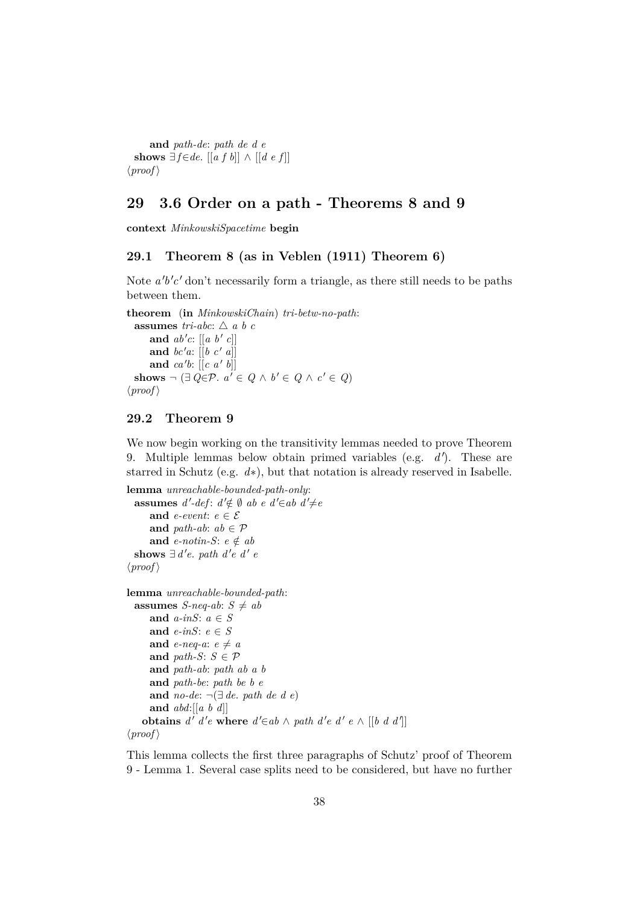**and** *path-de*: *path de d e* **shows**  $\exists f \in de$ . [[*a f b*]] ∧ [[*d e f*]]  $\langle proof \rangle$ 

## <span id="page-37-0"></span>**29 3.6 Order on a path - Theorems 8 and 9**

**context** *MinkowskiSpacetime* **begin**

## <span id="page-37-1"></span>**29.1 Theorem 8 (as in Veblen (1911) Theorem 6)**

Note  $a'b'c'$  don't necessarily form a triangle, as there still needs to be paths between them.

**theorem** (**in** *MinkowskiChain*) *tri-betw-no-path*: **assumes** *tri-abc*:  $\triangle$  *a b c* and  $ab'c: [[a \; b' \; c]]$ and  $bc'a$ :  $[[b \ c' \ a]]$ and  $ca'b$ :  $[[c \ a' \ b]]$ **shows**  $\neg$  (∃ *Q*∈ $\mathcal{P}$ *.*  $a' \in Q \land b' \in Q \land c' \in Q$ )  $\langle proof \rangle$ 

### <span id="page-37-2"></span>**29.2 Theorem 9**

We now begin working on the transitivity lemmas needed to prove Theorem 9. Multiple lemmas below obtain primed variables (e.g.  $d'$ ). These are starred in Schutz (e.g. *d*∗), but that notation is already reserved in Isabelle.

```
lemma unreachable-bounded-path-only:
  assumes d'-def: d' \notin \emptyset ab e d' \in ab d' \neq eand e-event: e \in \mathcal{E}and path-ab: ab \in \mathcal{P}and e-notin-S: e \notin abshows ∃ d'e. path d'e d' e
\langle proof \ranglelemma unreachable-bounded-path:
  assumes S-neq-ab: S \neq aband a-inS: a ∈ S
     and e-inS: e ∈ S
     and e-neq-a: e \neq aand path-S: S \in \mathcal{P}and path-ab: path ab a b
     and path-be: path be b e
     and no-de: ¬(∃ de. path de d e)
     and abd:[[a b d]]
    obtains d' d'e where d' \in ab \land path d'e d'e \land [[b d d']]\langle proof \rangle
```
This lemma collects the first three paragraphs of Schutz' proof of Theorem 9 - Lemma 1. Several case splits need to be considered, but have no further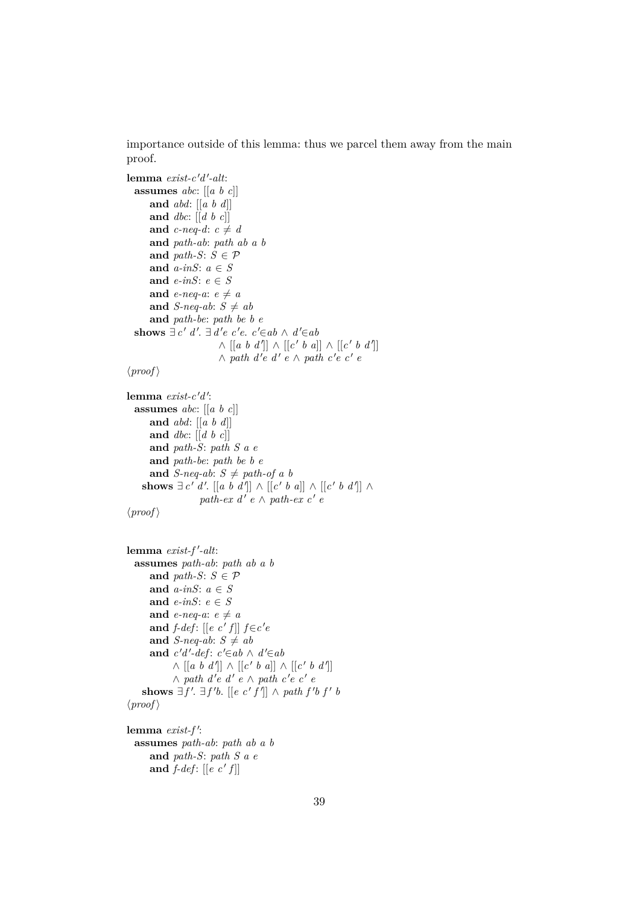importance outside of this lemma: thus we parcel them away from the main proof.

```
{\bf lemma} \ exist-c'd'-alt:assumes abc: [[a b c]]
     and abd: [[a b d]]
     and dbc: [[d b c]]
     and c-neq-d: c \neq dand path-ab: path ab a b
     and path-S: S \in \mathcal{P}and a-inS: a ∈ S
     and e-inS: e ∈ S
     and e-neq-a: e \neq aand S-neq-ab: S \neq aband path-be: path be b e
  shows \exists c' d'. \exists d'e \ c'e. \ c' \in ab \land d' \in ab\wedge [[a b d']] \wedge [[c' b a]] \wedge [[c' b d']]
                        \land path d'e d' e ∧ path c'e c' e
\langle proof \ranglelemma exist-c'd':
 assumes abc: [[a b c]]
     and abd: [[a b d]]
     and dbc: [[d b c]]
     and path-S: path S a e
     and path-be: path be b e
     and S-neq-ab: S \neq path\text{-}of a b
    shows \exists c' d'. \exists a b d'' \land \exists c' b a \land \exists c' b d'' \land \exists c' b d''path-ex\ d'\ e \wedge path-ex\ c'\ e\langle proof \rangle{\bf lemma} \ exist-f'-alt:assumes path-ab: path ab a b
     and path-S: S \in \mathcal{P}and a-inS: a ∈ S
     and e-inS: e ∈ S
     and e-neq-a: e \neq aand f-def: [[e \ c' \ f]] f \in c'e
     and S-neq-ab: S \neq ab
```

```
and c'd'-def: c' \in ab \land d' \in ab\wedge [[a b d']] \wedge [[c' b a]] \wedge [[c' b d']]
         \wedge path d'e d' e ∧ path c'e c' e
shows \exists f'. \exists f'b. [[e c'f']] ∧ path f'b f' b
```

```
\langle proof \rangle
```
lemma exist-f': **assumes** *path-ab*: *path ab a b* **and** *path-S*: *path S a e* and  $f$ -def:  $[[e \ c' f]]$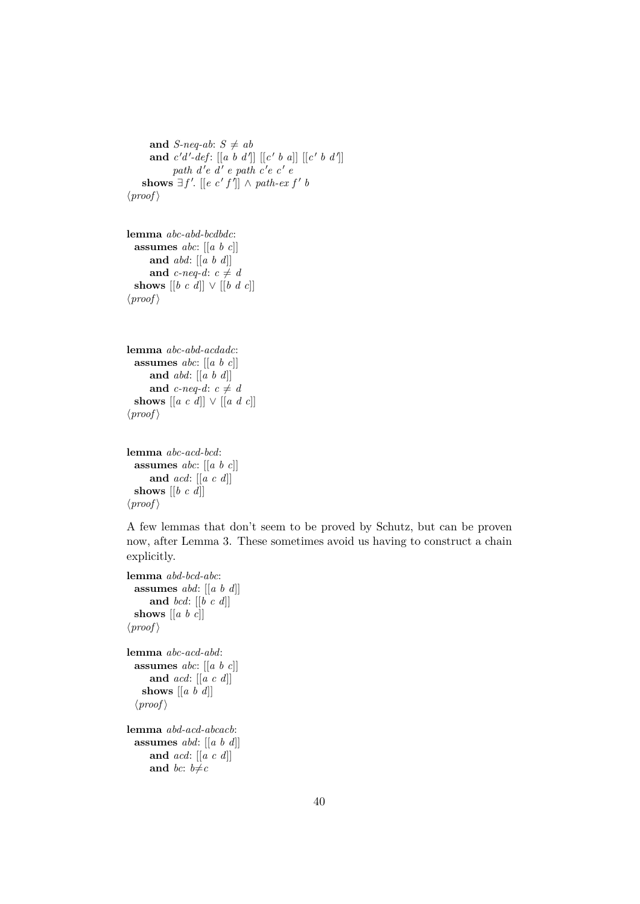```
and S-neq-ab: S \neq aband c'd'-def: [[a \ b \ d']] [[c' \ b \ a]] [[c' \ b \ d']]path d'e d' e path c'e c' e
    shows \exists f'. [[e \ c' f']] \land path-ex f' b\langle proof \rangle
```

```
lemma abc-abd-bcdbdc:
  assumes abc: [[a b c]]
     and abd: [[a b d]]
     and c-neq-d: c \neq dshows [[b \ c \ d]] \lor [[b \ d \ c]]\langle proof \rangle
```

```
lemma abc-abd-acdadc:
 assumes abc: [[a b c]]
     and abd: [[a b d]]
     and c-neq-d: c \neq dshows [[a c d]] ∨ [[a d c]]
\langle proof \rangle
```

```
lemma abc-acd-bcd:
 assumes abc: [[a b c]]
     and acd: [[a c d]]
 shows [[b c d]]
\langle proof \rangle
```
A few lemmas that don't seem to be proved by Schutz, but can be proven now, after Lemma 3. These sometimes avoid us having to construct a chain explicitly.

```
lemma abd-bcd-abc:
 assumes abd: [[a b d]]
     and bcd: [[b c d]]
 shows [[a b c]]
\langle proof \ranglelemma abc-acd-abd:
 assumes abc: [[a b c]]
     and acd: [[a c d]]
   shows [[a b d]]
  \langle proof \ranglelemma abd-acd-abcacb:
  assumes abd: [[a b d]]
     and acd: [[a c d]]
```

```
and bc: b \neq c
```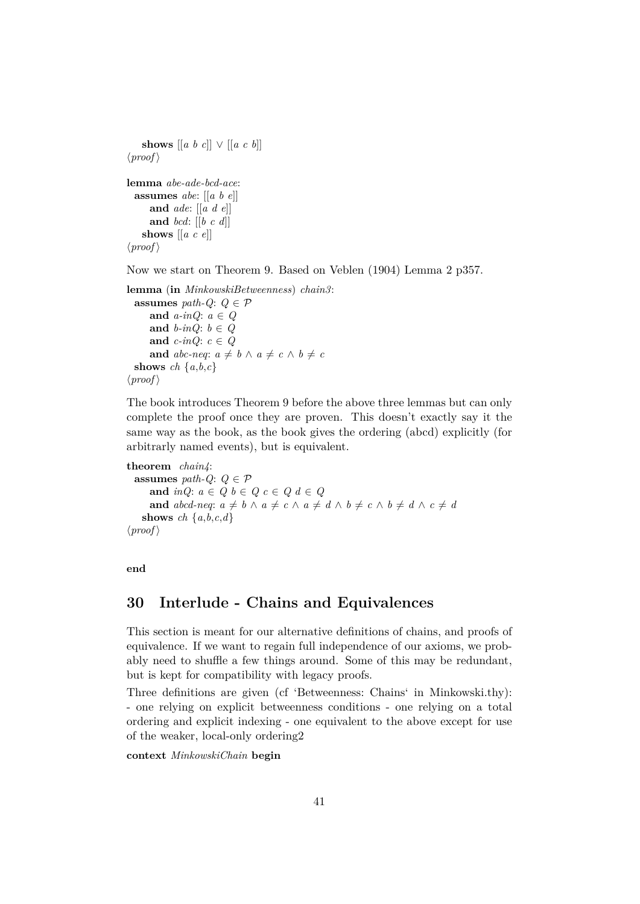```
shows [[a \; b \; c]] \lor [[a \; c \; b]]\langle proof \ranglelemma abe-ade-bcd-ace:
  assumes abe: [[a b e]]
      and ade: [[a d e]]
      and bcd: [[b c d]]
    shows [[a c e]]
\langle proof \rangle
```

```
Now we start on Theorem 9. Based on Veblen (1904) Lemma 2 p357.
```

```
lemma (in MinkowskiBetweenness) chain3:
 assumes path-Q: Q \in \mathcal{P}and a-inQ: a ∈ Q
     and b-inQ: b \in Qand c-inQ: c \in Qand abc-neq: a \neq b \land a \neq c \land b \neq cshows ch \{a,b,c\}\langle proof \rangle
```
The book introduces Theorem 9 before the above three lemmas but can only complete the proof once they are proven. This doesn't exactly say it the same way as the book, as the book gives the ordering (abcd) explicitly (for arbitrarly named events), but is equivalent.

**theorem** *chain4*: **assumes** *path-Q*:  $Q \in \mathcal{P}$ **and**  $inQ$ :  $a \in Q$   $b \in Q$   $c \in Q$   $d \in Q$ **and**  $abcd$ -neq:  $a \neq b \land a \neq c \land a \neq d \land b \neq c \land b \neq d \land c \neq d$ **shows** *ch*  $\{a,b,c,d\}$  $\langle proof \rangle$ 

```
end
```
## <span id="page-40-0"></span>**30 Interlude - Chains and Equivalences**

This section is meant for our alternative definitions of chains, and proofs of equivalence. If we want to regain full independence of our axioms, we probably need to shuffle a few things around. Some of this may be redundant, but is kept for compatibility with legacy proofs.

Three definitions are given (cf 'Betweenness: Chains' in Minkowski.thy): - one relying on explicit betweenness conditions - one relying on a total ordering and explicit indexing - one equivalent to the above except for use of the weaker, local-only ordering2

**context** *MinkowskiChain* **begin**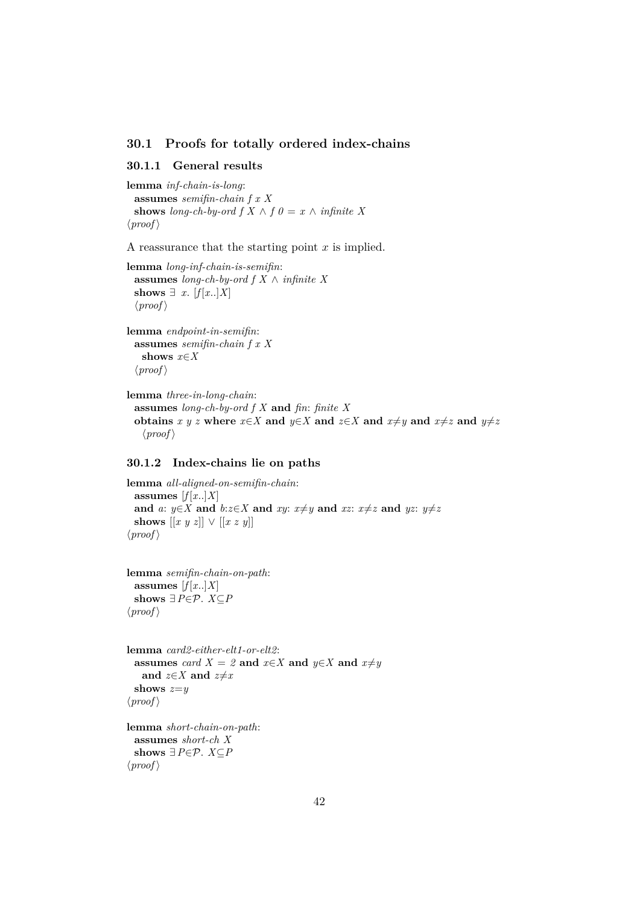#### <span id="page-41-0"></span>**30.1 Proofs for totally ordered index-chains**

#### <span id="page-41-1"></span>**30.1.1 General results**

**lemma** *inf-chain-is-long*: **assumes** *semifin-chain f x X* **shows** *long-ch-by-ord*  $f X \wedge f \theta = x \wedge \text{ infinite } X$  $\langle proof \rangle$ 

A reassurance that the starting point  $x$  is implied.

**lemma** *long-inf-chain-is-semifin*: **assumes** *long-ch-by-ord f X* ∧ *infinite X* **shows** ∃ *x*.  $[f[x..]X]$  $\langle proof \rangle$ 

**lemma** *endpoint-in-semifin*: **assumes** *semifin-chain f x X* **shows** *x*∈*X*  $\langle proof \rangle$ 

**lemma** *three-in-long-chain*: **assumes** *long-ch-by-ord f X* **and** *fin*: *finite X* **obtains**  $x \ y \ z$  where  $x \in X$  and  $y \in X$  and  $z \in X$  and  $x \neq y$  and  $x \neq z$  and  $y \neq z$  $\langle proof \rangle$ 

#### <span id="page-41-2"></span>**30.1.2 Index-chains lie on paths**

```
lemma all-aligned-on-semifin-chain:
 assumes [f[x..]X]and a: y∈X and b:z∈X and xy: x\neqy and xz: x\neqz and yz: y\neqz
 shows [[x \ y \ z]] \lor [[x \ z \ y]]\langle proof \rangle
```
**lemma** *semifin-chain-on-path*: assumes  $[f[x..]X]$ shows  $∃P∈P$ . *X*⊆*P*  $\langle proof \rangle$ 

```
lemma card2-either-elt1-or-elt2:
 assumes card X = 2 and x \in X and y \in X and x \neq yand z \in X and z \neq xshows z=y
\langle proof \rangle
```
**lemma** *short-chain-on-path*: **assumes** *short-ch X* shows  $∃P∈P$ . *X*⊂*P*  $\langle proof \rangle$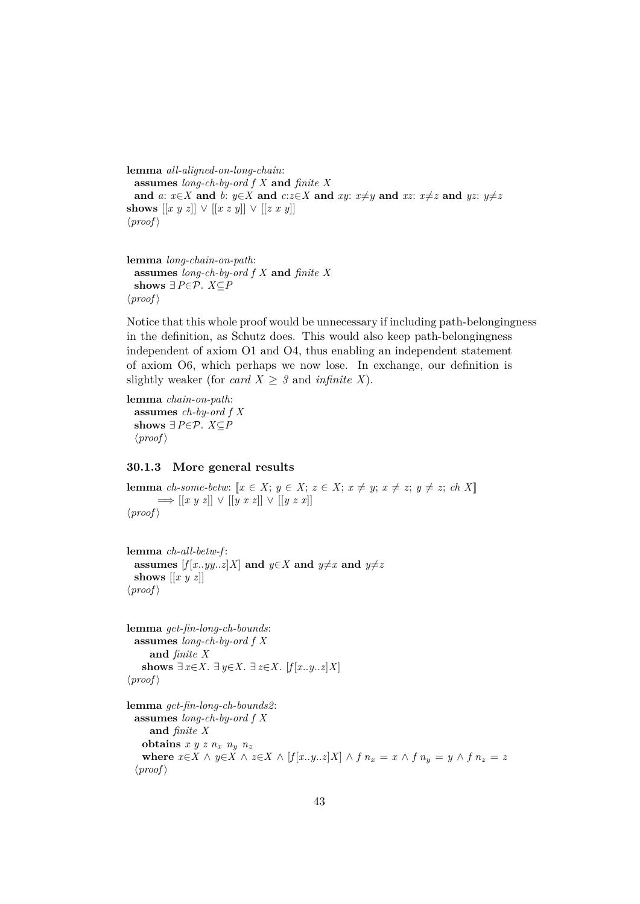**lemma** *all-aligned-on-long-chain*: **assumes** *long-ch-by-ord f X* **and** *finite X* and a:  $x \in X$  and b:  $y \in X$  and  $c:z \in X$  and  $xy$ :  $x \neq y$  and  $xz$ :  $x \neq z$  and  $yz$ :  $y \neq z$ **shows**  $[[x y z]] ∨ [[x z y]] ∨ [[z x y]]$  $\langle proof \rangle$ 

```
lemma long-chain-on-path:
  assumes long-ch-by-ord f X and finite X
  shows ∃ P \in \mathcal{P}. X \subseteq P\langle proof \rangle
```
Notice that this whole proof would be unnecessary if including path-belongingness in the definition, as Schutz does. This would also keep path-belongingness independent of axiom O1 and O4, thus enabling an independent statement of axiom O6, which perhaps we now lose. In exchange, our definition is slightly weaker (for *card X*  $\geq$  *3* and *infinite X*).

**lemma** *chain-on-path*: **assumes** *ch-by-ord f X* shows  $∃P∈P$ . *X*⊆*P*  $\langle proof \rangle$ 

#### <span id="page-42-0"></span>**30.1.3 More general results**

**lemma** *ch-some-betw:*  $[x \in X; y \in X; z \in X; x \neq y; x \neq z; y \neq z; ch X$  $\implies$   $[[x \ y \ z]] \ \vee \ [[y \ x \ z]] \ \vee \ [[y \ z \ x]]$  $\langle proof \rangle$ 

**lemma** *ch-all-betw-f* : **assumes**  $[f(x..yy..z]X]$  and  $y \in X$  and  $y \neq x$  and  $y \neq z$ shows  $\left[ \left[ x \ y \ z \right] \right]$  $\langle proof \rangle$ 

```
lemma get-fin-long-ch-bounds:
 assumes long-ch-by-ord f X
     and finite X
   shows ∃ x∈X. ∃ y∈X. ∃ z∈X. [f[x..y..z]X]
\langle proof \rangle
```

```
lemma get-fin-long-ch-bounds2:
  assumes long-ch-by-ord f X
     and finite X
    obtains x y z n_x n_y n_zwhere x \in X \land y \in X \land z \in X \land [f[x..y..z]X] \land f\ n_x = x \land f\ n_y = y \land f\ n_z = z\langle proof \rangle
```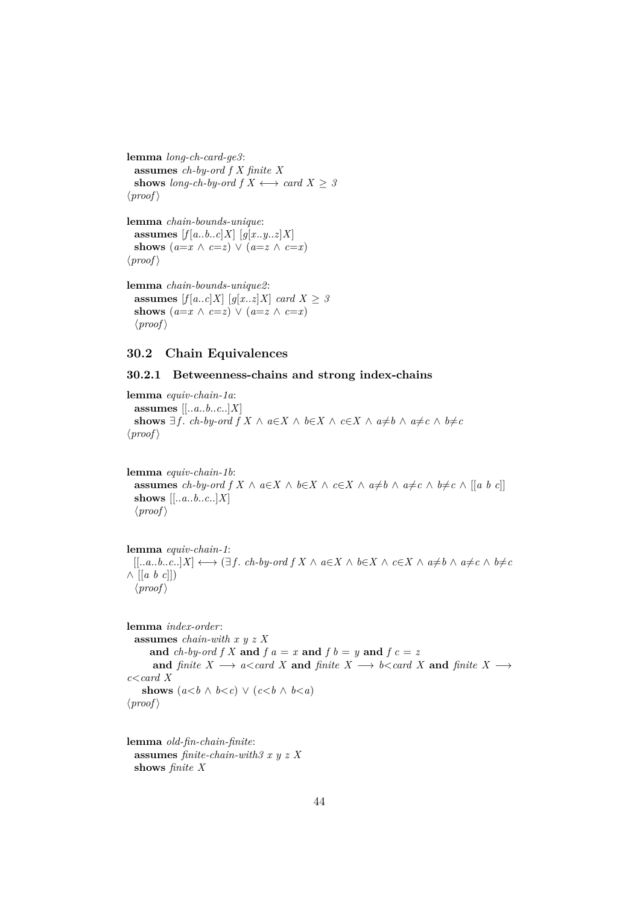**lemma** *long-ch-card-ge3*: **assumes** *ch-by-ord f X finite X* **shows** *long-ch-by-ord*  $f X \leftrightarrow \text{card } X > 3$  $\langle proof \rangle$ 

**lemma** *chain-bounds-unique*: **assumes**  $[f[a..b..c]X]$   $[q[x..y..z]X]$ **shows**  $(a=x \land c=z) \lor (a=z \land c=x)$  $\langle proof \rangle$ 

**lemma** *chain-bounds-unique2*: **assumes**  $[f[a..c]X]$   $[g[x..z]X]$  *card*  $X \geq 3$ **shows**  $(a=x \land c=z) \lor (a=z \land c=x)$  $\langle proof \rangle$ 

## <span id="page-43-0"></span>**30.2 Chain Equivalences**

### <span id="page-43-1"></span>**30.2.1 Betweenness-chains and strong index-chains**

**lemma** *equiv-chain-1a*: **assumes** [[..*a*..*b*..*c*..]*X*] **shows**  $\exists$  *f*. *ch-by-ord f*  $X \wedge a \in X \wedge b \in X \wedge c \in X \wedge a \neq b \wedge a \neq c \wedge b \neq c$  $\langle proof \rangle$ 

**lemma** *equiv-chain-1b*: **assumes** *ch-by-ord f X* ∧ *a*∈*X* ∧ *b*∈*X* ∧ *c*∈*X* ∧ *a*≠*b* ∧ *a*≠*c* ∧ *b*≠*c* ∧ [[*a b c*]] **shows** [[..*a*..*b*..*c*..]*X*]  $\langle proof \rangle$ 

**lemma** *equiv-chain-1*:  $[[..a..b..c..]X] \longleftrightarrow (\exists f.\ ch\text{-}by\text{-}ord\ f\ X\land a\in X\land b\in X\land c\in X\land a\neq b\land a\neq c\land b\neq c$ ∧ [[*a b c*]])  $\langle proof \rangle$ 

**lemma** *index-order*: **assumes** *chain-with x y z X* and *ch-by-ord*  $f X$  and  $f a = x$  and  $f b = y$  and  $f c = z$ **and** *finite*  $X \longrightarrow a < \text{card } X$  **and** *finite*  $X \longrightarrow b < \text{card } X$  **and** *finite*  $X \longrightarrow$ *c*<*card X* **shows**  $(a < b \land b < c) \lor (c < b \land b < a)$  $\langle proof \rangle$ 

**lemma** *old-fin-chain-finite*: **assumes** *finite-chain-with3 x y z X* **shows** *finite X*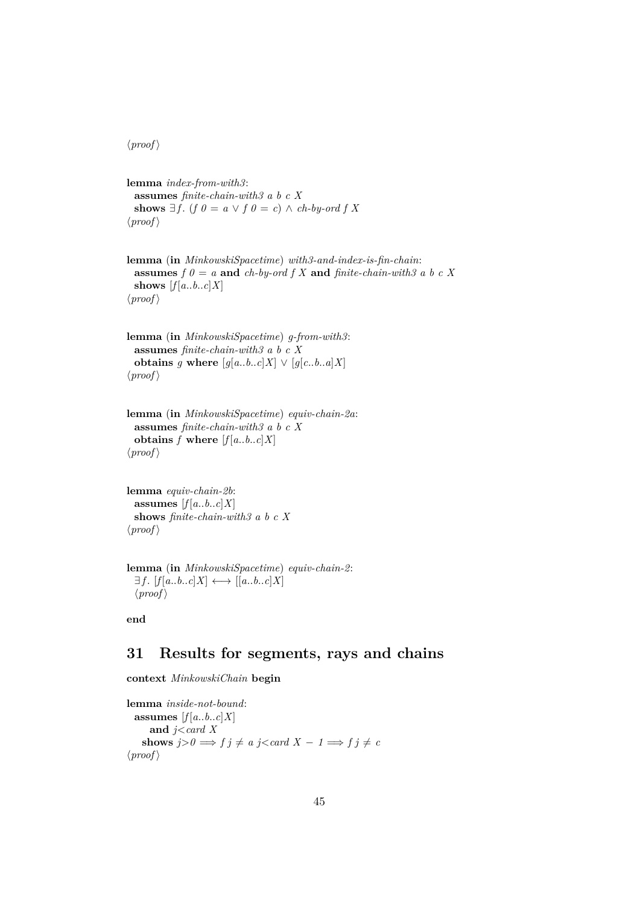$\langle proof \rangle$ 

**lemma** *index-from-with3*: **assumes** *finite-chain-with3 a b c X* **shows**  $\exists f$ . (*f*  $0 = a \lor f$   $0 = c$ ) ∧ *ch-by-ord f X*  $\langle proof \rangle$ 

**lemma** (**in** *MinkowskiSpacetime*) *with3-and-index-is-fin-chain*: **assumes**  $f \theta = a$  **and**  $ch$ -by-ord  $f X$  **and**  $finite$ -chain-with3 a b c X **shows**  $[f[a..b..c]X]$  $\langle proof \rangle$ 

**lemma** (**in** *MinkowskiSpacetime*) *g-from-with3*: **assumes** *finite-chain-with3 a b c X* **obtains** *g* **where**  $[g[a..b..c]X] \vee [g[c..b..a]X]$  $\langle proof \rangle$ 

```
lemma (in MinkowskiSpacetime) equiv-chain-2a:
 assumes finite-chain-with3 a b c X
 obtains f where [f[a..b..c]X]\langle proof \rangle
```
**lemma** *equiv-chain-2b*: **assumes**  $[f[a..b..c]X]$ **shows** *finite-chain-with3 a b c X*  $\langle proof \rangle$ 

```
lemma (in MinkowskiSpacetime) equiv-chain-2:
  \exists f. [f[a..b..c]X] \longleftrightarrow [[a..b..c]X]\langle proof \rangle
```
**end**

# <span id="page-44-0"></span>**31 Results for segments, rays and chains**

**context** *MinkowskiChain* **begin**

**lemma** *inside-not-bound*: **assumes**  $[f[a..b..c]X]$ **and** *j*<*card X* **shows**  $j>0 \implies f \, j \neq a \, j < \text{card } X - 1 \implies f \, j \neq c$  $\langle proof \rangle$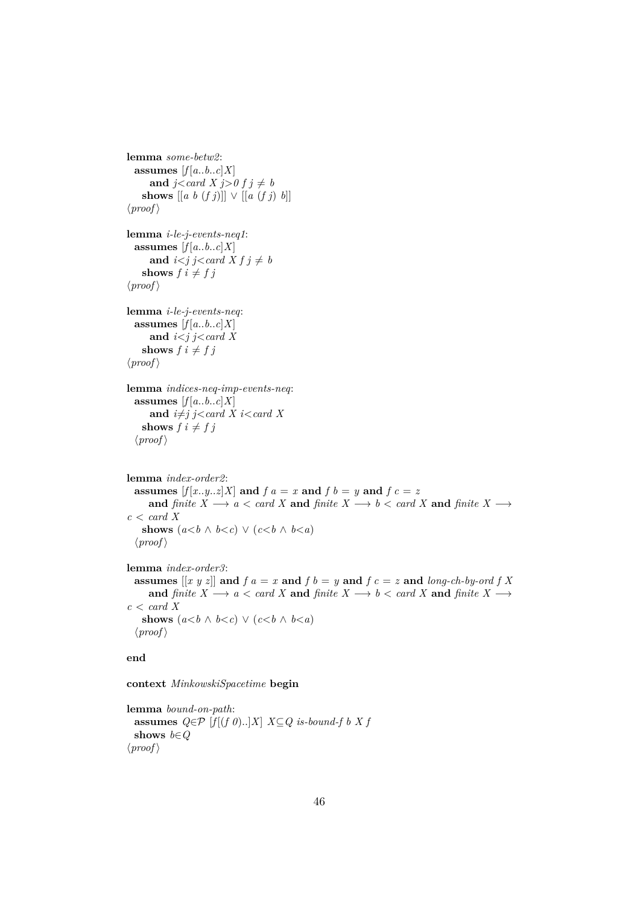```
lemma some-betw2:
  assumes [f[a..b..c]X]and j <card X j > 0 f j \neq bshows [[a \; b \; (f \; j)]] \vee [[a \; (f \; j) \; b]]\langle proof \ranglelemma i-le-j-events-neq1:
  assumes [f[a..b..c]X]and i < j j<card X f j \neq bshows f \, i \neq f \, j\langle proof \ranglelemma i-le-j-events-neq:
  assumes [f[a..b..c]X]and i<j j<card X
    shows f \, i \neq f \, j\langle proof \ranglelemma indices-neq-imp-events-neq:
  assumes [f[a..b..c]X]and i \neq j j<card X i<card Xshows f \, i \neq f \, j\langle proof \ranglelemma index-order2:
  assumes [f[x..y..z]X] and f a = x and f b = y and f c = zand finite X \longrightarrow a < \text{card } X and finite X \longrightarrow b < \text{card } X and finite X \longrightarrowc < \operatorname{card} Xshows (a < b \land b < c) \lor (c < b \land b < a)\langle proof \ranglelemma index-order3:
  assumes [[x \ y \ z]] and f \ a = x and f \ b = y and f \ c = z and long-ch-by-ord f Xand finite X \longrightarrow a \leq card X and finite X \longrightarrow b \leq card X and finite X \longrightarrowc < \text{card } Xshows (a < b \land b < c) \lor (c < b \land b < a)\langle proof \rangle
```
#### **end**

**context** *MinkowskiSpacetime* **begin**

**lemma** *bound-on-path*: **assumes**  $Q \in \mathcal{P}$  [ $f$ [ $(f \theta)$ ..]*X*]  $X \subseteq Q$  *is-bound-f b X f* **shows** *b*∈*Q*  $\langle proof \rangle$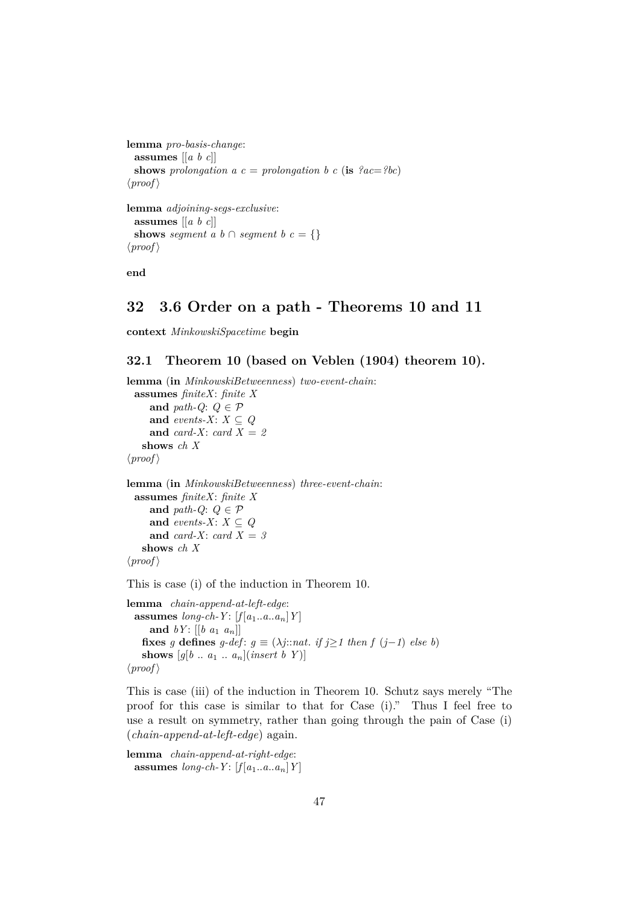```
lemma pro-basis-change:
  assumes [[a b c]]
  shows prolongation a c = prolongation b c (is {}^{\circ}ac = {}^{\circ}bc)
\langle proof \ranglelemma adjoining-segs-exclusive:
  assumes [[a b c]]
  shows seqment \overline{a} \overline{b} \cap seqment \overline{b} \overline{c} = {}
\langle proof \rangle
```
**end**

# <span id="page-46-0"></span>**32 3.6 Order on a path - Theorems 10 and 11**

**context** *MinkowskiSpacetime* **begin**

## <span id="page-46-1"></span>**32.1 Theorem 10 (based on Veblen (1904) theorem 10).**

**lemma** (**in** *MinkowskiBetweenness*) *two-event-chain*: **assumes** *finiteX*: *finite X* **and** *path-Q*:  $Q \in \mathcal{P}$ **and** *events-X*:  $X \subseteq Q$ **and** *card-X*: *card X* = *2* **shows** *ch X*  $\langle proof \rangle$ **lemma** (**in** *MinkowskiBetweenness*) *three-event-chain*: **assumes** *finiteX*: *finite X* **and** *path-Q*:  $Q \in \mathcal{P}$ **and** *events-X*:  $X \subseteq Q$ and *card-X*: *card*  $X = 3$ **shows** *ch X*  $\langle proof \rangle$ 

This is case (i) of the induction in Theorem 10.

**lemma** *chain-append-at-left-edge*: **assumes**  $long-ch-Y$ :  $[f[a_1..a..a_n]Y]$ **and**  $bY$ :  $[[b \ a_1 \ a_n]]$ **fixes** *g* **defines**  $g$ -def:  $g \equiv (\lambda j::nat. \textit{if } j \geq 1 \textit{ then } f(j-1) \textit{ else } b)$ **shows**  $[g[b \dots a_1 \dots a_n](insert \ b \ Y)]$  $\langle proof \rangle$ 

This is case (iii) of the induction in Theorem 10. Schutz says merely "The proof for this case is similar to that for Case (i)." Thus I feel free to use a result on symmetry, rather than going through the pain of Case (i) (*chain-append-at-left-edge*) again.

**lemma** *chain-append-at-right-edge*: **assumes**  $long-ch-Y$ :  $[f[a_1..a..a_n]Y]$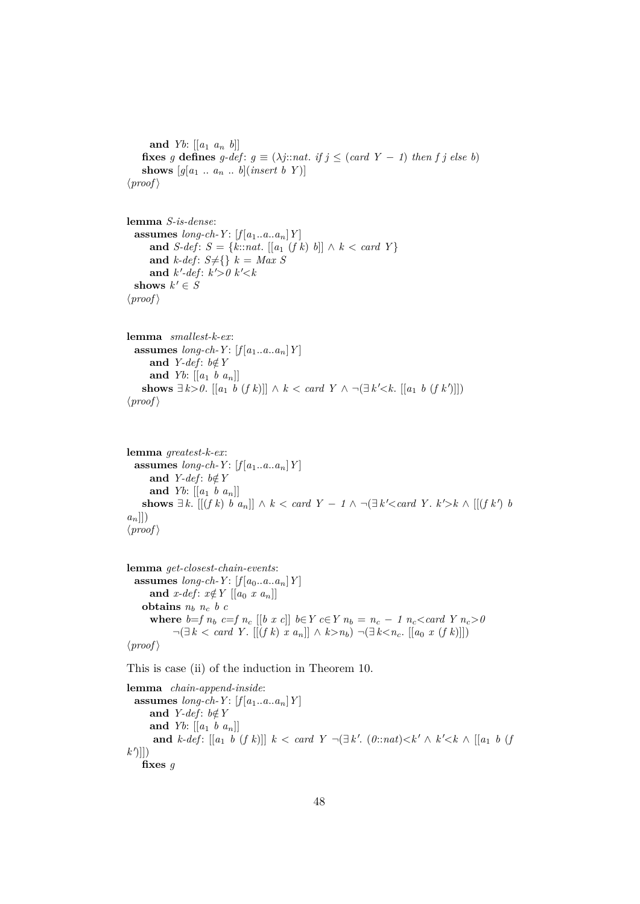```
and Yb: [ [a_1 \ a_n \ b] ]fixes g defines g-def: g \equiv (\lambda j::nat. if j \leq (card Y - 1) then f j else b)
   shows [g[a_1 \dots a_n \dots b](insert b Y)]\langle proof \rangle
```

```
lemma S-is-dense:
 assumes \text{long-ch-}Y: [f[a_1..a..a_n]Y]and S-def: S = \{k::nat. [[a_1 (f k) b]] \wedge k < card Y\}and k-def: S \neq \{\}\ k = Max Sand k'-def: k'>0 k' < kshows k' \in S\langle proof \rangle
```

```
lemma smallest-k-ex:
  assumes long-ch-Y: [f[a_1..a..a_n]Y]and Y-def: b \notin Yand Yb: \left[ \left[ a_1 \; b \; a_n \right] \right]shows \exists k > 0. [[a<sub>1</sub> b (f k)]] ∧ k < card Y ∧ ¬(\exists k' < k. [[a<sub>1</sub> b (f k')]])
\langle proof \rangle
```

```
lemma greatest-k-ex:
  assumes long-ch-Y: [f[a_1..a..a_n]Y]and Y-def: b \notin Yand Yb: [ [a_1 \, b \, a_n] ]shows ∃ k. [[(f k) b a_n]] ∧ k < card Y - 1 \wedge \neg (\exists k' < card Y. k' > k \wedge [[(f k') b
a_n]])
\langle proof \rangle
```

```
lemma get-closest-chain-events:
  assumes long-ch-Y: [f[a_0..a..a_n]Y]and x-def: x \notin Y [[a_0 \ x \ a_n]]
   obtains n_b n_c b c
     where b=f n_b c=f n_c [[b x c]] b \in Y c \in Y n_b = n_c - 1 n_c < \text{card } Y n_c > 0¬(∃ k < card Y . [[(f k) x an]] ∧ k>nb) ¬(∃ k<nc. [[a0 x (f k)]])
\langle proof \rangle
```
This is case (ii) of the induction in Theorem 10.

**lemma** *chain-append-inside*: **assumes**  $long-ch-Y$ :  $[f[a_1..a..a_n]Y]$ and *Y-def*:  $b \notin Y$ **and** *Yb*: [[*a*<sup>1</sup> *b a*n]] **and**  $k$ -def:  $[[a_1 \ b \ (f \ k)]] \ k < card \ Y \ \neg (\exists k'. \ (0::nat) < k' \land \ k' < k \ \wedge \ [[a_1 \ b \ (f \ k))] \$  $k^{\prime}$ ]]) **fixes** *g*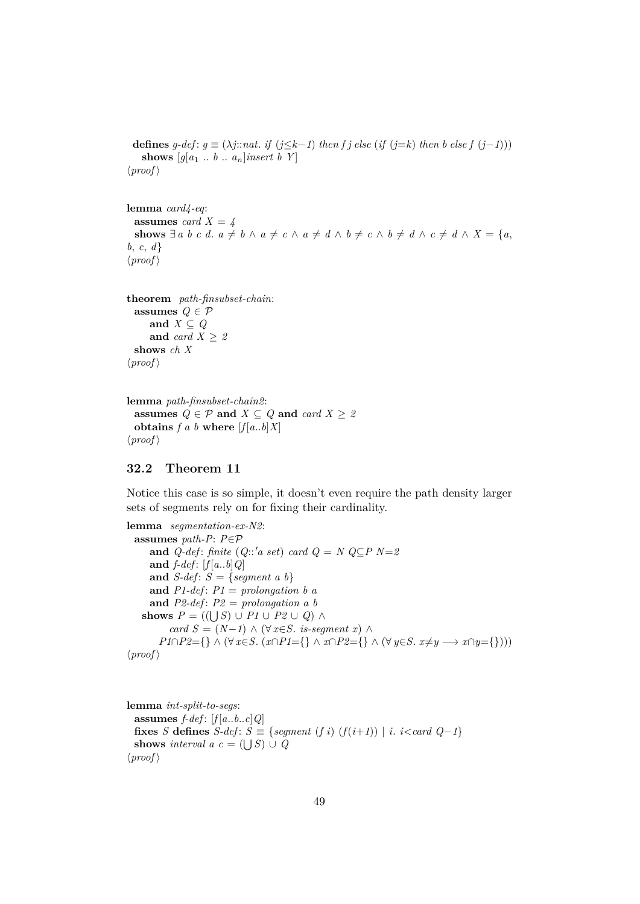**defines**  $g$ -def:  $g$  ≡ ( $\lambda j$ ::nat. *if* ( $j \leq k-1$ ) *then f j else* (*if* ( $j=k$ ) *then b else*  $f(j-1)$ )) **shows**  $[g[a_1 \ldots b \ldots a_n]$ *insert b Y*  $\langle proof \rangle$ 

**lemma** *card4-eq*: **assumes** *card*  $X = 4$ **shows**  $\exists a \ b \ c \ d. \ a \neq b \ \land \ a \neq c \ \land \ a \neq d \ \land \ b \neq c \ \land \ b \neq d \ \land \ c \neq d \ \land \ X = \{a,$ *b*, *c*, *d*}  $\langle proof \rangle$ 

```
theorem path-finsubset-chain:
  assumes Q \in \mathcal{P}and X \subseteq Qand card X > 2shows ch X
\langle proof \rangle
```

```
lemma path-finsubset-chain2:
 assumes Q \in \mathcal{P} and X \subseteq Q and card X \geq 2obtains f a b where [f[a..b]X]\langle proof \rangle
```
## <span id="page-48-0"></span>**32.2 Theorem 11**

Notice this case is so simple, it doesn't even require the path density larger sets of segments rely on for fixing their cardinality.

```
lemma segmentation-ex-N2:
 assumes path-P: P∈P
     and Q-def: finite (Q::'a set) card Q = N Q \subseteq P N=2and f-def : [f [a..b]Q]
     and S-def : S = {segment a b}
     and P1-def: P1 = prolongation b aand P2-def : P2 = prolongation a b
   shows P = ((\bigcup S) \cup P1 \cup P2 \cup Q) \wedgecard S = (N-1) \wedge (\forall x \in S. is-seqment x) ∧
       P1∩P2={} ∧ (∀ x∈S. (x∩P1={} ∧ x∩P2={} ∧ (∀ y∈S. x≠y → x∩y={})))
\langle proof \rangle
```

```
lemma int-split-to-segs:
  assumes f\text{-}def: [f[a..b..c]Q]fixes S defines S-def: S \equiv \{segment(fi) (f(i+1)) | i. \} i. i<card Q-1}
  shows interval a \ c = (\bigcup S) \cup Q\langle proof \rangle
```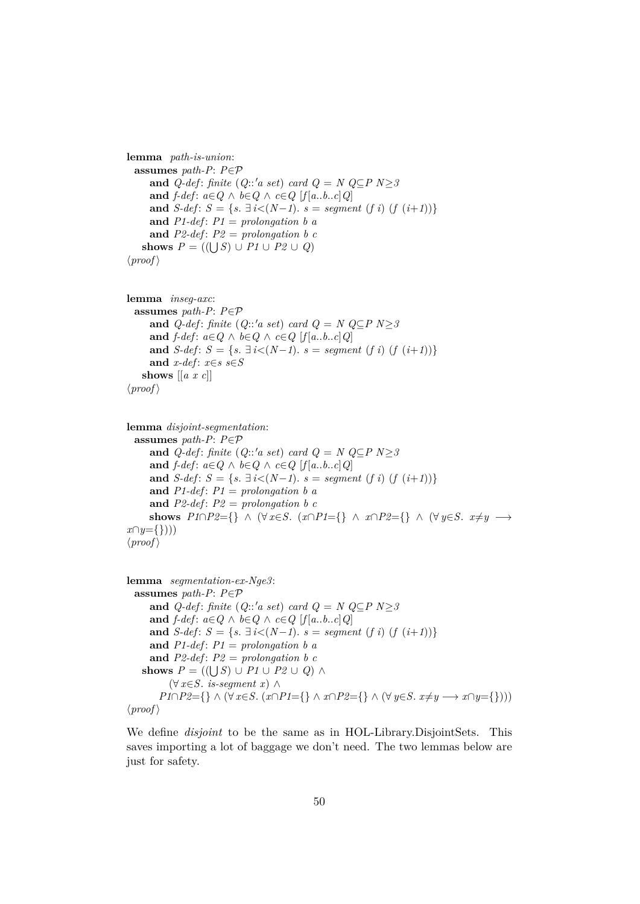```
lemma path-is-union:
  assumes path-P: P∈P
     and Q-def: finite (Q::'a set) card Q = N Q \subseteq P N > 3and f\text{-}def: a \in Q \land b \in Q \land c \in Q [f[a..b..c]Q]
     and S-def: S = \{s \in \exists i < (N-1) \mid s = segment (f i) (f (i+1))\}and P1-def: P1 = prolongation b aand P2-def: P2 = prolongation b cshows P = ((\bigcup S) \cup P1 \cup P2 \cup Q)\langle proof \rangle
```

```
lemma inseg-axc:
 assumes path-P: P∈P
     and Q-def: finite (Q::'a set) card Q = N Q⊆P N≥3
     and f\text{-}def: a \in Q \land b \in Q \land c \in Q [f[a..b..c]Q]
     and S-def: S = \{s, \exists i < (N-1), s = segment (f i) (f (i+1))\}and x-def : x∈s s∈S
   shows [[a x c]]
\langle proof \rangle
```

```
lemma disjoint-segmentation:
  assumes path-P: P∈P
      and Q-def: finite (Q::'a set) card Q = N Q \subseteq P N \geq 3and f\text{-}def: a \in Q \land b \in Q \land c \in Q [f[a..b..c]Q]
      and S-def: S = {s. \exists i < (N-1). s = seqment (f i) (f (i+1))}
      and P1-def: P1 =</math> <i>prolonuation</i> <math>b</math> <math>a</math>and P2-def: P2 = prolongation b cshows P1 \cap P2 = \{\} \wedge (\forall x \in S. \ (x \cap P1 = \{\} \wedge x \cap P2 = \{\} \wedge (\forall y \in S. \ x \neq y \rightarrow \{ \}x∩y={})))
\langle proof \rangle
```

```
lemma segmentation-ex-Nge3:
 assumes path-P: P∈P
     and Q-def: finite (Q::'a set) card Q = N Q⊆P N≥3
     and f\text{-}def: a \in Q \land b \in Q \land c \in Q [f[a..b..c]Q]
     and S-def: S = \{s, \exists i < (N-1), s = segment (f i) (f (i+1))\}and P1-def: P1 = prolongation b aand P2-def : P2 = prolongation b c
   shows P = ((\bigcup S) \cup P1 \cup P2 \cup Q) \wedge(∀ x∈S. is-segment x) ∧
       P1∩P2={} ∧ (∀ x∈S. (x∩P1={} ∧ x∩P2={} ∧ (∀ y∈S. x≠y → x∩y={})))
\langle proof \rangle
```
We define *disjoint* to be the same as in HOL-Library.DisjointSets. This saves importing a lot of baggage we don't need. The two lemmas below are just for safety.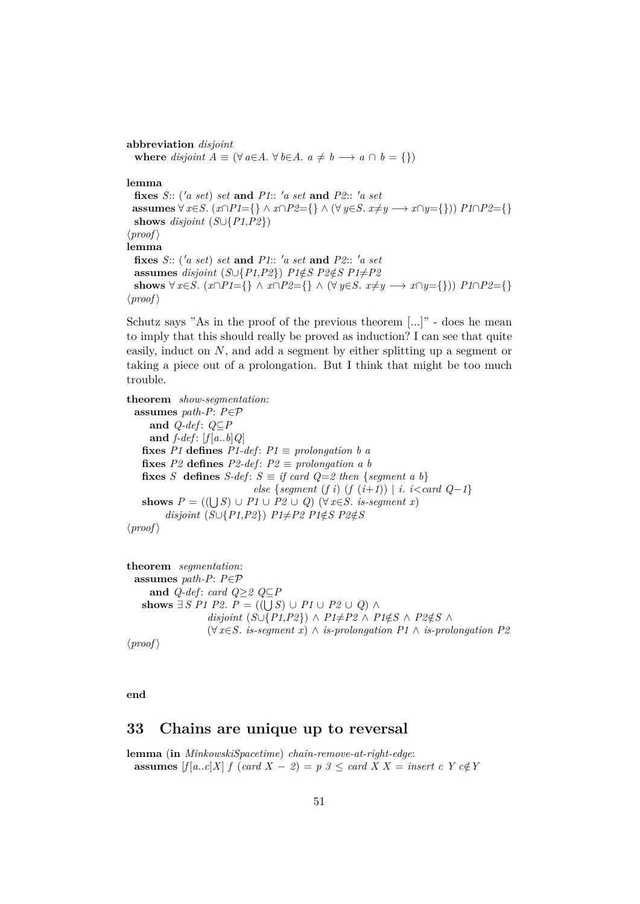**abbreviation** *disjoint* **where** *disjoint*  $A \equiv (\forall a \in A \land \forall b \in A \land a \neq b \rightarrow a \cap b = \{\})$ **lemma fixes** *S*:: ( $'a$  set) set and *P1*::  $'a$  set and *P2*::  $'a$  set **assumes**  $\forall x \in S$ . ( $x \cap P1 = \{\} \land x \cap P2 = \{\} \land (\forall y \in S$ .  $x \neq y \longrightarrow x \cap y = \{\})$ )  $P1 \cap P2 = \{\}$ **shows** *disjoint* (*S*∪{*P1*,*P2*})  $\langle proof \rangle$ **lemma fixes** *S*:: ( $'a$  set) set and P1::  $'a$  set and P2::  $'a$  set **assumes** *disjoint* (*S*∪{*P1*,*P2*}) *P1*∉*S P2*∉*S P1*≠*P2* **shows**  $\forall x \in S$ . ( $x \cap P1 = \{\} \land x \cap P2 = \{\} \land (\forall y \in S$ .  $x \neq y \rightarrow x \cap y = \{\})$ )  $P1 \cap P2 = \{\}$  $\langle proof \rangle$ 

Schutz says "As in the proof of the previous theorem [...]" - does he mean to imply that this should really be proved as induction? I can see that quite easily, induct on  $N$ , and add a segment by either splitting up a segment or taking a piece out of a prolongation. But I think that might be too much trouble.

**theorem** *show-segmentation*: **assumes** *path-P*: *P*∈P **and** *Q-def* : *Q*⊆*P* and  $f\text{-}def$ :  $[f[a..b]Q]$ **fixes** *P1* **defines**  $P1$ -def:  $P1 \equiv$  *prolongation b a* **fixes**  $P2$  **defines**  $P2$ -def:  $P2 \equiv$  *prolongation a b* **fixes** *S* **defines**  $S$ -def:  $S \equiv \text{if card } Q = 2 \text{ then } \{ \text{segment } a \text{ } b \}$ *else* {*segment* (*f i*) (*f* ( $i+1$ )) | *i*.  $i$  < *card*  $Q-1$ } **shows**  $P = ((\bigcup S) \cup P1 \cup P2 \cup Q)$  (∀ *x*∈*S*. *is-segment x*)  $disjoint(S\cup\{P1,P2\})$   $P1\neq P2$   $P1\notin S$   $P2\notin S$  $\langle proof \rangle$ 

```
theorem segmentation:
  assumes path-P: P∈P
     and Q-def : card Q≥2 Q⊆P
    shows \exists S \; P1 \; P2. P = ((\bigcup S) \cup P1 \cup P2 \cup Q) \land P2disjoint (S \cup \{P1, P2\}) ∧ P1 \neq P2 ∧ P1 \notin S ∧ P2 \notin S ∧
                    (∀ x∈S. is-segment x) ∧ is-prolongation P1 ∧ is-prolongation P2
\langle proof \rangle
```
**end**

# <span id="page-50-0"></span>**33 Chains are unique up to reversal**

**lemma** (**in** *MinkowskiSpacetime*) *chain-remove-at-right-edge*: **assumes**  $[f(a..c]X]$  *f*  $(\text{card } X - \mathcal{Z}) = p \mathcal{Z} \leq \text{card } X X = \text{insert } c \ Y \ c \notin Y$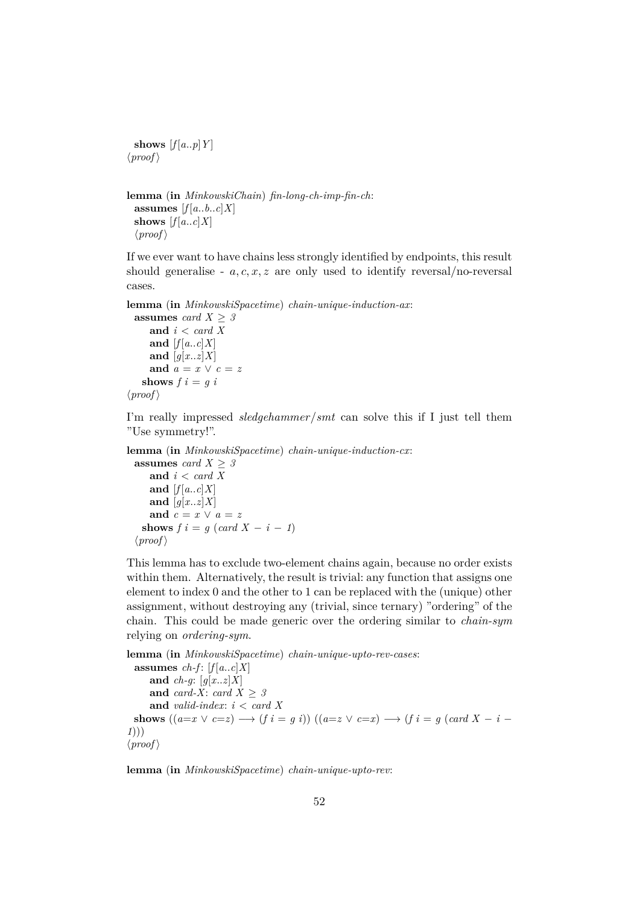**shows**  $[f[a..p]Y]$  $\langle proof \rangle$ 

```
lemma (in MinkowskiChain) fin-long-ch-imp-fin-ch:
 assumes [f[a..b..c]X]shows [f[a..c]X]\langle proof \rangle
```
If we ever want to have chains less strongly identified by endpoints, this result should generalise -  $a, c, x, z$  are only used to identify reversal/no-reversal cases.

**lemma** (**in** *MinkowskiSpacetime*) *chain-unique-induction-ax*:

```
assumes card X \geq 3and i < card X
     and [f[a..c]X]and [g[x..z]X]and a = x \vee c = zshows f \, i = g \, i\langle proof \rangle
```
I'm really impressed *sledgehammer*/*smt* can solve this if I just tell them "Use symmetry!".

**lemma** (**in** *MinkowskiSpacetime*) *chain-unique-induction-cx*:

**assumes** *card*  $X \geq 3$ **and** *i* < *card X* and  $[f[a..c]X]$ and  $[q[x..z]X]$ and  $c = x \vee a = z$ **shows**  $f \mathbf{i} = g \ (card \ X - \mathbf{i} - 1)$  $\langle proof \rangle$ 

This lemma has to exclude two-element chains again, because no order exists within them. Alternatively, the result is trivial: any function that assigns one element to index 0 and the other to 1 can be replaced with the (unique) other assignment, without destroying any (trivial, since ternary) "ordering" of the chain. This could be made generic over the ordering similar to *chain-sym* relying on *ordering-sym*.

```
lemma (in MinkowskiSpacetime) chain-unique-upto-rev-cases:
  assumes ch-f: [f[a..c]X]and ch-g: [g[x..z]X]
      and card-X: card X > 3and valid-index: i < card X
 shows ((a=x \vee c=z) \rightarrow (f \, i = g \, i)) ((a=z \vee c=x) \rightarrow (f \, i = g \, (c \, a \, d \, X - i - g \, t))1)))
\langle proof \rangle
```
**lemma** (**in** *MinkowskiSpacetime*) *chain-unique-upto-rev*: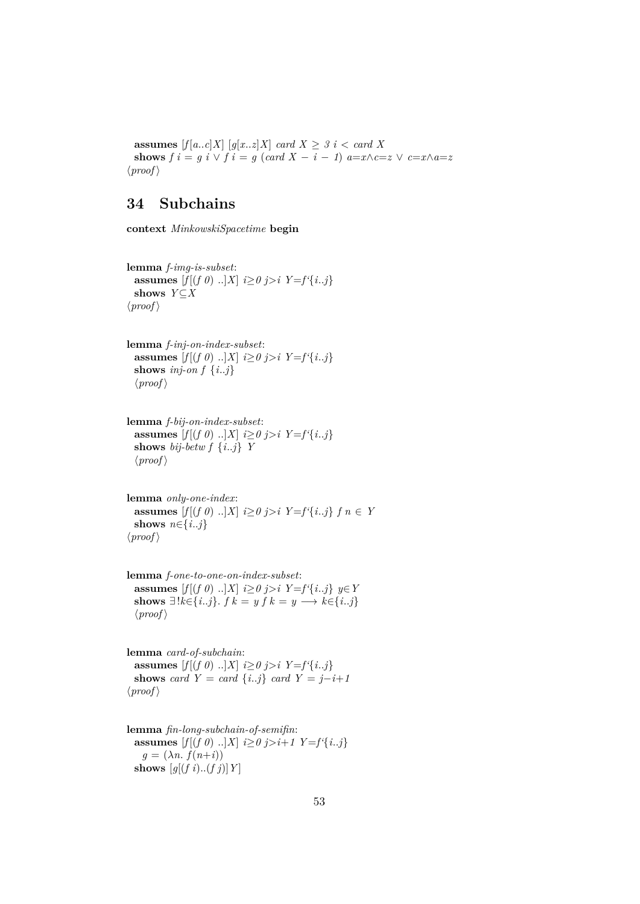**assumes**  $[f[a..c]X]$   $[g[x..z]X]$  *card*  $X \geq 3$  *i* < *card* X **shows**  $f \mathbf{i} = g \mathbf{i} \lor f \mathbf{i} = g (\text{card } X - \mathbf{i} - 1) a = x \land c = z \lor c = x \land a = z$  $\langle proof \rangle$ 

# <span id="page-52-0"></span>**34 Subchains**

**context** *MinkowskiSpacetime* **begin**

**lemma** *f-img-is-subset*: **assumes**  $[f[(f \ 0) \ ...]X]$   $i \geq 0$   $j > i$   $Y = f' \{i..j\}$ **shows** *Y*⊆*X*  $\langle proof \rangle$ 

**lemma** *f-inj-on-index-subset*: **assumes**  $[f|(f \theta) \dots | X| \leq \theta j > i \ Y = f' \{i..j\}$ **shows** *inj-on*  $f \{i..j\}$  $\langle proof \rangle$ 

**lemma** *f-bij-on-index-subset*: **assumes**  $[f[(f \ 0) \ ...]X]$   $i \geq 0$   $j > i$   $Y = f' \{i..j\}$ **shows** *bij-betw f* {*i*..*j*} *Y*  $\langle proof \rangle$ 

**lemma** *only-one-index*: **assumes**  $[f|(f \theta) \dots | X| \leq \theta j > i \ \ Y = f' \{i..j\} \ f \ n \in Y$ **shows**  $n \in \{i..j\}$  $\langle proof \rangle$ 

**lemma** *f-one-to-one-on-index-subset*: **assumes**  $[f[(f 0) \dots]X]$  *i*≥*0 j*>*i Y*=*f'*{*i*..*j*} *y*∈*Y* **shows**  $\exists$ ! $k \in \{i..j\}$ .  $f k = y f k = y \longrightarrow k \in \{i..j\}$  $\langle proof \rangle$ 

**lemma** *card-of-subchain*: **assumes**  $[f|(f \theta) \dots | X| \leq \theta j > i \ Y = f' \{i..j\}$ **shows** *card*  $Y = card \{i..j\}$  *card*  $Y = j-i+1$  $\langle proof \rangle$ 

**lemma** *fin-long-subchain-of-semifin*: **assumes**  $[f[(f \ 0) \ ..]X]$   $i \geq 0$   $j > i+1$   $Y = f' {i..j}$  $g = (\lambda n \cdot f(n+i))$ **shows**  $[g[(f\ i) \dots (f\ j)]\ Y]$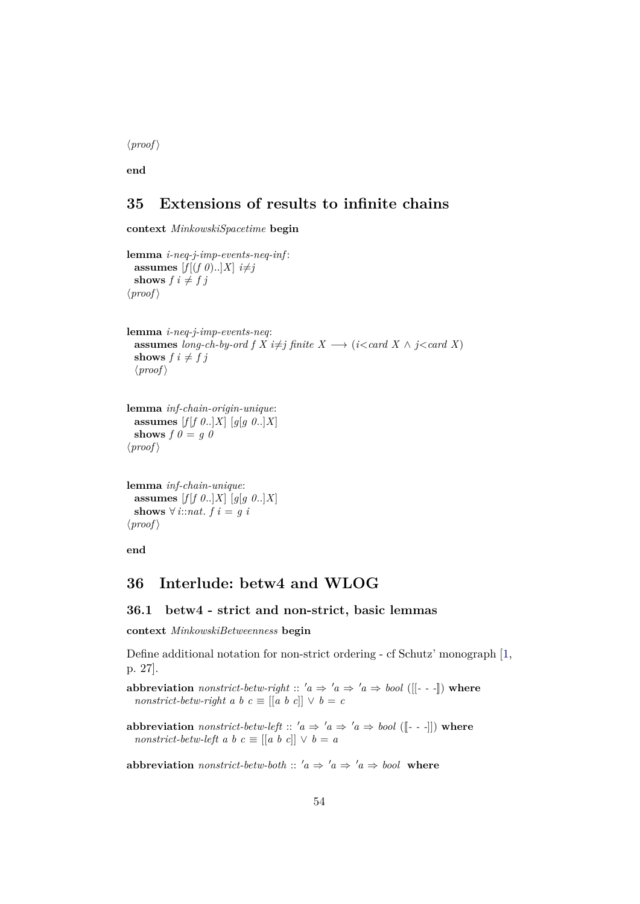$\langle proof \rangle$ 

**end**

# <span id="page-53-0"></span>**35 Extensions of results to infinite chains**

**context** *MinkowskiSpacetime* **begin**

```
lemma i-neq-j-imp-events-neq-inf :
  assumes [f[(f \theta) \dots]X] i \neq jshows f \, i \neq f \, j\langle proof \ranglelemma i-neq-j-imp-events-neq:
  assumes long-ch-by-ord f X i\neqj finite X \longrightarrow (i<card X \land j<card X)
  shows f \, i \neq f \, j\langle proof \ranglelemma inf-chain-origin-unique:
  assumes [f|f \theta..|X] [g[g \theta..|X]]
  shows f \theta = g \theta\langle proof \ranglelemma inf-chain-unique:
  assumes [f[f \theta..]X] [g[g \theta..]X]
  shows \forall i::nat. f i = g i
\langle proof \rangle
```
**end**

# <span id="page-53-1"></span>**36 Interlude: betw4 and WLOG**

#### <span id="page-53-2"></span>**36.1 betw4 - strict and non-strict, basic lemmas**

**context** *MinkowskiBetweenness* **begin**

Define additional notation for non-strict ordering - cf Schutz' monograph [\[1,](#page-64-0) p. 27].

**abbreviation** *nonstrict-betw-right* ::  $'a \Rightarrow 'a \Rightarrow 'a \Rightarrow bool$  ([[- - -]]) where *nonstrict-betw-right a b c*  $\equiv$   $\left[ \begin{bmatrix} a & b & c \end{bmatrix} \right] \vee b = c$ 

**abbreviation** *nonstrict-betw-left* ::  $'a \Rightarrow 'a \Rightarrow 'a \Rightarrow bool$  ([[---]]) where *nonstrict-betw-left a b c*  $\equiv$   $[[a \ b \ c]] \lor b = a$ 

**abbreviation** *nonstrict-betw-both* ::  $'a \Rightarrow 'a \Rightarrow 'a \Rightarrow bool$  where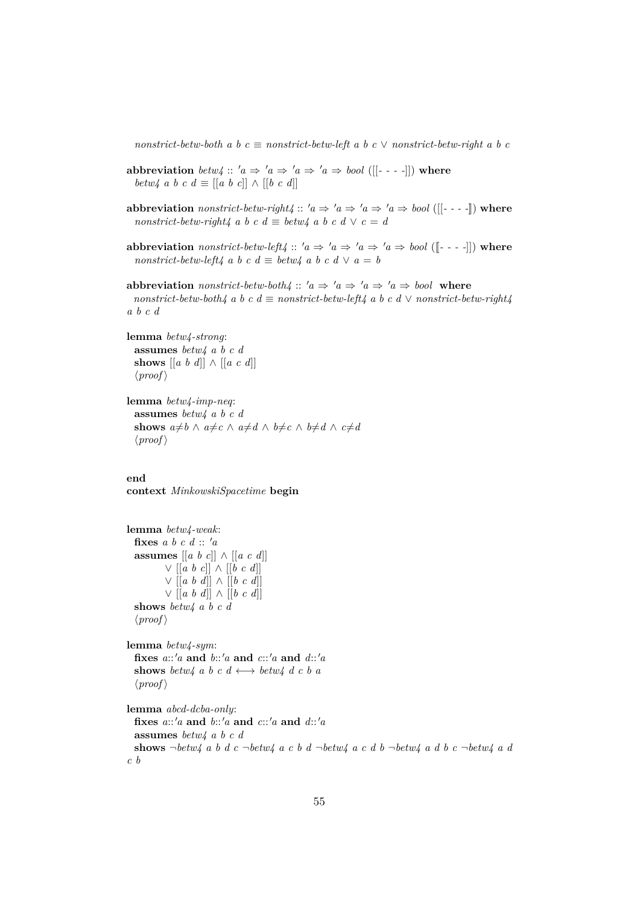$nonstrict-betw-both \, a \, b \, c \equiv nonstrict-betw-left \, a \, b \, c \vee nonstrict-betw-right \, a \, b \, c$ 

- **abbreviation** *betw4* ::  $'a \Rightarrow 'a \Rightarrow 'a \Rightarrow 'a \Rightarrow bool$  ([[- - -]]) where *betw4 a b c d*  $\equiv$  [[*a b c*]]  $\wedge$  [[*b c d*]]
- **abbreviation** *nonstrict-betw-right4* ::  $'a \Rightarrow 'a \Rightarrow 'a \Rightarrow 'a \Rightarrow bool$  ([[----]]) where *nonstrict-betw-right4 a b c d*  $\equiv$  *betw4 a b c d*  $\vee$  *c* = *d*
- **abbreviation** *nonstrict-betw-left4* ::  $'a \Rightarrow 'a \Rightarrow 'a \Rightarrow 'a \Rightarrow bool$  ([[- - -]]) where *nonstrict-betw-left4 a b c d*  $\equiv$  *betw4 a b c d*  $\vee$  *a* = *b*

**abbreviation** *nonstrict-betw-both4* ::  $'a \Rightarrow 'a \Rightarrow 'a \Rightarrow 'a \Rightarrow bool$  where  $nonstrict\text{-}betw\text{-}both\text{/}~a~b~c~d \equiv nonstrict\text{-}betw\text{-}left\text{/}a~b~c~d~\vee~nonstrict\text{-}betw\text{-}right\text{/}$ *a b c d*

```
lemma betw4-strong:
  assumes betw4 a b c d
  shows [[a \; b \; d]] \wedge [[a \; c \; d]]\langle proof \rangle
```

```
lemma betw4-imp-neq:
  assumes betw4 a b c d
  shows a \neq b \land a \neq c \land a \neq d \land b \neq c \land b \neq d \land c \neq d\langle proof \rangle
```
**end context** *MinkowskiSpacetime* **begin**

```
lemma betw4-weak:
 fixes a \, b \, c \, d :: 'aassumes [[a b c]] ∧ [[a c d]]
         ∨ [[a b c]] ∧ [[b c d]]
         ∨ [[a b d]] ∧ [[b c d]]
         ∨ [[a b d]] ∧ [[b c d]]
 shows betw4 a b c d
  \langle proof \ranglelemma betw4-sym:
 fixes a::0a and b::0a and c::0a and d::0a
 shows betw4 a b c d \leftrightarrow betw4 d c b a
  \langle proof \ranglelemma abcd-dcba-only:
 fixes a::'a and b::'a and c::'a and d::'aassumes betw4 a b c d
 shows \neg\thetabetw4 a b d c \neg\thetabetw4 a c b d \neg\thetabetw4 a d b d \neg\thetabetw4 a d
c b
```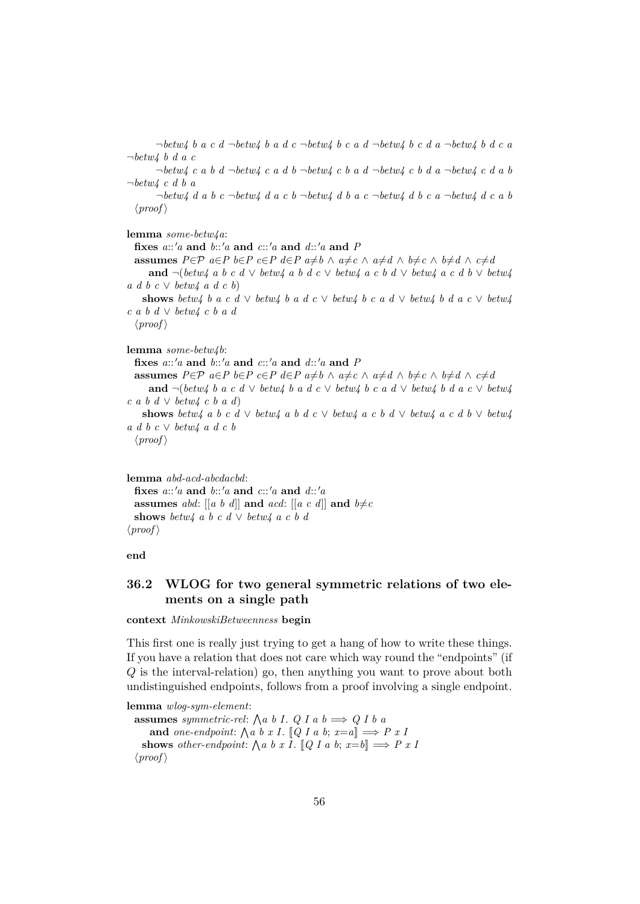¬*betw4 b a c d* ¬*betw4 b a d c* ¬*betw4 b c a d* ¬*betw4 b c d a* ¬*betw4 b d c a* ¬*betw4 b d a c*

¬*betw4 c a b d* ¬*betw4 c a d b* ¬*betw4 c b a d* ¬*betw4 c b d a* ¬*betw4 c d a b* ¬*betw4 c d b a*

¬*betw4 d a b c* ¬*betw4 d a c b* ¬*betw4 d b a c* ¬*betw4 d b c a* ¬*betw4 d c a b*  $\langle proof \rangle$ 

**lemma** *some-betw4a*:

**fixes** a:: 'a **and** b:: 'a **and** c:: 'a **and** d:: 'a **and** P **assumes**  $P \in \mathcal{P}$   $a \in P$   $b \in P$   $c \in P$   $d \in P$   $a \neq b \wedge a \neq c \wedge a \neq d \wedge b \neq c \wedge b \neq d \wedge c \neq d$ **and** ¬(*betw4 a b c d* ∨ *betw4 a b d c* ∨ *betw4 a c b d* ∨ *betw4 a c d b* ∨ *betw4 a d b c* ∨ *betw4 a d c b*) shows *betw4 b a c d*  $\vee$  *betw4 b a d c*  $\vee$  *betw4 b c a d*  $\vee$  *betw4 b d a c*  $\vee$  *betw4 c a b d* ∨ *betw4 c b a d*  $\langle proof \rangle$ 

**lemma** *some-betw4b*:

```
fixes a::'a and b::'a and c::'a and d::'a and P
```
**assumes**  $P \in \mathcal{P}$   $a \in P$   $b \in P$   $c \in P$   $d \in P$   $a \neq b \wedge a \neq c \wedge a \neq d \wedge b \neq c \wedge b \neq d \wedge c \neq d$ **and**  $\neg$ (*betw4 b a c d*  $\vee$  *betw4 b a d*  $\vee$  *c kw4 b c a d*  $\vee$  *betw4 b d a c*  $\vee$  *betw4 c a b d* ∨ *betw4 c b a d*)

shows *betw4* a b c d  $\vee$  *betw4* a b d c  $\vee$  *betw4* a c b d  $\vee$  *betw4* a c d b  $\vee$  *betw4 a d b c* ∨ *betw4 a d c b*

```
\langle proof \rangle
```
**lemma** *abd-acd-abcdacbd*: **fixes**  $a::'a$  **and**  $b::'a$  **and**  $c::'a$  **and**  $d::'a$ **assumes** abd:  $[[a \ b \ d]]$  **and**  $acd$ :  $[[a \ c \ d]]$  **and**  $b \neq c$ **shows** *betw4 a b c d*  $\vee$  *betw4 a c b d*  $\langle proof \rangle$ 

**end**

## <span id="page-55-0"></span>**36.2 WLOG for two general symmetric relations of two elements on a single path**

**context** *MinkowskiBetweenness* **begin**

This first one is really just trying to get a hang of how to write these things. If you have a relation that does not care which way round the "endpoints" (if Q is the interval-relation) go, then anything you want to prove about both undistinguished endpoints, follows from a proof involving a single endpoint.

```
lemma wlog-sym-element:
   assumes symmetric-rel: \bigwedge a \ b \ I. \ Q \ I \ a \ b \Longrightarrow Q \ I \ b \ aand one-endpoint: \bigwedge a \ b \ x \ I. \ [Q \ I \ a \ b; \ x=a] \Longrightarrow P \ x \ Ishows other-endpoint: \bigwedge a \ b \ x \ I. \ [Q \ I \ a \ b; x = b] \Longrightarrow P \ x \ I\langle proof \rangle
```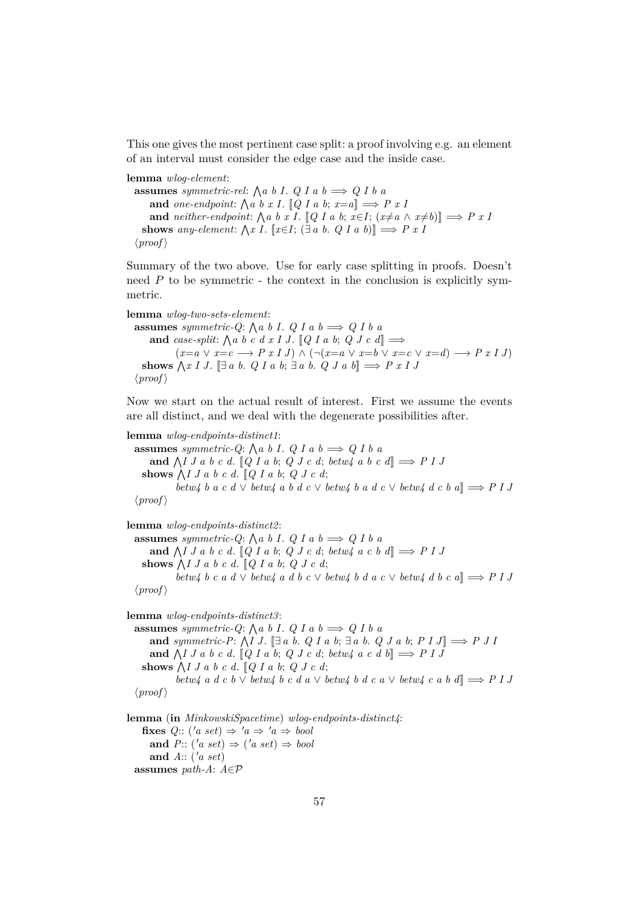This one gives the most pertinent case split: a proof involving e.g. an element of an interval must consider the edge case and the inside case.

**lemma** *wlog-element*:

**assumes** *symmetric-rel*:  $\bigwedge a \ b \ I. \ Q \ I \ a \ b \Longrightarrow Q \ I \ b \ a$ and *one-endpoint*:  $\bigwedge a \ b \ x \ I. \ [Q \ I \ a \ b; \ x=a] \Longrightarrow P \ x \ I$ **and** *neither-endpoint:*  $\bigwedge a \ b \ x \ I$ . [*Q I a b*;  $x \in I$ ;  $(x \neq a \land x \neq b)$ ]  $\implies P \ x \ I$ **shows** any-element:  $\bigwedge x \ I$ . [ $x \in I$ ;  $(\exists a \ b \ldotp Q \ I \ a \ b)$ ]  $\implies P \ x \ I$  $\langle proof \rangle$ 

Summary of the two above. Use for early case splitting in proofs. Doesn't need  $P$  to be symmetric - the context in the conclusion is explicitly symmetric.

```
lemma wlog-two-sets-element:
   assumes symmetric-Q: \bigwedge a \ b \ I. \ Q \ I \ a \ b \Longrightarrow Q \ I \ b \ aand case-split: \bigwedge a \ b \ c \ d \ x \ I \ J. \ [Q \ I \ a \ b; \ Q \ J \ c \ d] \Longrightarrow(x=a \lor x=c \longrightarrow P x I J) \land (\neg(x=a \lor x=b \lor x=c \lor x=d) \longrightarrow P x I J)shows \bigwedge x \mid J. [\exists a \ b. \ Q \ I \ a \ b; \exists a \ b. \ Q \ J \ a \ b] \Longrightarrow P \ x \mid J\langle proof \rangle
```
Now we start on the actual result of interest. First we assume the events are all distinct, and we deal with the degenerate possibilities after.

**lemma** *wlog-endpoints-distinct1*: **assumes** symmetric-Q:  $\bigwedge a \ b \ I. \ Q \ I \ a \ b \Longrightarrow Q \ I \ b \ a$ and  $\bigwedge I J a b c d. [Q I a b; Q J c d; betw4 a b c d] \Rightarrow P I J$ shows  $\bigwedge I J a b c d. \big[ Q I a b; Q J c d; \big]$ *betw4 b a c d*  $\vee$  *betw4 a b d c*  $\vee$  *betw4 b a d c*  $\vee$  *betw4 d c b a* $\parallel \Rightarrow$  *P I J*  $\langle proof \rangle$ 

**lemma** *wlog-endpoints-distinct2*:

**assumes** symmetric-Q:  $\bigwedge a \ b \ I. \ Q \ I \ a \ b \Longrightarrow Q \ I \ b \ a$ and  $\bigwedge I J a b c d. [Q I a b; Q J c d; betw4 a c b d] \Rightarrow P I J$ shows  $\bigwedge I J a b c d. \big[ Q I a b; Q J c d; \big]$ *betw4 b c a d*  $\vee$  *betw4 a d b c*  $\vee$  *betw4 b d a c*  $\vee$  *betw4 d b c a* $\parallel \Rightarrow$  *P I J*  $\langle proof \rangle$ 

**lemma** *wlog-endpoints-distinct3*: **assumes** symmetric-Q:  $\bigwedge a \ b \ I. \ Q \ I \ a \ b \Longrightarrow Q \ I \ b \ a$ and *symmetric-P*:  $\bigwedge I J$ .  $\Box a b$ . *Q I a b*;  $\Box a b$ . *Q J a b*;  $P I J \Box \Rightarrow P J I$ and  $\bigwedge I J a b c d. [Q I a b; Q J c d; betw4 a c d b] \Rightarrow P I J$ shows  $\bigwedge I J a b c d. \big[ Q I a b; Q J c d; \big]$ *betw4 a d c b* ∨ *betw4 b c d a* ∨ *betw4 b d c a* ∨ *betw4 c a b d*]] =⇒ *P I J*  $\langle proof \rangle$ 

**lemma** (**in** *MinkowskiSpacetime*) *wlog-endpoints-distinct4*: **fixes**  $Q$ :: ('a set)  $\Rightarrow$  'a  $\Rightarrow$  'a  $\Rightarrow$  bool and  $P: (\text{a set}) \Rightarrow (\text{a set}) \Rightarrow \text{bool}$ and  $A$ :: ( $'a$  set) **assumes** *path-A*: *A*∈P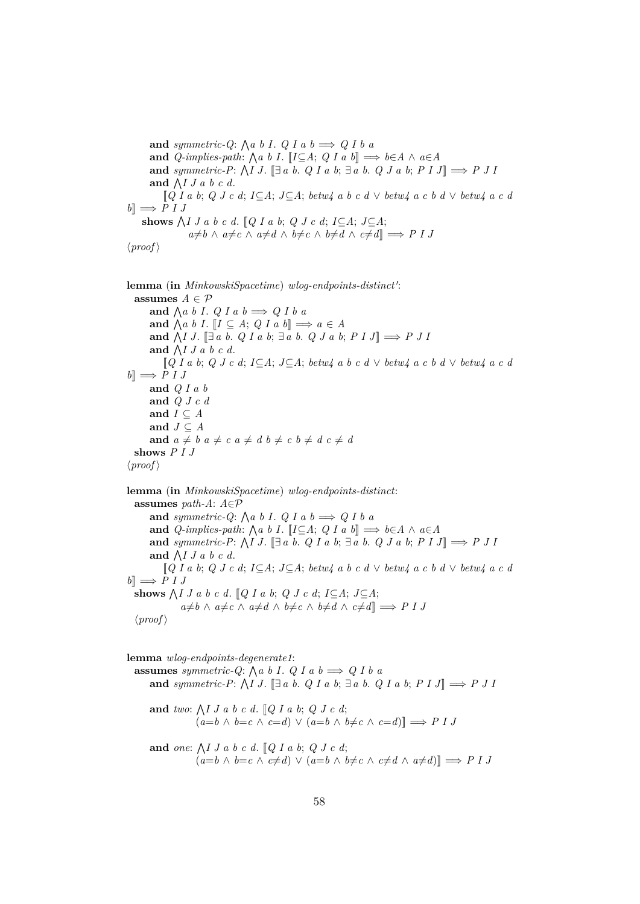and *symmetric-Q*:  $\bigwedge a \ b \ I. \ Q \ I \ a \ b \Longrightarrow Q \ I \ b \ a$ **and**  $Q$ -implies-path:  $\bigwedge a \ b \ I$ .  $\big[ I \subseteq A; \ Q \ I \ a \ b \big] \Longrightarrow b \in A \ \wedge \ a \in A$ **and** symmetric-P:  $\bigwedge I J$ . [ $\exists a \ b$ . *Q I a b*;  $\exists a \ b$ . *Q J a b*;  $P I J$ ]  $\Longrightarrow P J I$ and  $\bigwedge I J a b c d$ . [[*Q I a b*; *Q J c d*; *I*⊆*A*; *J*⊆*A*; *betw4 a b c d* ∨ *betw4 a c b d* ∨ *betw4 a c d*  $b \rceil \implies P I J$ shows  $\bigwedge I J a b c d$ .  $[Q I a b; Q J c d; I \subseteq A; J \subseteq A;$  $a \neq b \land a \neq c \land a \neq d \land b \neq c \land b \neq d \land c \neq d$ ]  $\implies$  *P I J*  $\langle proof \rangle$ 

lemma (in *MinkowskiSpacetime*) wlog-endpoints-distinct': **assumes**  $A \in \mathcal{P}$ and  $\bigwedge a \ b \ I. \ Q \ I \ a \ b \Longrightarrow Q \ I \ b \ a$ and  $\bigwedge a \ b \ I. \ [I \subseteq A; \ Q \ I \ a \ b] \Longrightarrow a \in A$ **and**  $\bigwedge I J$ .  $[\exists a \ b. \ Q I a \ b; \exists a \ b. \ Q J a \ b; P I J] \Longrightarrow P J I$ and  $\bigwedge I J a b c d$ . [[*Q I a b*; *Q J c d*; *I*⊆*A*; *J*⊆*A*; *betw4 a b c d* ∨ *betw4 a c b d* ∨ *betw4 a c d*  $b \rVert \Rightarrow P I J$ **and** *Q I a b* **and** *Q J c d* and  $I \subseteq A$ **and**  $J \subseteq A$ and  $a \neq b$   $a \neq c$   $a \neq d$   $b \neq c$   $b \neq d$   $c \neq d$ **shows** *P I J*  $\langle proof \rangle$ 

**lemma** (**in** *MinkowskiSpacetime*) *wlog-endpoints-distinct*: **assumes** *path-A*: *A*∈P and *symmetric-Q*:  $\bigwedge a \ b \ I. \ Q \ I \ a \ b \Longrightarrow Q \ I \ b \ a$ **and**  $Q$ -implies-path:  $\bigwedge a \ b \ I$ .  $\big[ I \subseteq A; \ Q \ I \ a \ b \big] \Longrightarrow b \in A \ \wedge \ a \in A$ **and** symmetric-P:  $\bigwedge I J$ . [ $\exists a \ b$ . *Q I a b*;  $\exists a \ b$ . *Q J a b*;  $P I J$ ]  $\Longrightarrow P J I$ and  $\bigwedge I J a b c d$ . [[*Q I a b*; *Q J c d*; *I*⊆*A*; *J*⊆*A*; *betw4 a b c d* ∨ *betw4 a c b d* ∨ *betw4 a c d*  $b \implies P I J$ shows  $\bigwedge I J a b c d$ .  $[Q I a b; Q J c d; I \subseteq A; J \subseteq A;$  $a \neq b \land a \neq c \land a \neq d \land b \neq c \land b \neq d \land c \neq d$ ]  $\implies$  *P I J*  $\langle proof \rangle$ 

**lemma** *wlog-endpoints-degenerate1*:

**assumes** symmetric-Q:  $\bigwedge a \ b \ I. \ Q \ I \ a \ b \Longrightarrow Q \ I \ b \ a$ and *symmetric-P*:  $\bigwedge I J$ .  $\Box a b$ . *Q I a b*;  $\Box a b$ . *Q I a b*;  $P I J \Box \Rightarrow P J I$ and *two*:  $\bigwedge I J a b c d$ .  $\lbrack Q I a b; Q J c d;$  $(a=b \land b=c \land c=d) \lor (a=b \land b \neq c \land c=d)$ ]  $\implies$  *P I J* 

and *one*:  $\bigwedge I J a b c d$ .  $\mathbb{Q} I a b$ ;  $Q J c d$ ;  $(a=b \land b=c \land c \neq d) \lor (a=b \land b \neq c \land c \neq d \land a \neq d)$ ]  $\implies$  *P I J*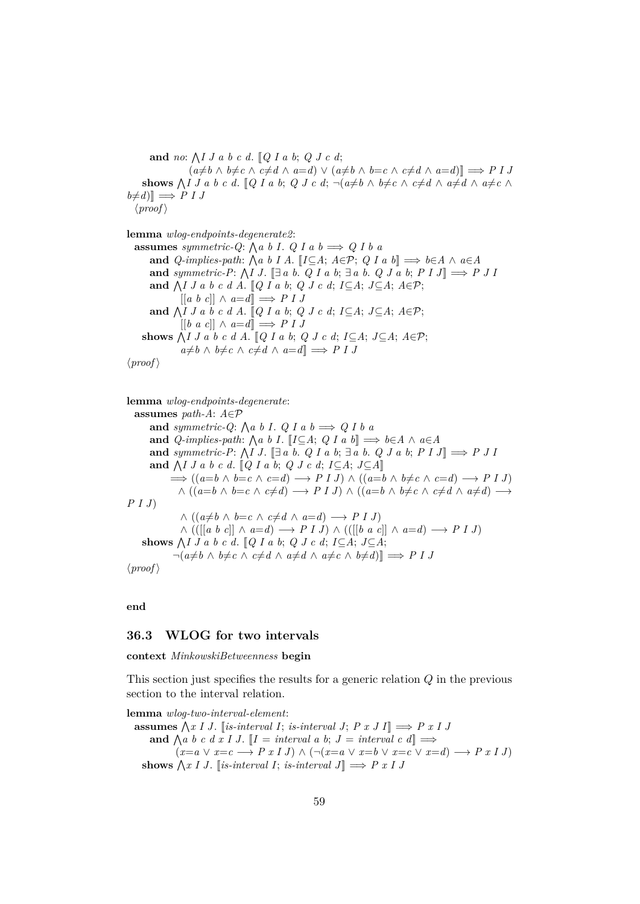**and** *no*:  $\bigwedge I J a b c d$ .  $[Q I a b; Q J c d;$  $(a \neq b \land b \neq c \land c \neq d \land a = d) \lor (a \neq b \land b = c \land c \neq d \land a = d)$ **shows**  $\bigwedge I J a b c d$ .  $[Q I a b; Q J c d; \neg(a \neq b \land b \neq c \land c \neq d \land a \neq d \land a \neq c \land c \neq d)$  $b \neq d$ <sup> $\parallel \Rightarrow$ </sup> *P I J*  $\langle proof \rangle$ 

**lemma** *wlog-endpoints-degenerate2*: **assumes** symmetric-Q:  $\bigwedge a \ b \ I. \ Q \ I \ a \ b \Longrightarrow Q \ I \ b \ a$ **and**  $Q$ -implies-path:  $\bigwedge a \ b \ I \ A$ .  $\[ I \subseteq A; A \in \mathcal{P}; Q \ I \ a \ b \] \Longrightarrow b \in A \ \wedge \ a \in A$ **and** symmetric-P:  $\bigwedge I J$ . [ $\exists a \ b$ . *Q I a b*;  $\exists a \ b$ . *Q J a b*;  $P I J$ ]  $\Longrightarrow P J I$ and  $\bigwedge I J a b c d A$ . [Q I a b; Q J c d; I ⊆A; J ⊆A;  $A \in \mathcal{P}$ ; [[*a b c*]] ∧ *a*=*d*]] =⇒ *P I J* and  $\bigwedge I J a b c d A$ . [Q I a b; Q J c d; I ⊆A; J ⊆A;  $A \in \mathcal{P}$ ;  $[[b \ a \ c]] \wedge a=d] \implies P I J$ shows  $\bigwedge I J a b c d A$ .  $[Q I a b; Q J c d; I \subseteq A; J \subseteq A; A \in \mathcal{P};$  $a \neq b$  ∧  $b \neq c$  ∧  $c \neq d$  ∧  $a = d$ ]  $\implies$  *P I J* 

 $\langle proof \rangle$ 

**lemma** *wlog-endpoints-degenerate*: **assumes** *path-A*: *A*∈P and *symmetric-Q*:  $\bigwedge a \ b \ I. \ Q \ I \ a \ b \Longrightarrow Q \ I \ b \ a$ **and**  $Q$ -implies-path:  $\bigwedge a \ b \ I$ .  $\big[ I \subseteq A; \ Q \ I \ a \ b \big] \Longrightarrow b \in A \ \wedge \ a \in A$ and *symmetric-P*:  $\bigwedge I J$ .  $\Box a b$ . *Q I a b*;  $\Box a b$ . *Q J a b*;  $P I J \Box \Rightarrow P J I$ and  $\bigwedge I J a b c d$ .  $\lbrack Q I a b; Q J c d; I \subseteq A; J \subseteq A \rbrack$  $\implies$   $((a=b \land b=c \land c=d) \longrightarrow P \cup I \cup \land ((a=b \land b \neq c \land c=d) \longrightarrow P \cup I$  $\wedge$  (( $a=b \wedge b=c \wedge c \neq d$ )  $\longrightarrow$  *P I J*)  $\wedge$  (( $a=b \wedge b \neq c \wedge c \neq d \wedge a \neq d$ )  $\longrightarrow$ *P I J*)  $∧ ((a \neq b ∧ b = c ∧ c \neq d ∧ a = d) → P I J)$ ∧ (([[*a b c*]] ∧ *a*=*d*) −→ *P I J*) ∧ (([[*b a c*]] ∧ *a*=*d*) −→ *P I J*) shows  $\bigwedge I J a b c d$ . [*Q I a b*; *Q J c d*; *I*⊆*A*; *J*⊆*A*;  $\neg(a \neq b \land b \neq c \land c \neq d \land a \neq d \land a \neq c \land b \neq d)$ ]  $\implies P \cup J$  $\langle proof \rangle$ 

**end**

#### <span id="page-58-0"></span>**36.3 WLOG for two intervals**

**context** *MinkowskiBetweenness* **begin**

This section just specifies the results for a generic relation Q in the previous section to the interval relation.

```
lemma wlog-two-interval-element:
  assumes \bigwedge x \mid J. [is-interval I; is-interval J; P x \mid J] \implies P x \mid Jand \bigwedge a \ b \ c \ d \ x \ I \ J. \ [I = interval \ a \ b; \ J = interval \ c \ d] \Longrightarrow(x=a \lor x=c \longrightarrow P x I J) \land (\neg(x=a \lor x=b \lor x=c \lor x=d) \longrightarrow P x I J)shows \bigwedge x \mid J. [is-interval I; is-interval J] \implies P x I J
```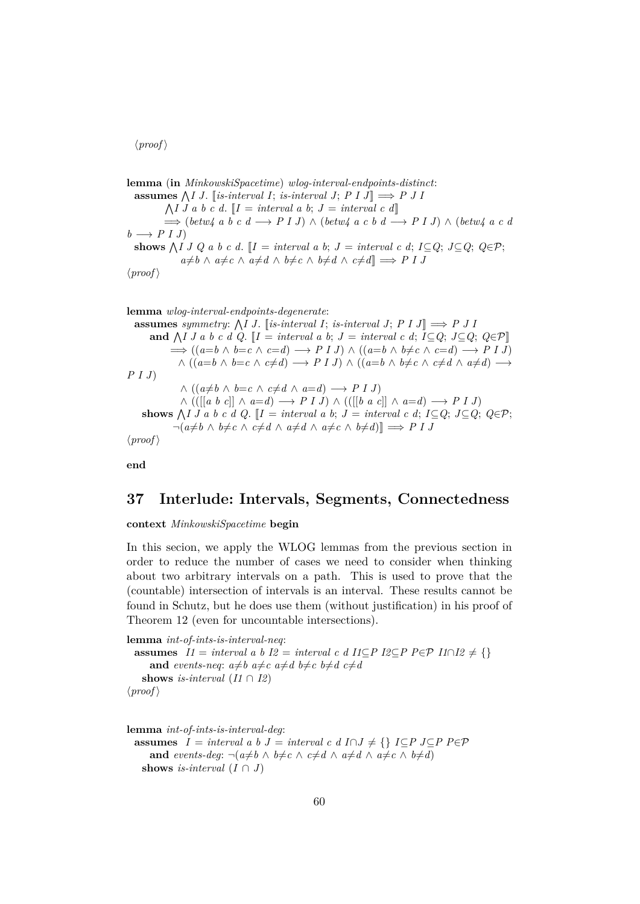$\langle proof \rangle$ 

**lemma** (**in** *MinkowskiSpacetime*) *wlog-interval-endpoints-distinct*: **assumes**  $\bigwedge I J$ . [*is-interval I*; *is-interval J*;  $P I J$ ]  $\implies$   $P J I$  $\bigwedge I$  *J a b c d*.  $\llbracket I = interval \ a \ b; \ J = interval \ c \ d\rrbracket$ =⇒ (*betw4 a b c d* −→ *P I J*) ∧ (*betw4 a c b d* −→ *P I J*) ∧ (*betw4 a c d*  $b \rightarrow P I J$ **shows**  $\bigwedge I \cup Q$  a b c d.  $\llbracket I = interval \ a \ b; J = interval \ c \ d; I \subseteq Q; J \subseteq Q; Q \in \mathcal{P};$  $a \neq b \land a \neq c \land a \neq d \land b \neq c \land b \neq d \land c \neq d$ ]  $\implies$  *P I J*  $\langle proof \rangle$ 

**lemma** *wlog-interval-endpoints-degenerate*: **assumes** symmetry:  $\bigwedge I J$ . [is-interval *I*; *is-interval J*; *P I J*]  $\implies$  *P J I* **and**  $\bigwedge I$  *J a b c d Q*. [*I* = *interval a b*; *J* = *interval c d*; *I*⊆*Q*; *J*⊆*Q*; *Q*∈P[]  $\implies ((a=b \land b=c \land c=d) \longrightarrow P I J) \land ((a=b \land b \neq c \land c=d) \longrightarrow P I J)$  $\wedge$  (( $a=b \wedge b=c \wedge c\neq d$ )  $\longrightarrow$  *P I J*)  $\wedge$  (( $a=b \wedge b\neq c \wedge c\neq d \wedge a\neq d$ )  $\longrightarrow$ *P I J*)  $\land$  (( $a \neq b \land b = c \land c \neq d \land a = d$ ) → *P I J*) ∧ (([[*a b c*]] ∧ *a*=*d*) −→ *P I J*) ∧ (([[*b a c*]] ∧ *a*=*d*) −→ *P I J*) **shows**  $\bigwedge I \cup I$  a b c d Q. [ $I =$  *interval a b*;  $J =$  *interval c d*;  $I \subseteq Q$ ;  $J \subseteq Q$ ;  $Q \in \mathcal{P}$ ;  $\neg(a \neq b \land b \neq c \land c \neq d \land a \neq d \land a \neq c \land b \neq d)$ ]  $\implies$  *P I J*  $\langle proof \rangle$ 

**end**

## <span id="page-59-0"></span>**37 Interlude: Intervals, Segments, Connectedness**

**context** *MinkowskiSpacetime* **begin**

In this secion, we apply the WLOG lemmas from the previous section in order to reduce the number of cases we need to consider when thinking about two arbitrary intervals on a path. This is used to prove that the (countable) intersection of intervals is an interval. These results cannot be found in Schutz, but he does use them (without justification) in his proof of Theorem 12 (even for uncountable intersections).

```
lemma int-of-ints-is-interval-neq:
  assumes I1 = interval a b I2 = interval c d I1 \subseteq P I2 \subseteq P P \in \mathcal{P} I1 \cap I2 \neq \{\}and events-neq: a \neq b a \neq c a \neq d b \neq c b \neq d c \neq dshows is-interval (11 \cap I2)\langle proof \rangle
```
**lemma** *int-of-ints-is-interval-deg*:

```
assumes I = interval \ a \ b \ J = interval \ c \ d \ I \cap J \neq \ {\} \ I \subseteq P \ J \subseteq P \ P \in \mathcal{P}and events-deg: \neg(a \neq b \land b \neq c \land c \neq d \land a \neq d \land a \neq c \land b \neq d)shows is-interval (I \cap J)
```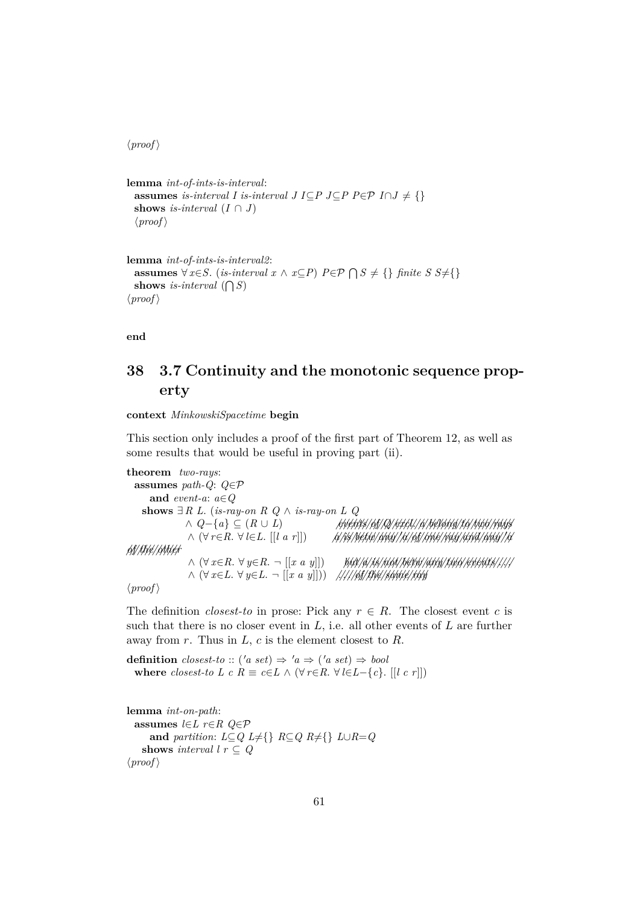$\langle proof \rangle$ 

```
lemma int-of-ints-is-interval:
 assumes is-interval I is-interval J I⊆P J⊆P P∈P I \cap J \neq \{\}shows is-interval (I \cap J)\langle proof \rangle
```

```
lemma int-of-ints-is-interval2:
  assumes ∀ x∈S. (is-interval x ∧ x⊆P) P ∈ P ∩ S ≠ {} finite S S≠{}
  shows is-interval (\bigcap S)\langle proof \rangle
```
**end**

# <span id="page-60-0"></span>**38 3.7 Continuity and the monotonic sequence property**

**context** *MinkowskiSpacetime* **begin**

This section only includes a proof of the first part of Theorem 12, as well as some results that would be useful in proving part (ii).

```
theorem two-rays:
  assumes path-Q: Q∈P
      and event-a: a∈Q
    shows ∃R L. (is-ray-on R Q ∧ <i>is-ray-on L Q
                ∧ Q−{a} ⊆ (R ∪ L) ////////events///of///Q///////excl.///a////////belong////to/////two//////rays
                 ∧ (∀ r∈R. ∀ l∈L. [[l a r]]) //a///is//////betw//////any///0a///of//////one/////ray/////and//////any///0a
//of/////the///////other
                 ∧ (\forall x \in R. \forall y \in R. \neg [[x a y]]) but/a/is/not/betw/any/any/two/events/////
                 ∧ (∀ x∈L. ∀ y∈L. ¬ [[x a y]])) //// . . .///of/////the///////same/////ray
\langle proof \rangle
```
The definition *closest-to* in prose: Pick any  $r \in R$ . The closest event c is such that there is no closer event in  $L$ , i.e. all other events of  $L$  are further away from  $r$ . Thus in  $L$ ,  $c$  is the element closest to  $R$ .

**definition**  $closest\text{-}to :: ('a \text{ set}) \Rightarrow 'a \Rightarrow ('a \text{ set}) \Rightarrow bool$ **where** *closest-to L c R*  $\equiv$  *c*∈*L*  $\wedge$  ( $\forall$  *r*∈*R*.  $\forall$  *l*∈*L*−{*c*}. [[*l c r*]])

```
lemma int-on-path:
  assumes l∈L r∈R Q∈P
      and partition: L \subseteq Q L \neq \{\} R \subseteq Q R \neq \{\} L \cup R = Qshows interval l r \subseteq Q\langle proof \rangle
```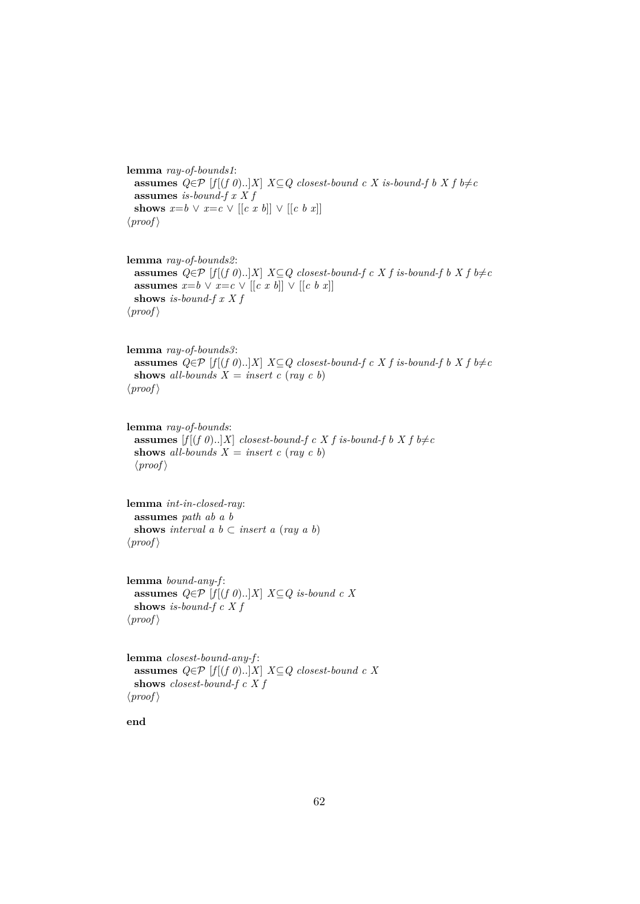```
lemma ray-of-bounds1:
 assumes Q ∈ P [f [(f 0)..]X] X⊆Q closest-bound c X is-bound-f b X f b≠c
 assumes is-bound-f x X f
 shows x=b \vee x=c \vee [[c x b]] \vee [[c b x]]\langle proof \rangle
```

```
lemma ray-of-bounds2:
 assumes Q ∈ P [f](f 0)..]X] X⊆Q closest-bound-f c X f is-bound-f b X f b≠c
 assumes x=b \vee x=c \vee [(c \ x \ b)] \vee [(c \ b \ x)]shows is-bound-f x X f
\langle proof \rangle
```

```
lemma ray-of-bounds3:
 assumes Q ∈ P [f|(f 0)..|X| X ⊆ Q closest-bound-f c X f is-bound-f b X f b≠c
 shows all-bounds X = insert c (ray c b)
\langle proof \rangle
```

```
lemma ray-of-bounds:
 assumes [f[(f\ 0).]X] closest-bound-f c X f is-bound-f b X f b\neqc
 shows all-bounds X = insert c (ray c b)
 \langle proof \rangle
```

```
lemma int-in-closed-ray:
 assumes path ab a b
 shows interval a \, b \subset insert a \, (ray \, a \, b)\langle proof \rangle
```

```
lemma bound-any-f :
 assumes Q ∈ \mathcal{P} [f[(f 0)..]X] X ⊆ Q is-bound c X
 shows is-bound-f c X f
\langle proof \rangle
```

```
lemma closest-bound-any-f :
 assumes Q ∈ P [f[(f 0)..]X] X ⊆ Q closest-bound c X
 shows closest-bound-f c X f
\langle proof \rangle
```

```
end
```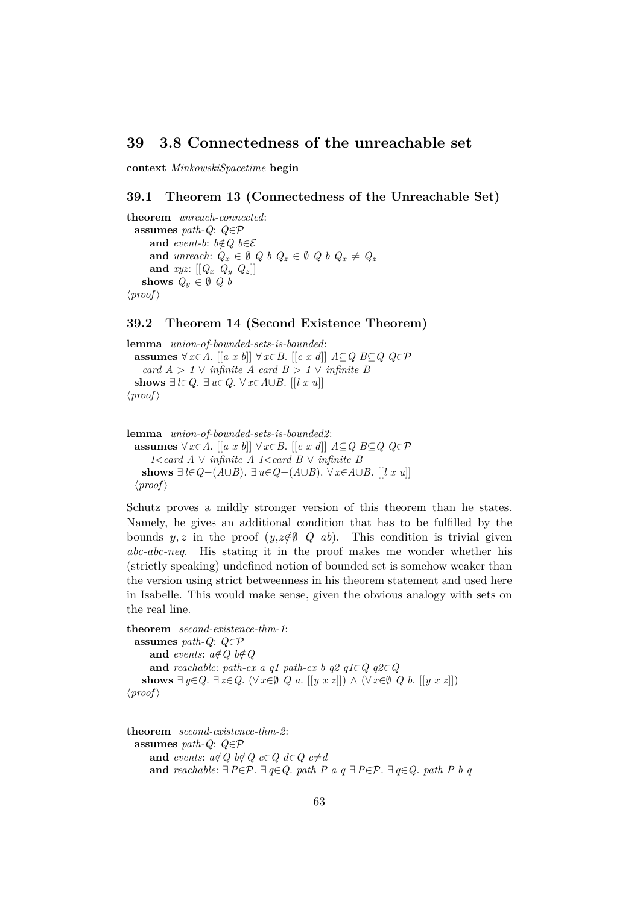## <span id="page-62-0"></span>**39 3.8 Connectedness of the unreachable set**

**context** *MinkowskiSpacetime* **begin**

#### <span id="page-62-1"></span>**39.1 Theorem 13 (Connectedness of the Unreachable Set)**

**theorem** *unreach-connected*: **assumes** *path-Q*: *Q*∈P **and** *event-b*:  $b \notin Q$   $b \in \mathcal{E}$ **and** *unreach*:  $Q_x \in \emptyset$   $Q_b$   $Q_z \in \emptyset$   $Q_b$   $Q_x \neq Q_z$ and  $xyz: [[Q_x \ Q_y \ Q_z]]$ **shows**  $Q_y \in \emptyset$  *Q b*  $\langle proof \rangle$ 

#### <span id="page-62-2"></span>**39.2 Theorem 14 (Second Existence Theorem)**

**lemma** *union-of-bounded-sets-is-bounded*: **assumes** ∀ *x*∈*A*. [[*a x b*]] ∀ *x*∈*B*. [[*c x d*]] *A*⊆*Q B*⊆*Q Q*∈P *card*  $A > 1 \vee$  *infinite*  $A$  *card*  $B > 1 \vee$  *infinite*  $B$ shows  $∃l ∈ Q$ .  $∃u ∈ Q$ . ∀  $x ∈ A ∪ B$ . [[*l x u*]]  $\langle proof \rangle$ 

```
lemma union-of-bounded-sets-is-bounded2:
 assumes ∀ x∈A. [[a x b]] ∀ x∈B. [[c x d]] A⊆Q B⊆Q Q∈P
     1<card A ∨ infinite A 1<card B ∨ infinite B
   shows ∃ l ∈ Q-(A∪B). ∃ u ∈ Q-(A∪B). ∀ x ∈ A∪B. [[l x u]]
 \langle proof \rangle
```
Schutz proves a mildly stronger version of this theorem than he states. Namely, he gives an additional condition that has to be fulfilled by the bounds y, z in the proof  $(y, z \notin \emptyset \ Q \ ab)$ . This condition is trivial given *abc-abc-neq*. His stating it in the proof makes me wonder whether his (strictly speaking) undefined notion of bounded set is somehow weaker than the version using strict betweenness in his theorem statement and used here in Isabelle. This would make sense, given the obvious analogy with sets on the real line.

```
theorem second-existence-thm-1:
 assumes path-Q: Q∈P
     and events: a \notin Q b\notin Qand reachable: path-ex a q1 path-ex b q2 q1∈Q q2∈Q
   shows ∃ y∈Q. ∃ z∈Q. (∀ x∈Ø Q a. [[y x z]]) ∧ (∀ x∈Ø Q b. [[y x z]])\langle proof \rangle
```

```
theorem second-existence-thm-2:
 assumes path-Q: Q∈P
    and events: a \notin Q b \notin Q c \in Q d \in Q c \neq dand reachable: ∃P∈P. ∃ q∈Q. path P a q ∃P∈P. ∃ q∈Q. path P b q
```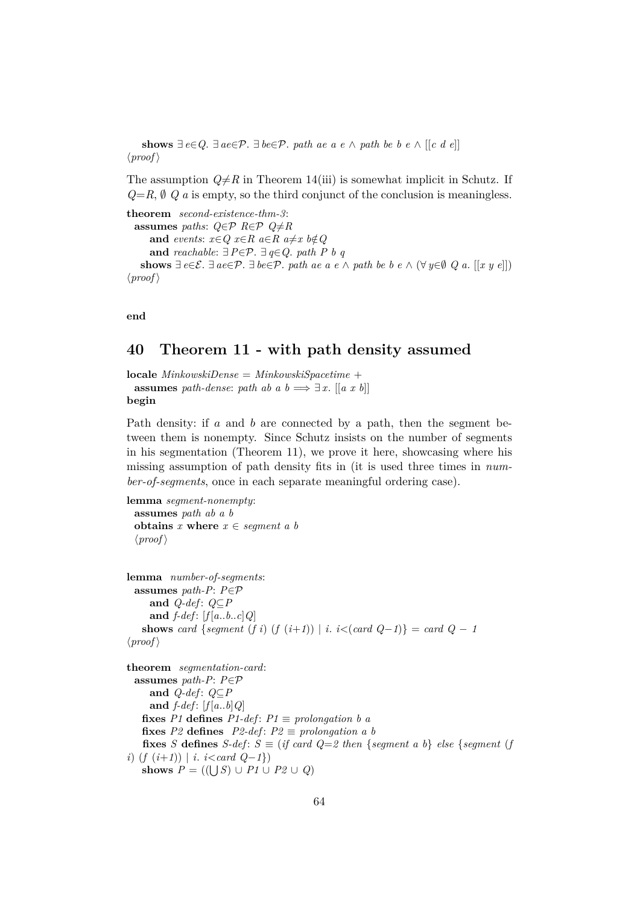**shows**  $∃ e∈Q. ∃ ae∈P. ∃ be∈P. path ae a e ∧ path be b e ∧ [[c d e]]$  $\langle proof \rangle$ 

The assumption  $Q \neq R$  in Theorem 14(iii) is somewhat implicit in Schutz. If  $Q=R$ ,  $\emptyset$  *Q a* is empty, so the third conjunct of the conclusion is meaningless.

```
theorem second-existence-thm-3:
  assumes paths: Q \in \mathcal{P} R∈\mathcal{P} Q≠R
      and events: x \in Q x \in R a \in R a \neq x b \notin Qand reachable: ∃P∈P. ∃ q∈Q. path P b q
    shows ∃ e∈\mathcal{E}. ∃ ae∈\mathcal{P}. ∃ be∈\mathcal{P}. path ae a e ∧ path be b e ∧ (∀ y∈\emptyset Q a. [[x y e]])
\langle proof \rangle
```
**end**

# <span id="page-63-0"></span>**40 Theorem 11 - with path density assumed**

**locale** *MinkowskiDense* = *MinkowskiSpacetime* + **assumes** *path-dense*: *path ab a b*  $\implies \exists x$ . [[*a x b*]] **begin**

Path density: if a and b are connected by a path, then the segment between them is nonempty. Since Schutz insists on the number of segments in his segmentation (Theorem 11), we prove it here, showcasing where his missing assumption of path density fits in (it is used three times in *number-of-segments*, once in each separate meaningful ordering case).

```
lemma segment-nonempty:
 assumes path ab a b
 obtains x where x \in segment \ a \ b\langle proof \ranglelemma number-of-segments:
 assumes path-P: P∈P
    and Q-def : Q⊆P
    and f-def: [f[a..b..c]Q]shows card {segment (f i) (f (i+1)) | i. i<(card Q-1)} = card Q-1\langle proof \rangletheorem segmentation-card:
 assumes path-P: P∈P
    and Q-def : Q⊆P
    and f-def: [f[a..b]Q]fixes P1 defines P1-def: P1 \equiv prolongation b a
```

```
fixes P2 defines P2-def: P2 \equiv prolongation a b
        fixes S defines S-def: S \equiv (if \; card \; Q = 2 \; then \; \{segment \; a \; b\} \; else \; \{segment \; (f \; d \; c \; is \; a \; is \; a \; is \; a \; is \; a \; is \; a \; is \; a \; is \; a \; is \; a \; is \; a \; is \; a \; is \; a \; is \; a \; is \; a \; is \; a \; is \; a \; is \; a \; is \; a \; is \; a \; is \; a \; is \; a \; is \; a \; is \; a \; is \; a \; isi) (f (i+1)) | i. i<card Q−1})
        shows P = ((\bigcup S) \cup P1 \cup P2 \cup Q)
```